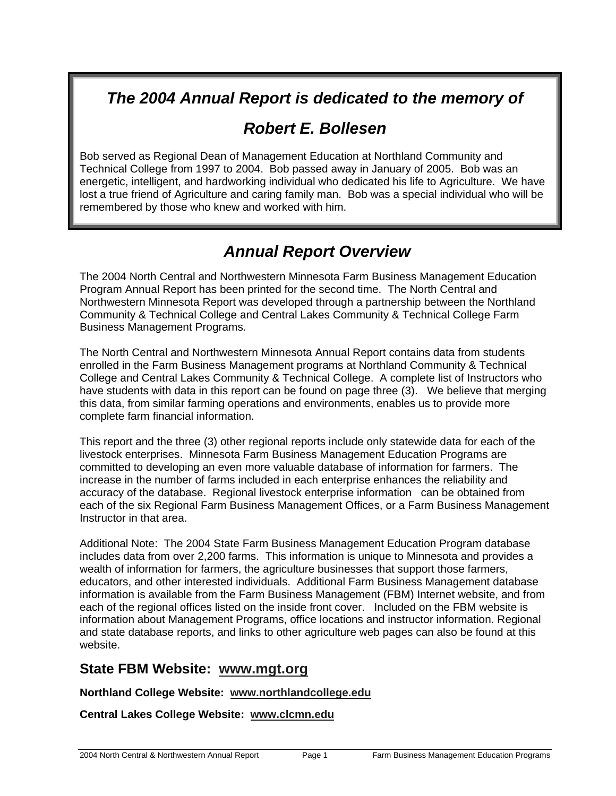## *The 2004 Annual Report is dedicated to the memory of*

## *Robert E. Bollesen*

Bob served as Regional Dean of Management Education at Northland Community and Technical College from 1997 to 2004. Bob passed away in January of 2005. Bob was an energetic, intelligent, and hardworking individual who dedicated his life to Agriculture. We have lost a true friend of Agriculture and caring family man. Bob was a special individual who will be remembered by those who knew and worked with him.

## *Annual Report Overview*

The 2004 North Central and Northwestern Minnesota Farm Business Management Education Program Annual Report has been printed for the second time. The North Central and Northwestern Minnesota Report was developed through a partnership between the Northland Community & Technical College and Central Lakes Community & Technical College Farm Business Management Programs.

The North Central and Northwestern Minnesota Annual Report contains data from students enrolled in the Farm Business Management programs at Northland Community & Technical College and Central Lakes Community & Technical College. A complete list of Instructors who have students with data in this report can be found on page three (3). We believe that merging this data, from similar farming operations and environments, enables us to provide more complete farm financial information.

This report and the three (3) other regional reports include only statewide data for each of the livestock enterprises. Minnesota Farm Business Management Education Programs are committed to developing an even more valuable database of information for farmers. The increase in the number of farms included in each enterprise enhances the reliability and accuracy of the database. Regional livestock enterprise information can be obtained from each of the six Regional Farm Business Management Offices, or a Farm Business Management Instructor in that area.

Additional Note: The 2004 State Farm Business Management Education Program database includes data from over 2,200 farms. This information is unique to Minnesota and provides a wealth of information for farmers, the agriculture businesses that support those farmers, educators, and other interested individuals. Additional Farm Business Management database information is available from the Farm Business Management (FBM) Internet website, and from each of the regional offices listed on the inside front cover. Included on the FBM website is information about Management Programs, office locations and instructor information. Regional and state database reports, and links to other agriculture web pages can also be found at this website.

## **State FBM Website: www.mgt.org**

## **Northland College Website: www.northlandcollege.edu**

**Central Lakes College Website: www.clcmn.edu**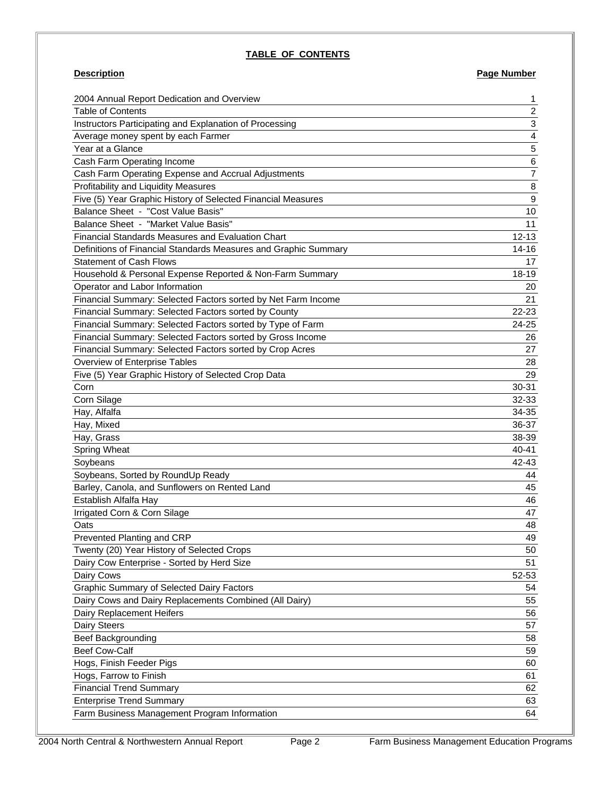#### **TABLE OF CONTENTS**

## **Description Page Number**

| 2004 Annual Report Dedication and Overview                      | 1                        |
|-----------------------------------------------------------------|--------------------------|
| <b>Table of Contents</b>                                        | $\overline{\mathbf{c}}$  |
| Instructors Participating and Explanation of Processing         | 3                        |
| Average money spent by each Farmer                              | $\overline{\mathcal{L}}$ |
| Year at a Glance                                                | 5                        |
| Cash Farm Operating Income                                      | $\,6$                    |
| Cash Farm Operating Expense and Accrual Adjustments             | $\overline{7}$           |
| Profitability and Liquidity Measures                            | 8                        |
| Five (5) Year Graphic History of Selected Financial Measures    | $\boldsymbol{9}$         |
| Balance Sheet - "Cost Value Basis"                              | 10                       |
| Balance Sheet - "Market Value Basis"                            | 11                       |
| <b>Financial Standards Measures and Evaluation Chart</b>        | $12 - 13$                |
| Definitions of Financial Standards Measures and Graphic Summary | $14 - 16$                |
| <b>Statement of Cash Flows</b>                                  | 17                       |
| Household & Personal Expense Reported & Non-Farm Summary        | 18-19                    |
| Operator and Labor Information                                  | 20                       |
| Financial Summary: Selected Factors sorted by Net Farm Income   | 21                       |
| Financial Summary: Selected Factors sorted by County            | 22-23                    |
| Financial Summary: Selected Factors sorted by Type of Farm      | 24-25                    |
| Financial Summary: Selected Factors sorted by Gross Income      | 26                       |
| Financial Summary: Selected Factors sorted by Crop Acres        | 27                       |
| Overview of Enterprise Tables                                   | 28                       |
| Five (5) Year Graphic History of Selected Crop Data             | 29                       |
| Corn                                                            | 30-31                    |
| Corn Silage                                                     | 32-33                    |
| Hay, Alfalfa                                                    | 34-35                    |
| Hay, Mixed                                                      | 36-37                    |
| Hay, Grass                                                      | 38-39                    |
| Spring Wheat                                                    | 40-41                    |
| Soybeans                                                        | 42-43                    |
| Soybeans, Sorted by RoundUp Ready                               | 44                       |
| Barley, Canola, and Sunflowers on Rented Land                   | 45                       |
| Establish Alfalfa Hay                                           | 46                       |
| Irrigated Corn & Corn Silage                                    | 47                       |
| Oats                                                            | 48                       |
| Prevented Planting and CRP                                      | 49                       |
| Twenty (20) Year History of Selected Crops                      | 50                       |
| Dairy Cow Enterprise - Sorted by Herd Size                      | 51                       |
| Dairy Cows                                                      | 52-53                    |
| Graphic Summary of Selected Dairy Factors                       | 54                       |
| Dairy Cows and Dairy Replacements Combined (All Dairy)          | 55                       |
| Dairy Replacement Heifers                                       | 56                       |
| Dairy Steers                                                    | 57                       |
| <b>Beef Backgrounding</b>                                       | 58                       |
| <b>Beef Cow-Calf</b>                                            | 59                       |
| Hogs, Finish Feeder Pigs                                        | 60                       |
| Hogs, Farrow to Finish                                          | 61                       |
| <b>Financial Trend Summary</b>                                  | 62                       |
| <b>Enterprise Trend Summary</b>                                 | 63                       |
| Farm Business Management Program Information                    | 64                       |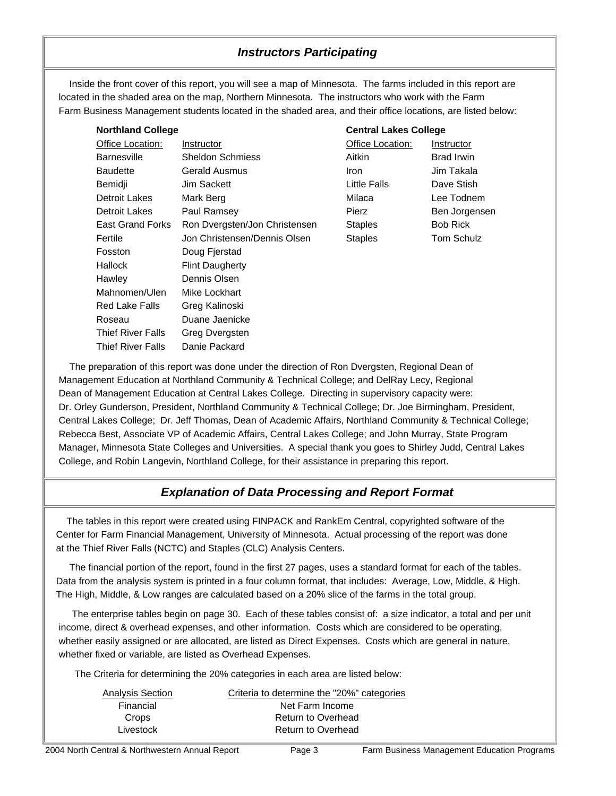## *Instructors Participating*

 Inside the front cover of this report, you will see a map of Minnesota. The farms included in this report are located in the shaded area on the map, Northern Minnesota. The instructors who work with the Farm Farm Business Management students located in the shaded area, and their office locations, are listed below:

| <b>Northland College</b> |                               |                  | <b>Central Lakes College</b> |  |
|--------------------------|-------------------------------|------------------|------------------------------|--|
| Office Location:         | Instructor                    | Office Location: | Instructor                   |  |
| <b>Barnesville</b>       | <b>Sheldon Schmiess</b>       | Aitkin           | <b>Brad Irwin</b>            |  |
| <b>Baudette</b>          | Gerald Ausmus                 | <b>Iron</b>      | Jim Takala                   |  |
| Bemidji                  | Jim Sackett                   | Little Falls     | Dave Stish                   |  |
| Detroit Lakes            | Mark Berg                     | Milaca           | Lee Todnem                   |  |
| <b>Detroit Lakes</b>     | Paul Ramsey                   | Pierz            | Ben Jorgensen                |  |
| <b>East Grand Forks</b>  | Ron Dvergsten/Jon Christensen | <b>Staples</b>   | <b>Bob Rick</b>              |  |
| Fertile                  | Jon Christensen/Dennis Olsen  | <b>Staples</b>   | <b>Tom Schulz</b>            |  |
| Fosston                  | Doug Fjerstad                 |                  |                              |  |
| Hallock                  | <b>Flint Daugherty</b>        |                  |                              |  |
| Hawley                   | Dennis Olsen                  |                  |                              |  |
| Mahnomen/Ulen            | Mike Lockhart                 |                  |                              |  |
| <b>Red Lake Falls</b>    | Greg Kalinoski                |                  |                              |  |
| Roseau                   | Duane Jaenicke                |                  |                              |  |
| <b>Thief River Falls</b> | Greg Dvergsten                |                  |                              |  |
| Thief River Falls        | Danie Packard                 |                  |                              |  |

 The preparation of this report was done under the direction of Ron Dvergsten, Regional Dean of Management Education at Northland Community & Technical College; and DelRay Lecy, Regional Dean of Management Education at Central Lakes College. Directing in supervisory capacity were: Dr. Orley Gunderson, President, Northland Community & Technical College; Dr. Joe Birmingham, President, Central Lakes College; Dr. Jeff Thomas, Dean of Academic Affairs, Northland Community & Technical College; Rebecca Best, Associate VP of Academic Affairs, Central Lakes College; and John Murray, State Program Manager, Minnesota State Colleges and Universities. A special thank you goes to Shirley Judd, Central Lakes College, and Robin Langevin, Northland College, for their assistance in preparing this report.

## *Explanation of Data Processing and Report Format*

 The tables in this report were created using FINPACK and RankEm Central, copyrighted software of the Center for Farm Financial Management, University of Minnesota. Actual processing of the report was done at the Thief River Falls (NCTC) and Staples (CLC) Analysis Centers.

 The financial portion of the report, found in the first 27 pages, uses a standard format for each of the tables. Data from the analysis system is printed in a four column format, that includes: Average, Low, Middle, & High. The High, Middle, & Low ranges are calculated based on a 20% slice of the farms in the total group.

 The enterprise tables begin on page 30. Each of these tables consist of: a size indicator, a total and per unit income, direct & overhead expenses, and other information. Costs which are considered to be operating, whether easily assigned or are allocated, are listed as Direct Expenses. Costs which are general in nature, whether fixed or variable, are listed as Overhead Expenses.

The Criteria for determining the 20% categories in each area are listed below:

| <b>Analysis Section</b> | Criteria to determine the "20%" categories |
|-------------------------|--------------------------------------------|
| Financial               | Net Farm Income                            |
| Crops                   | Return to Overhead                         |
| Livestock               | Return to Overhead                         |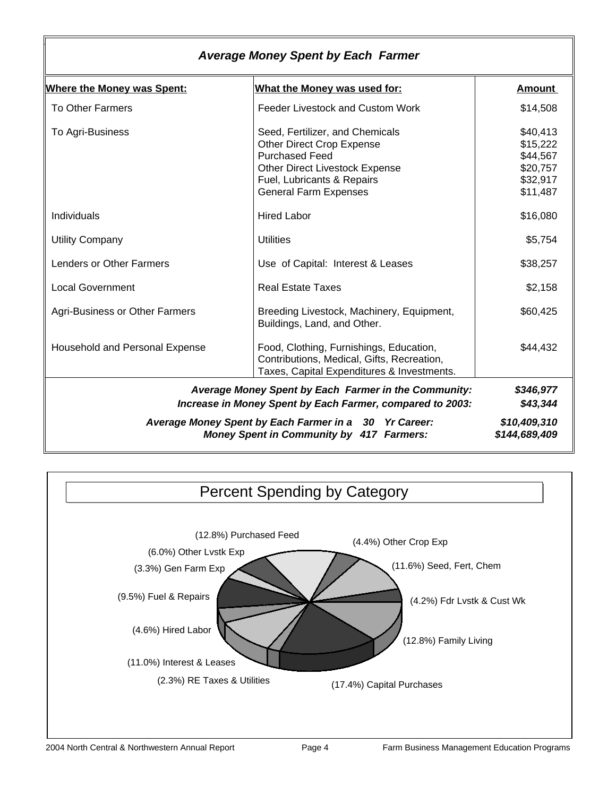|                                   | <b>Average Money Spent by Each Farmer</b>                                                                                                                                                    |                                                                      |
|-----------------------------------|----------------------------------------------------------------------------------------------------------------------------------------------------------------------------------------------|----------------------------------------------------------------------|
| <b>Where the Money was Spent:</b> | What the Money was used for:                                                                                                                                                                 | Amount                                                               |
| <b>To Other Farmers</b>           | Feeder Livestock and Custom Work                                                                                                                                                             | \$14,508                                                             |
| To Agri-Business                  | Seed, Fertilizer, and Chemicals<br>Other Direct Crop Expense<br><b>Purchased Feed</b><br><b>Other Direct Livestock Expense</b><br>Fuel, Lubricants & Repairs<br><b>General Farm Expenses</b> | \$40,413<br>\$15,222<br>\$44,567<br>\$20,757<br>\$32,917<br>\$11,487 |
| Individuals                       | <b>Hired Labor</b>                                                                                                                                                                           | \$16,080                                                             |
| <b>Utility Company</b>            | <b>Utilities</b>                                                                                                                                                                             | \$5,754                                                              |
| <b>Lenders or Other Farmers</b>   | Use of Capital: Interest & Leases                                                                                                                                                            | \$38,257                                                             |
| <b>Local Government</b>           | <b>Real Estate Taxes</b>                                                                                                                                                                     | \$2,158                                                              |
| Agri-Business or Other Farmers    | Breeding Livestock, Machinery, Equipment,<br>Buildings, Land, and Other.                                                                                                                     | \$60,425                                                             |
| Household and Personal Expense    | Food, Clothing, Furnishings, Education,<br>Contributions, Medical, Gifts, Recreation,<br>Taxes, Capital Expenditures & Investments.                                                          | \$44,432                                                             |
|                                   | Average Money Spent by Each Farmer in the Community:<br>Increase in Money Spent by Each Farmer, compared to 2003:                                                                            | \$346,977<br>\$43,344                                                |
|                                   | Average Money Spent by Each Farmer in a 30 Yr Career:<br><b>Money Spent in Community by 417 Farmers:</b>                                                                                     | \$10,409,310<br>\$144,689,409                                        |

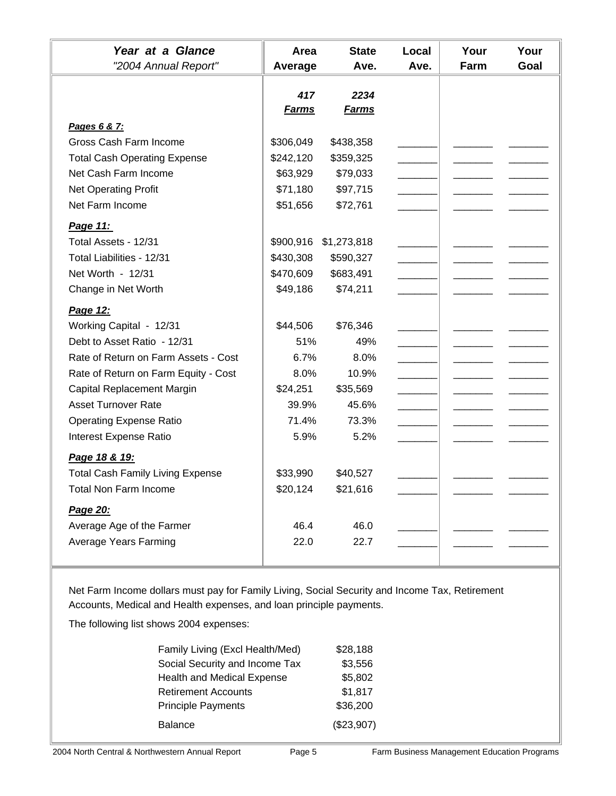| Year at a Glance                        | Area         | <b>State</b> | Local | Your | Your |
|-----------------------------------------|--------------|--------------|-------|------|------|
| "2004 Annual Report"                    | Average      | Ave.         | Ave.  | Farm | Goal |
|                                         | 417          | 2234         |       |      |      |
|                                         | <b>Farms</b> | <u>Farms</u> |       |      |      |
| Pages 6 & 7:                            |              |              |       |      |      |
| Gross Cash Farm Income                  | \$306,049    | \$438,358    |       |      |      |
| <b>Total Cash Operating Expense</b>     | \$242,120    | \$359,325    |       |      |      |
| Net Cash Farm Income                    | \$63,929     | \$79,033     |       |      |      |
| <b>Net Operating Profit</b>             | \$71,180     | \$97,715     |       |      |      |
| Net Farm Income                         | \$51,656     | \$72,761     |       |      |      |
| Page 11:                                |              |              |       |      |      |
| Total Assets - 12/31                    | \$900,916    | \$1,273,818  |       |      |      |
| Total Liabilities - 12/31               | \$430,308    | \$590,327    |       |      |      |
| Net Worth - 12/31                       | \$470,609    | \$683,491    |       |      |      |
| Change in Net Worth                     | \$49,186     | \$74,211     |       |      |      |
| Page 12:                                |              |              |       |      |      |
| Working Capital - 12/31                 | \$44,506     | \$76,346     |       |      |      |
| Debt to Asset Ratio - 12/31             | 51%          | 49%          |       |      |      |
| Rate of Return on Farm Assets - Cost    | 6.7%         | 8.0%         |       |      |      |
| Rate of Return on Farm Equity - Cost    | 8.0%         | 10.9%        |       |      |      |
| Capital Replacement Margin              | \$24,251     | \$35,569     |       |      |      |
| <b>Asset Turnover Rate</b>              | 39.9%        | 45.6%        |       |      |      |
| <b>Operating Expense Ratio</b>          | 71.4%        | 73.3%        |       |      |      |
| Interest Expense Ratio                  | 5.9%         | 5.2%         |       |      |      |
|                                         |              |              |       |      |      |
| Page 18 & 19:                           |              |              |       |      |      |
| <b>Total Cash Family Living Expense</b> | \$33,990     | \$40,527     |       |      |      |
| Total Non Farm Income                   | \$20,124     | \$21,616     |       |      |      |
| Page 20:                                |              |              |       |      |      |
| Average Age of the Farmer               | 46.4         | 46.0         |       |      |      |
| Average Years Farming                   | 22.0         | 22.7         |       |      |      |
|                                         |              |              |       |      |      |
|                                         |              |              |       |      |      |

Net Farm Income dollars must pay for Family Living, Social Security and Income Tax, Retirement Accounts, Medical and Health expenses, and loan principle payments.

The following list shows 2004 expenses:

| Family Living (Excl Health/Med)   | \$28,188   |
|-----------------------------------|------------|
| Social Security and Income Tax    | \$3,556    |
| <b>Health and Medical Expense</b> | \$5,802    |
| <b>Retirement Accounts</b>        | \$1,817    |
| <b>Principle Payments</b>         | \$36,200   |
| Balance                           | (\$23,907) |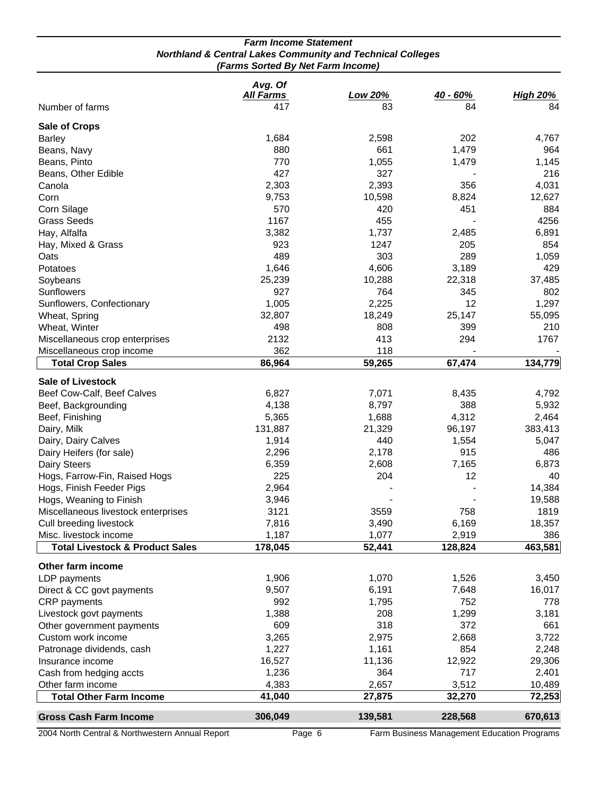|                                                                                                            | <b>Farm Income Statement</b> |                |          |                 |
|------------------------------------------------------------------------------------------------------------|------------------------------|----------------|----------|-----------------|
| <b>Northland &amp; Central Lakes Community and Technical Colleges</b><br>(Farms Sorted By Net Farm Income) |                              |                |          |                 |
|                                                                                                            | Avg. Of<br><b>All Farms</b>  | <b>Low 20%</b> | 40 - 60% | <b>High 20%</b> |
| Number of farms                                                                                            | 417                          | 83             | 84       | 84              |
| <b>Sale of Crops</b>                                                                                       |                              |                |          |                 |
| <b>Barley</b>                                                                                              | 1,684                        | 2,598          | 202      | 4,767           |
| Beans, Navy                                                                                                | 880                          | 661            | 1,479    | 964             |
| Beans, Pinto                                                                                               | 770                          | 1,055          | 1,479    | 1,145           |
| Beans, Other Edible                                                                                        | 427                          | 327            |          | 216             |
| Canola                                                                                                     | 2,303                        | 2,393          | 356      | 4,031           |
| Corn                                                                                                       | 9,753                        | 10,598         | 8,824    | 12,627          |
| Corn Silage                                                                                                | 570                          | 420            | 451      | 884             |
| <b>Grass Seeds</b>                                                                                         | 1167                         | 455            |          | 4256            |
| Hay, Alfalfa                                                                                               | 3,382                        | 1,737          | 2,485    | 6,891           |
| Hay, Mixed & Grass                                                                                         | 923                          | 1247           | 205      | 854             |
| Oats                                                                                                       | 489                          | 303            | 289      | 1,059           |
| Potatoes                                                                                                   | 1,646                        | 4,606          | 3,189    | 429             |
| Soybeans                                                                                                   | 25,239                       | 10,288         | 22,318   | 37,485          |
| Sunflowers                                                                                                 | 927                          | 764            | 345      | 802             |
| Sunflowers, Confectionary                                                                                  | 1,005                        | 2,225          | 12       | 1,297           |
| Wheat, Spring                                                                                              | 32,807                       | 18,249         | 25,147   | 55,095          |
| Wheat, Winter                                                                                              | 498                          | 808            | 399      | 210             |
| Miscellaneous crop enterprises                                                                             | 2132                         | 413            | 294      | 1767            |
| Miscellaneous crop income                                                                                  | 362                          | 118            |          |                 |
| <b>Total Crop Sales</b>                                                                                    | 86,964                       | 59,265         | 67,474   | 134,779         |
| <b>Sale of Livestock</b>                                                                                   |                              |                |          |                 |
| Beef Cow-Calf, Beef Calves                                                                                 | 6,827                        | 7,071          | 8,435    | 4,792           |
| Beef, Backgrounding                                                                                        | 4,138                        | 8,797          | 388      | 5,932           |
| Beef, Finishing                                                                                            | 5,365                        | 1,688          | 4,312    | 2,464           |
| Dairy, Milk                                                                                                | 131,887                      | 21,329         | 96,197   | 383,413         |
| Dairy, Dairy Calves                                                                                        | 1,914                        | 440            | 1,554    | 5,047           |
| Dairy Heifers (for sale)                                                                                   | 2,296                        | 2,178          | 915      | 486             |
| Dairy Steers                                                                                               | 6,359                        | 2,608          | 7,165    | 6,873           |
| Hogs, Farrow-Fin, Raised Hogs                                                                              | 225                          | 204            | 12       | 40              |
| Hogs, Finish Feeder Pigs                                                                                   | 2,964                        |                |          | 14,384          |
| Hogs, Weaning to Finish                                                                                    | 3,946                        |                |          | 19,588          |
| Miscellaneous livestock enterprises                                                                        | 3121                         | 3559           | 758      | 1819            |
| Cull breeding livestock                                                                                    | 7,816                        | 3,490          | 6,169    | 18,357          |
| Misc. livestock income                                                                                     | 1,187                        | 1,077          | 2,919    | 386             |
| <b>Total Livestock &amp; Product Sales</b>                                                                 | 178,045                      | 52,441         | 128,824  | 463,581         |
| Other farm income                                                                                          |                              |                |          |                 |
| LDP payments                                                                                               | 1,906                        | 1,070          | 1,526    | 3,450           |
| Direct & CC govt payments                                                                                  | 9,507                        | 6,191          | 7,648    | 16,017          |
| <b>CRP</b> payments                                                                                        | 992                          | 1,795          | 752      | 778             |
| Livestock govt payments                                                                                    | 1,388                        | 208            | 1,299    | 3,181           |
| Other government payments                                                                                  | 609                          | 318            | 372      | 661             |
| Custom work income                                                                                         | 3,265                        | 2,975          | 2,668    | 3,722           |
| Patronage dividends, cash                                                                                  | 1,227                        | 1,161          | 854      | 2,248           |
| Insurance income                                                                                           | 16,527                       | 11,136         | 12,922   | 29,306          |
| Cash from hedging accts                                                                                    | 1,236                        | 364            | 717      | 2,401           |
| Other farm income                                                                                          | 4,383                        | 2,657          | 3,512    | 10,489          |
| <b>Total Other Farm Income</b>                                                                             | 41,040                       | 27,875         | 32,270   | 72,253          |
| <b>Gross Cash Farm Income</b>                                                                              | 306,049                      | 139,581        | 228,568  | 670,613         |
|                                                                                                            |                              |                |          |                 |

2004 North Central & Northwestern Annual Report

Page 6 Farm Business Management Education Programs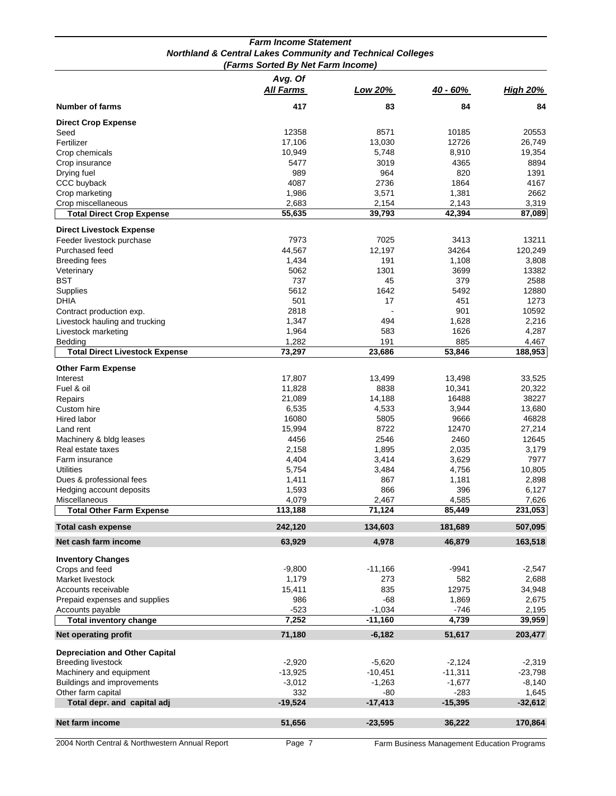|                                       | (Farms Sorted By Net Farm Income) |                |            |                 |
|---------------------------------------|-----------------------------------|----------------|------------|-----------------|
|                                       | Avg. Of                           |                |            |                 |
|                                       | <b>All Farms</b>                  | <u>Low 20%</u> | $40 - 60%$ | <b>High 20%</b> |
| <b>Number of farms</b>                | 417                               | 83             | 84         | 84              |
| <b>Direct Crop Expense</b>            |                                   |                |            |                 |
| Seed                                  | 12358                             | 8571           | 10185      | 20553           |
| Fertilizer                            | 17,106                            | 13,030         | 12726      | 26,749          |
| Crop chemicals                        | 10,949                            | 5,748          | 8,910      | 19,354          |
| Crop insurance                        | 5477                              | 3019           | 4365       | 8894            |
| Drying fuel                           | 989                               | 964            | 820        | 1391            |
| CCC buyback                           | 4087                              | 2736           | 1864       | 4167            |
| Crop marketing                        | 1,986                             | 3,571          | 1,381      | 2662            |
| Crop miscellaneous                    | 2,683                             | 2,154          | 2,143      | 3,319           |
| <b>Total Direct Crop Expense</b>      | 55,635                            | 39,793         | 42,394     | 87,089          |
| <b>Direct Livestock Expense</b>       |                                   |                |            |                 |
| Feeder livestock purchase             | 7973                              | 7025           | 3413       | 13211           |
| Purchased feed                        | 44,567                            | 12,197         | 34264      | 120,249         |
| <b>Breeding fees</b>                  | 1,434                             | 191            | 1,108      |                 |
|                                       | 5062                              | 1301           | 3699       | 3,808<br>13382  |
| Veterinary                            |                                   |                |            |                 |
| <b>BST</b>                            | 737                               | 45             | 379        | 2588            |
| Supplies                              | 5612                              | 1642           | 5492       | 12880           |
| <b>DHIA</b>                           | 501                               | 17             | 451        | 1273            |
| Contract production exp.              | 2818                              |                | 901        | 10592           |
| Livestock hauling and trucking        | 1,347                             | 494            | 1,628      | 2,216           |
| Livestock marketing                   | 1,964                             | 583            | 1626       | 4,287           |
| Bedding                               | 1,282                             | 191            | 885        | 4,467           |
| <b>Total Direct Livestock Expense</b> | 73,297                            | 23,686         | 53,846     | 188,953         |
| <b>Other Farm Expense</b>             |                                   |                |            |                 |
| Interest                              | 17,807                            | 13,499         | 13,498     | 33,525          |
| Fuel & oil                            | 11,828                            | 8838           | 10,341     | 20,322          |
| Repairs                               | 21,089                            | 14,188         | 16488      | 38227           |
| Custom hire                           | 6,535                             | 4,533          | 3,944      | 13,680          |
|                                       | 16080                             | 5805           | 9666       | 46828           |
| Hired labor                           |                                   |                |            |                 |
| Land rent                             | 15,994                            | 8722           | 12470      | 27,214          |
| Machinery & bldg leases               | 4456                              | 2546           | 2460       | 12645           |
| Real estate taxes                     | 2,158                             | 1,895          | 2,035      | 3,179           |
| Farm insurance                        | 4,404                             | 3,414          | 3,629      | 7977            |
| <b>Utilities</b>                      | 5,754                             | 3,484          | 4,756      | 10,805          |
| Dues & professional fees              | 1,411                             | 867            | 1,181      | 2,898           |
| Hedging account deposits              | 1,593                             | 866            | 396        | 6,127           |
| Miscellaneous                         | 4,079                             | 2,467          | 4,585      | 7,626           |
| <b>Total Other Farm Expense</b>       | 113,188                           | 71.124         | 85.449     | 231,053         |
| Total cash expense                    | 242,120                           | 134,603        | 181,689    | 507,095         |
| Net cash farm income                  | 63,929                            | 4,978          | 46,879     | 163,518         |
| <b>Inventory Changes</b>              |                                   |                |            |                 |
| Crops and feed                        | -9,800                            | $-11,166$      | -9941      | $-2,547$        |
| Market livestock                      | 1,179                             | 273            | 582        | 2,688           |
|                                       |                                   | 835            | 12975      |                 |
| Accounts receivable                   | 15,411                            |                |            | 34,948          |
| Prepaid expenses and supplies         | 986                               | -68            | 1,869      | 2,675           |
| Accounts payable                      | $-523$                            | $-1,034$       | $-746$     | 2,195           |
| <b>Total inventory change</b>         | 7,252                             | $-11,160$      | 4,739      | 39,959          |
| <b>Net operating profit</b>           | 71,180                            | $-6,182$       | 51,617     | 203,477         |
| <b>Depreciation and Other Capital</b> |                                   |                |            |                 |
| <b>Breeding livestock</b>             | $-2,920$                          | $-5,620$       | $-2,124$   | $-2,319$        |
| Machinery and equipment               | $-13,925$                         | $-10,451$      | $-11,311$  | $-23,798$       |
| Buildings and improvements            | $-3,012$                          | $-1,263$       | $-1,677$   | $-8,140$        |
| Other farm capital                    | 332                               | -80            | $-283$     | 1,645           |
| Total depr. and capital adj           | $-19,524$                         | $-17,413$      | $-15,395$  | $-32,612$       |
|                                       |                                   |                |            |                 |
| Net farm income                       | 51,656                            | $-23,595$      | 36,222     | 170,864         |
|                                       |                                   |                |            |                 |

## *Farm Income Statement Northland & Central Lakes Community and Technical Colleges*

2004 North Central & Northwestern Annual Report Fage 7 Farm Business Management Education Programs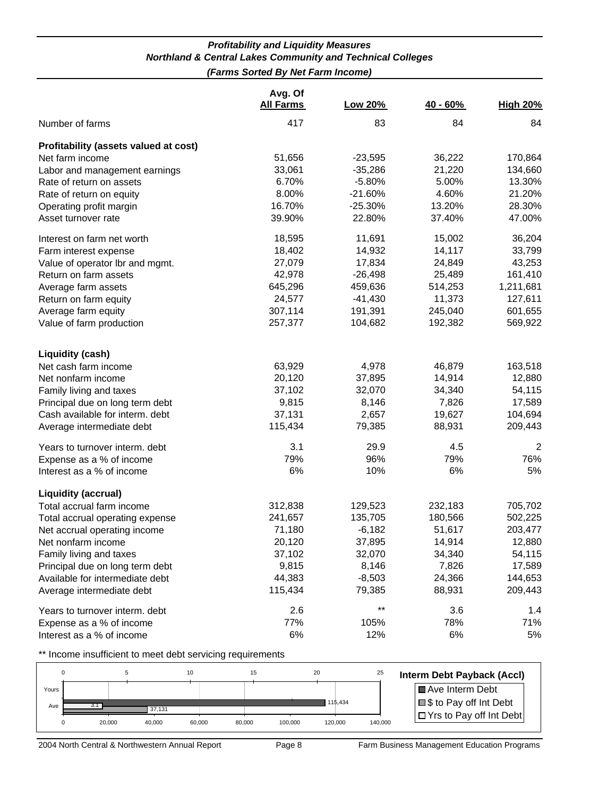#### *Profitability and Liquidity Measures Northland & Central Lakes Community and Technical Colleges (Farms Sorted By Net Farm Income)*

|                                                 | Avg. Of<br><b>All Farms</b> | Low 20%   | $40 - 60%$ | <b>High 20%</b> |
|-------------------------------------------------|-----------------------------|-----------|------------|-----------------|
| Number of farms                                 | 417                         | 83        | 84         | 84              |
| Profitability (assets valued at cost)           |                             |           |            |                 |
| Net farm income                                 | 51,656                      | $-23,595$ | 36,222     | 170,864         |
| Labor and management earnings                   | 33,061                      | $-35,286$ | 21,220     | 134,660         |
| Rate of return on assets                        | 6.70%                       | $-5.80%$  | 5.00%      | 13.30%          |
| Rate of return on equity                        | 8.00%                       | $-21.60%$ | 4.60%      | 21.20%          |
| Operating profit margin                         | 16.70%                      | $-25.30%$ | 13.20%     | 28.30%          |
| Asset turnover rate                             | 39.90%                      | 22.80%    | 37.40%     | 47.00%          |
| Interest on farm net worth                      | 18,595                      | 11,691    | 15,002     | 36,204          |
| Farm interest expense                           | 18,402                      | 14,932    | 14,117     | 33,799          |
| Value of operator lbr and mgmt.                 | 27,079                      | 17,834    | 24,849     | 43,253          |
| Return on farm assets                           | 42,978                      | $-26,498$ | 25,489     | 161,410         |
| Average farm assets                             | 645,296                     | 459,636   | 514,253    | 1,211,681       |
| Return on farm equity                           | 24,577                      | $-41,430$ | 11,373     | 127,611         |
| Average farm equity                             | 307,114                     | 191,391   | 245,040    | 601,655         |
| Value of farm production                        | 257,377                     | 104,682   | 192,382    | 569,922         |
|                                                 |                             |           |            |                 |
| <b>Liquidity (cash)</b><br>Net cash farm income | 63,929                      | 4,978     | 46,879     | 163,518         |
| Net nonfarm income                              | 20,120                      | 37,895    | 14,914     | 12,880          |
| Family living and taxes                         | 37,102                      | 32,070    | 34,340     | 54,115          |
| Principal due on long term debt                 | 9,815                       | 8,146     | 7,826      | 17,589          |
| Cash available for interm. debt                 | 37,131                      | 2,657     | 19,627     | 104,694         |
| Average intermediate debt                       | 115,434                     | 79,385    | 88,931     | 209,443         |
| Years to turnover interm. debt                  | 3.1                         | 29.9      | 4.5        | $\overline{2}$  |
| Expense as a % of income                        | 79%                         | 96%       | 79%        | 76%             |
| Interest as a % of income                       | 6%                          | 10%       | 6%         | 5%              |
| <b>Liquidity (accrual)</b>                      |                             |           |            |                 |
| Total accrual farm income                       | 312,838                     | 129,523   | 232,183    | 705,702         |
| Total accrual operating expense                 | 241,657                     | 135,705   | 180,566    | 502,225         |
| Net accrual operating income                    | 71,180                      | $-6,182$  | 51,617     | 203,477         |
| Net nonfarm income                              | 20,120                      | 37,895    | 14,914     | 12,880          |
| Family living and taxes                         | 37,102                      | 32,070    | 34,340     | 54,115          |
| Principal due on long term debt                 | 9,815                       | 8,146     | 7,826      | 17,589          |
| Available for intermediate debt                 | 44,383                      | $-8,503$  | 24,366     | 144,653         |
| Average intermediate debt                       | 115,434                     | 79,385    | 88,931     | 209,443         |
| Years to turnover interm. debt                  | 2.6                         | $***$     | 3.6        | 1.4             |
| Expense as a % of income                        | 77%                         | 105%      | 78%        | 71%             |
| Interest as a % of income                       | 6%                          | 12%       | 6%         | 5%              |

\*\* Income insufficient to meet debt servicing requirements



2004 North Central & Northwestern Annual Report Page 8 Farm Business Management Education Programs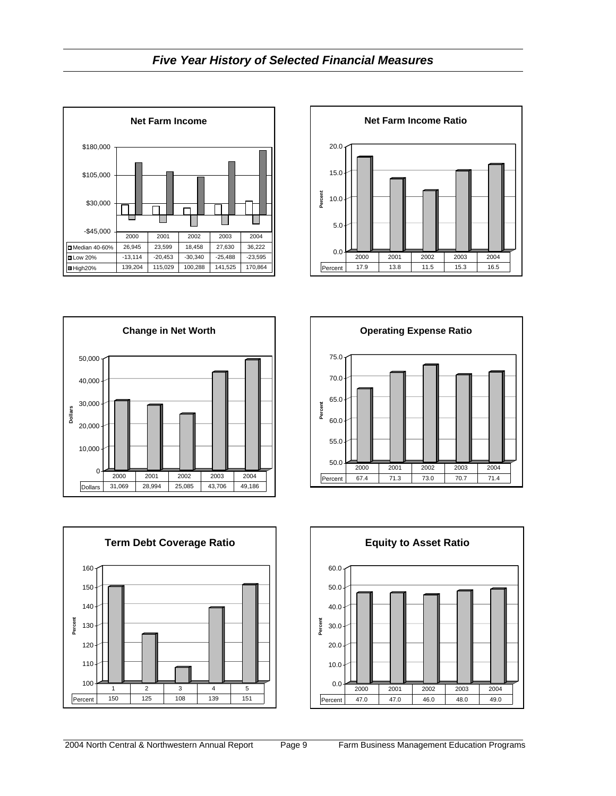











100

**Percent**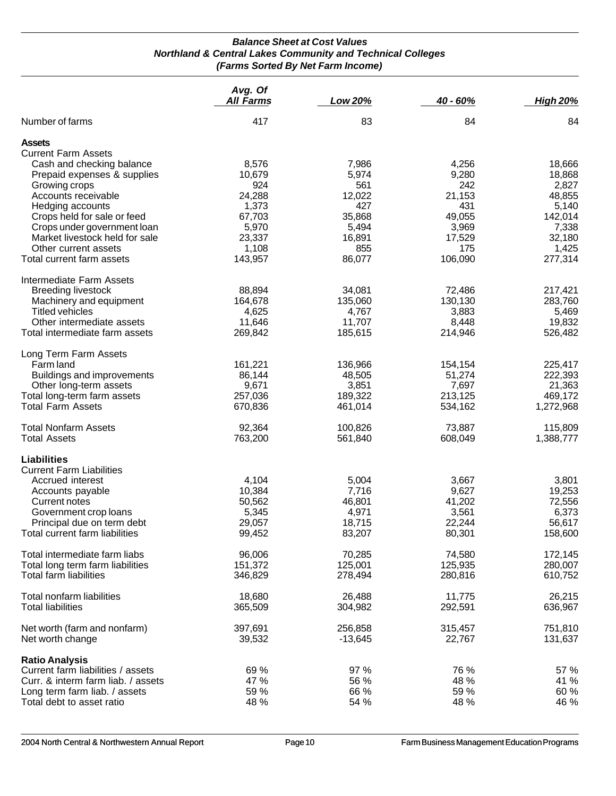#### *Balance Sheet at Cost Values Northland & Central Lakes Community and Technical Colleges (Farms Sorted By Net Farm Income)*

|                                    | Avg. Of          |           |          |                 |
|------------------------------------|------------------|-----------|----------|-----------------|
|                                    | <b>All Farms</b> | Low 20%   | 40 - 60% | <b>High 20%</b> |
| Number of farms                    | 417              | 83        | 84       | 84              |
| <b>Assets</b>                      |                  |           |          |                 |
| <b>Current Farm Assets</b>         |                  |           |          |                 |
| Cash and checking balance          | 8,576            | 7,986     | 4,256    | 18,666          |
| Prepaid expenses & supplies        | 10,679           | 5,974     | 9,280    | 18,868          |
| Growing crops                      | 924              | 561       | 242      | 2,827           |
| Accounts receivable                | 24,288           | 12,022    | 21,153   | 48,855          |
| Hedging accounts                   | 1,373            | 427       | 431      | 5,140           |
| Crops held for sale or feed        | 67,703           | 35,868    | 49,055   | 142,014         |
| Crops under government loan        | 5,970            | 5,494     | 3,969    | 7,338           |
| Market livestock held for sale     | 23,337           | 16,891    | 17,529   | 32,180          |
| Other current assets               | 1,108            | 855       | 175      | 1,425           |
| Total current farm assets          | 143,957          | 86,077    | 106,090  | 277,314         |
| Intermediate Farm Assets           |                  |           |          |                 |
| <b>Breeding livestock</b>          | 88,894           | 34,081    | 72,486   | 217,421         |
| Machinery and equipment            | 164,678          | 135,060   | 130,130  | 283,760         |
| <b>Titled vehicles</b>             | 4,625            | 4,767     | 3,883    | 5,469           |
| Other intermediate assets          | 11,646           | 11,707    | 8,448    | 19,832          |
| Total intermediate farm assets     | 269,842          | 185,615   | 214,946  | 526,482         |
| Long Term Farm Assets              |                  |           |          |                 |
| Farm land                          | 161,221          | 136,966   | 154,154  | 225,417         |
| Buildings and improvements         | 86,144           | 48,505    | 51,274   | 222,393         |
| Other long-term assets             | 9,671            | 3,851     | 7,697    | 21,363          |
| Total long-term farm assets        | 257,036          | 189,322   | 213,125  | 469,172         |
| <b>Total Farm Assets</b>           | 670,836          | 461,014   | 534,162  | 1,272,968       |
| <b>Total Nonfarm Assets</b>        | 92,364           | 100,826   | 73,887   | 115,809         |
| <b>Total Assets</b>                | 763,200          | 561,840   | 608,049  | 1,388,777       |
| <b>Liabilities</b>                 |                  |           |          |                 |
| <b>Current Farm Liabilities</b>    |                  |           |          |                 |
| Accrued interest                   | 4,104            | 5,004     | 3,667    | 3,801           |
| Accounts payable                   | 10,384           | 7,716     | 9,627    | 19,253          |
| Current notes                      | 50,562           | 46,801    | 41,202   | 72,556          |
| Government crop loans              | 5,345            | 4,971     | 3,561    | 6,373           |
| Principal due on term debt         | 29,057           | 18,715    | 22,244   | 56,617          |
| Total current farm liabilities     | 99,452           | 83,207    | 80,301   | 158,600         |
| Total intermediate farm liabs      | 96,006           | 70,285    | 74,580   | 172,145         |
| Total long term farm liabilities   | 151,372          | 125,001   | 125,935  | 280,007         |
| <b>Total farm liabilities</b>      | 346,829          | 278,494   | 280,816  | 610,752         |
| Total nonfarm liabilities          | 18,680           | 26,488    | 11,775   | 26,215          |
| <b>Total liabilities</b>           | 365,509          | 304,982   | 292,591  | 636,967         |
| Net worth (farm and nonfarm)       | 397,691          | 256,858   | 315,457  | 751,810         |
| Net worth change                   | 39,532           | $-13,645$ | 22,767   | 131,637         |
| <b>Ratio Analysis</b>              |                  |           |          |                 |
| Current farm liabilities / assets  | 69 %             | 97 %      | 76 %     | 57 %            |
| Curr. & interm farm liab. / assets | 47 %             | 56 %      | 48 %     | 41 %            |
| Long term farm liab. / assets      | 59 %             | 66 %      | 59 %     | 60 %            |
| Total debt to asset ratio          | 48 %             | 54 %      | 48 %     | 46 %            |
|                                    |                  |           |          |                 |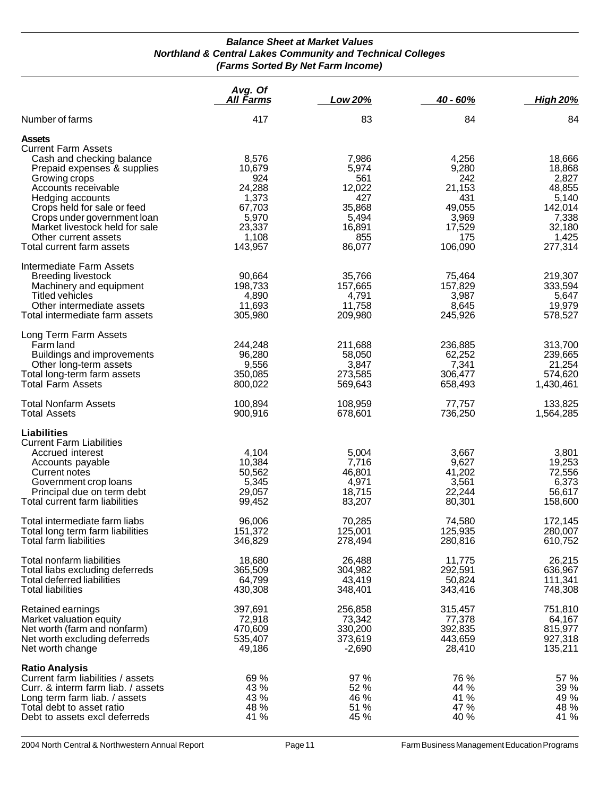#### *Balance Sheet at Market Values Northland & Central Lakes Community and Technical Colleges (Farms Sorted By Net Farm Income)*

|                                                                                                                                                                                                                                                                                                                          | Avg. Of<br><u>All Farms</u>                                                                | Low 20%                                                                              | $40 - 60%$                                                                            | <b>High 20%</b>                                                                                |
|--------------------------------------------------------------------------------------------------------------------------------------------------------------------------------------------------------------------------------------------------------------------------------------------------------------------------|--------------------------------------------------------------------------------------------|--------------------------------------------------------------------------------------|---------------------------------------------------------------------------------------|------------------------------------------------------------------------------------------------|
| Number of farms                                                                                                                                                                                                                                                                                                          | 417                                                                                        | 83                                                                                   | 84                                                                                    | 84                                                                                             |
| <b>Assets</b><br><b>Current Farm Assets</b><br>Cash and checking balance<br>Prepaid expenses & supplies<br>Growing crops<br>Accounts receivable<br>Hedging accounts<br>Crops held for sale or feed<br>Crops under government loan<br>Market livestock held for sale<br>Other current assets<br>Total current farm assets | 8,576<br>10,679<br>924<br>24,288<br>1,373<br>67,703<br>5,970<br>23,337<br>1,108<br>143,957 | 7,986<br>5,974<br>561<br>12,022<br>427<br>35,868<br>5,494<br>16,891<br>855<br>86,077 | 4,256<br>9,280<br>242<br>21,153<br>431<br>49,055<br>3,969<br>17,529<br>175<br>106,090 | 18,666<br>18,868<br>2,827<br>48,855<br>5,140<br>142,014<br>7,338<br>32,180<br>1,425<br>277,314 |
| Intermediate Farm Assets<br><b>Breeding livestock</b><br>Machinery and equipment<br><b>Titled vehicles</b><br>Other intermediate assets<br>Total intermediate farm assets                                                                                                                                                | 90,664<br>198,733<br>4,890<br>11,693<br>305,980                                            | 35,766<br>157,665<br>4,791<br>11,758<br>209,980                                      | 75,464<br>157,829<br>3,987<br>8,645<br>245,926                                        | 219,307<br>333,594<br>5,647<br>19,979<br>578,527                                               |
| Long Term Farm Assets<br>Farm land<br>Buildings and improvements<br>Other long-term assets<br>Total long-term farm assets<br><b>Total Farm Assets</b>                                                                                                                                                                    | 244,248<br>96,280<br>9,556<br>350,085<br>800,022                                           | 211,688<br>58,050<br>3,847<br>273,585<br>569,643                                     | 236,885<br>62,252<br>7,341<br>306,477<br>658,493                                      | 313,700<br>239,665<br>21,254<br>574,620<br>1,430,461                                           |
| <b>Total Nonfarm Assets</b><br><b>Total Assets</b>                                                                                                                                                                                                                                                                       | 100,894<br>900,916                                                                         | 108,959<br>678,601                                                                   | 77,757<br>736,250                                                                     | 133,825<br>1,564,285                                                                           |
| Liabilities<br><b>Current Farm Liabilities</b><br>Accrued interest<br>Accounts payable<br>Current notes<br>Government crop loans<br>Principal due on term debt<br>Total current farm liabilities                                                                                                                         | 4,104<br>10,384<br>50,562<br>5,345<br>29,057<br>99,452                                     | 5,004<br>7,716<br>46,801<br>4,971<br>18,715<br>83,207                                | 3,667<br>9,627<br>41,202<br>3,561<br>22,244<br>80,301                                 | 3,801<br>19,253<br>72,556<br>6,373<br>56,617<br>158,600                                        |
| Total intermediate farm liabs<br>Total long term farm liabilities<br>Total farm liabilities                                                                                                                                                                                                                              | 96,006<br>151,372<br>346,829                                                               | 70,285<br>125,001<br>278,494                                                         | 74,580<br>125,935<br>280,816                                                          | 172,145<br>280,007<br>610,752                                                                  |
| Total nonfarm liabilities<br>Total liabs excluding deferreds<br><b>Total deferred liabilities</b><br><b>Total liabilities</b>                                                                                                                                                                                            | 18,680<br>365,509<br>64,799<br>430,308                                                     | 26,488<br>304,982<br>43,419<br>348,401                                               | 11,775<br>292,591<br>50,824<br>343,416                                                | 26,215<br>636,967<br>111,341<br>748,308                                                        |
| Retained earnings<br>Market valuation equity<br>Net worth (farm and nonfarm)<br>Net worth excluding deferreds<br>Net worth change                                                                                                                                                                                        | 397,691<br>72,918<br>470,609<br>535,407<br>49,186                                          | 256,858<br>73,342<br>330,200<br>373,619<br>$-2,690$                                  | 315,457<br>77,378<br>392,835<br>443,659<br>28,410                                     | 751,810<br>64,167<br>815,977<br>927,318<br>135,211                                             |
| <b>Ratio Analysis</b><br>Current farm liabilities / assets<br>Curr. & interm farm liab. / assets<br>Long term farm liab. / assets<br>Total debt to asset ratio<br>Debt to assets excl deferreds                                                                                                                          | 69 %<br>43 %<br>43 %<br>48 %<br>41 %                                                       | 97%<br>52 %<br>46 %<br>51 %<br>45 %                                                  | 76 %<br>44 %<br>41 %<br>47 %<br>40 %                                                  | 57 %<br>39 %<br>49 %<br>48 %<br>41 %                                                           |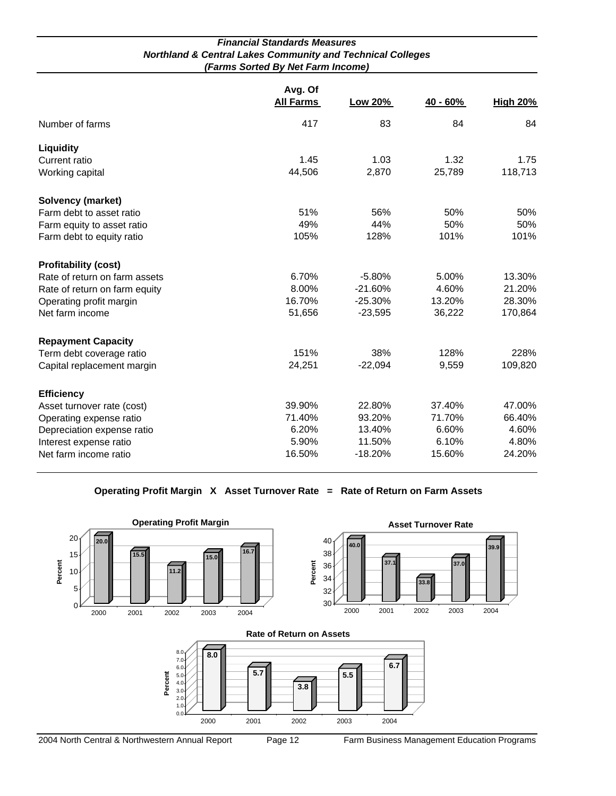| <b>Financial Standards Measures</b>                                   |
|-----------------------------------------------------------------------|
| <b>Northland &amp; Central Lakes Community and Technical Colleges</b> |
| (Farms Sorted By Net Farm Income)                                     |

|                               | Avg. Of<br><b>All Farms</b> | Low 20%   | 40 - 60% | <b>High 20%</b> |
|-------------------------------|-----------------------------|-----------|----------|-----------------|
| Number of farms               | 417                         | 83        | 84       | 84              |
| Liquidity                     |                             |           |          |                 |
| Current ratio                 | 1.45                        | 1.03      | 1.32     | 1.75            |
| Working capital               | 44,506                      | 2,870     | 25,789   | 118,713         |
| <b>Solvency (market)</b>      |                             |           |          |                 |
| Farm debt to asset ratio      | 51%                         | 56%       | 50%      | 50%             |
| Farm equity to asset ratio    | 49%                         | 44%       | 50%      | 50%             |
| Farm debt to equity ratio     | 105%                        | 128%      | 101%     | 101%            |
| <b>Profitability (cost)</b>   |                             |           |          |                 |
| Rate of return on farm assets | 6.70%                       | $-5.80%$  | 5.00%    | 13.30%          |
| Rate of return on farm equity | 8.00%                       | $-21.60%$ | 4.60%    | 21.20%          |
| Operating profit margin       | 16.70%                      | $-25.30%$ | 13.20%   | 28.30%          |
| Net farm income               | 51,656                      | $-23,595$ | 36,222   | 170,864         |
| <b>Repayment Capacity</b>     |                             |           |          |                 |
| Term debt coverage ratio      | 151%                        | 38%       | 128%     | 228%            |
| Capital replacement margin    | 24,251                      | $-22,094$ | 9,559    | 109,820         |
| <b>Efficiency</b>             |                             |           |          |                 |
| Asset turnover rate (cost)    | 39.90%                      | 22.80%    | 37.40%   | 47.00%          |
| Operating expense ratio       | 71.40%                      | 93.20%    | 71.70%   | 66.40%          |
| Depreciation expense ratio    | 6.20%                       | 13.40%    | 6.60%    | 4.60%           |
| Interest expense ratio        | 5.90%                       | 11.50%    | 6.10%    | 4.80%           |
| Net farm income ratio         | 16.50%                      | $-18.20%$ | 15.60%   | 24.20%          |

**Operating Profit Margin X Asset Turnover Rate = Rate of Return on Farm Assets**

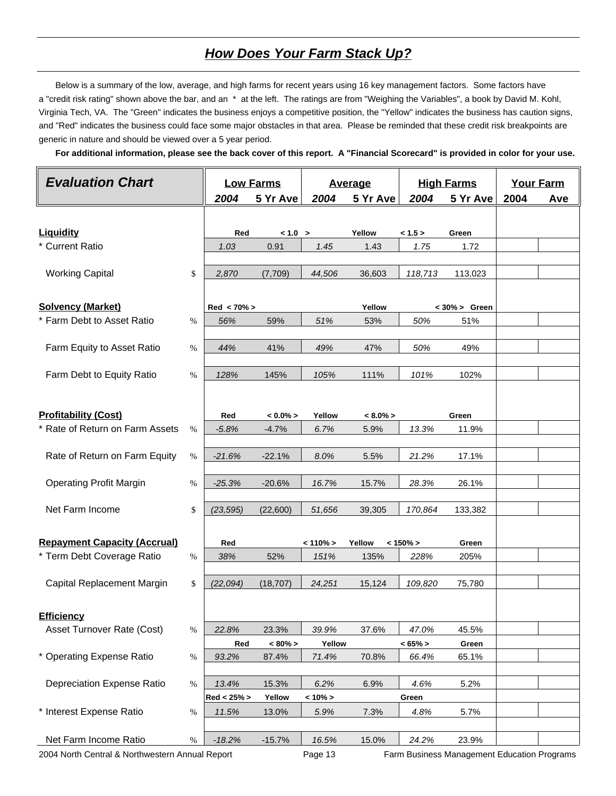## *How Does Your Farm Stack Up?*

 Below is a summary of the low, average, and high farms for recent years using 16 key management factors. Some factors have a "credit risk rating" shown above the bar, and an \* at the left. The ratings are from "Weighing the Variables", a book by David M. Kohl, Virginia Tech, VA. The "Green" indicates the business enjoys a competitive position, the "Yellow" indicates the business has caution signs, and "Red" indicates the business could face some major obstacles in that area. Please be reminded that these credit risk breakpoints are generic in nature and should be viewed over a 5 year period.

 **For additional information, please see the back cover of this report. A "Financial Scorecard" is provided in color for your use.**

| <b>Evaluation Chart</b>                         |      | <b>Low Farms</b> |             |             | <b>Average</b> | <b>High Farms</b> |                                             | <b>Your Farm</b> |     |
|-------------------------------------------------|------|------------------|-------------|-------------|----------------|-------------------|---------------------------------------------|------------------|-----|
|                                                 |      | 2004             | 5 Yr Ave    | 2004        | 5 Yr Ave       | 2004              | 5 Yr Ave                                    | 2004             | Ave |
|                                                 |      |                  |             |             |                |                   |                                             |                  |     |
| Liquidity                                       |      | Red              | < 1.0 >     |             | Yellow         | < 1.5 >           | Green                                       |                  |     |
| * Current Ratio                                 |      | 1.03             | 0.91        | 1.45        | 1.43           | 1.75              | 1.72                                        |                  |     |
|                                                 |      |                  |             |             |                |                   |                                             |                  |     |
| <b>Working Capital</b>                          | \$   | 2,870            | (7,709)     | 44,506      | 36,603         | 118,713           | 113,023                                     |                  |     |
|                                                 |      |                  |             |             |                |                   |                                             |                  |     |
| <b>Solvency (Market)</b>                        |      | $Red < 70\% >$   |             |             | Yellow         |                   | $< 30\% >$ Green                            |                  |     |
| * Farm Debt to Asset Ratio                      | %    | 56%              | 59%         | 51%         | 53%            | 50%               | 51%                                         |                  |     |
|                                                 |      |                  |             |             |                |                   |                                             |                  |     |
| Farm Equity to Asset Ratio                      | %    | 44%              | 41%         | 49%         | 47%            | 50%               | 49%                                         |                  |     |
| Farm Debt to Equity Ratio                       | %    | 128%             | 145%        | 105%        | 111%           | 101%              | 102%                                        |                  |     |
|                                                 |      |                  |             |             |                |                   |                                             |                  |     |
| <b>Profitability (Cost)</b>                     |      | Red              | $< 0.0\% >$ | Yellow      | $< 8.0\% >$    |                   | Green                                       |                  |     |
| * Rate of Return on Farm Assets                 | $\%$ | $-5.8%$          | $-4.7%$     | 6.7%        | 5.9%           | 13.3%             | 11.9%                                       |                  |     |
|                                                 |      |                  |             |             |                |                   |                                             |                  |     |
| Rate of Return on Farm Equity                   | $\%$ | $-21.6%$         | $-22.1%$    | 8.0%        | 5.5%           | 21.2%             | 17.1%                                       |                  |     |
|                                                 |      |                  |             |             |                |                   |                                             |                  |     |
| <b>Operating Profit Margin</b>                  | %    | $-25.3%$         | $-20.6%$    | 16.7%       | 15.7%          | 28.3%             | 26.1%                                       |                  |     |
|                                                 |      |                  |             |             |                |                   |                                             |                  |     |
| Net Farm Income                                 | \$   | (23, 595)        | (22,600)    | 51,656      | 39,305         | 170,864           | 133,382                                     |                  |     |
|                                                 |      |                  |             |             |                |                   |                                             |                  |     |
| <b>Repayment Capacity (Accrual)</b>             |      | Red              |             | $< 110\% >$ | Yellow         | $< 150\% >$       | Green                                       |                  |     |
| * Term Debt Coverage Ratio                      | %    | 38%              | 52%         | 151%        | 135%           | 228%              | 205%                                        |                  |     |
|                                                 |      |                  |             |             |                |                   |                                             |                  |     |
| Capital Replacement Margin                      | \$   | (22,094)         | (18, 707)   | 24,251      | 15,124         | 109,820           | 75,780                                      |                  |     |
|                                                 |      |                  |             |             |                |                   |                                             |                  |     |
| <b>Efficiency</b>                               |      |                  |             |             |                |                   |                                             |                  |     |
| Asset Turnover Rate (Cost)                      | %    | 22.8%            | 23.3%       | 39.9%       | 37.6%          | 47.0%             | 45.5%                                       |                  |     |
|                                                 |      | Red              | $< 80\% >$  | Yellow      |                | $< 65\% >$        | Green                                       |                  |     |
| * Operating Expense Ratio                       | $\%$ | 93.2%            | 87.4%       | 71.4%       | 70.8%          | 66.4%             | 65.1%                                       |                  |     |
|                                                 |      |                  |             |             |                |                   |                                             |                  |     |
| <b>Depreciation Expense Ratio</b>               | %    | 13.4%            | 15.3%       | 6.2%        | 6.9%           | 4.6%              | 5.2%                                        |                  |     |
|                                                 |      | Red < 25% >      | Yellow      | $< 10\% >$  |                | Green             |                                             |                  |     |
| * Interest Expense Ratio                        | %    | 11.5%            | 13.0%       | 5.9%        | 7.3%           | 4.8%              | 5.7%                                        |                  |     |
|                                                 |      |                  |             |             |                |                   |                                             |                  |     |
| Net Farm Income Ratio                           | $\%$ | $-18.2%$         | $-15.7%$    | 16.5%       | 15.0%          | 24.2%             | 23.9%                                       |                  |     |
| 2004 North Central & Northwestern Annual Report |      |                  |             | Page 13     |                |                   | Farm Business Management Education Programs |                  |     |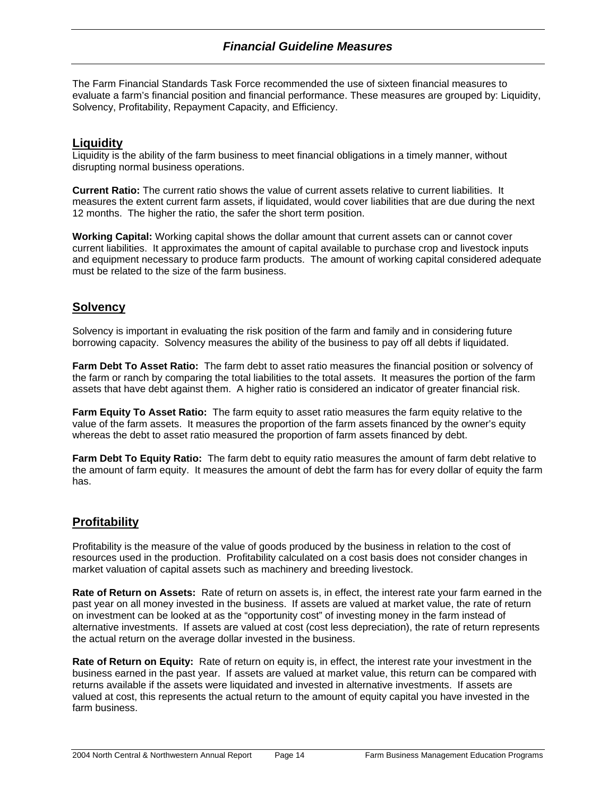The Farm Financial Standards Task Force recommended the use of sixteen financial measures to evaluate a farm's financial position and financial performance. These measures are grouped by: Liquidity, Solvency, Profitability, Repayment Capacity, and Efficiency.

### **Liquidity**

Liquidity is the ability of the farm business to meet financial obligations in a timely manner, without disrupting normal business operations.

**Current Ratio:** The current ratio shows the value of current assets relative to current liabilities. It measures the extent current farm assets, if liquidated, would cover liabilities that are due during the next 12 months. The higher the ratio, the safer the short term position.

**Working Capital:** Working capital shows the dollar amount that current assets can or cannot cover current liabilities. It approximates the amount of capital available to purchase crop and livestock inputs and equipment necessary to produce farm products. The amount of working capital considered adequate must be related to the size of the farm business.

### **Solvency**

Solvency is important in evaluating the risk position of the farm and family and in considering future borrowing capacity. Solvency measures the ability of the business to pay off all debts if liquidated.

**Farm Debt To Asset Ratio:** The farm debt to asset ratio measures the financial position or solvency of the farm or ranch by comparing the total liabilities to the total assets. It measures the portion of the farm assets that have debt against them. A higher ratio is considered an indicator of greater financial risk.

**Farm Equity To Asset Ratio:** The farm equity to asset ratio measures the farm equity relative to the value of the farm assets. It measures the proportion of the farm assets financed by the owner's equity whereas the debt to asset ratio measured the proportion of farm assets financed by debt.

**Farm Debt To Equity Ratio:** The farm debt to equity ratio measures the amount of farm debt relative to the amount of farm equity. It measures the amount of debt the farm has for every dollar of equity the farm has.

## **Profitability**

Profitability is the measure of the value of goods produced by the business in relation to the cost of resources used in the production. Profitability calculated on a cost basis does not consider changes in market valuation of capital assets such as machinery and breeding livestock.

**Rate of Return on Assets:** Rate of return on assets is, in effect, the interest rate your farm earned in the past year on all money invested in the business. If assets are valued at market value, the rate of return on investment can be looked at as the "opportunity cost" of investing money in the farm instead of alternative investments. If assets are valued at cost (cost less depreciation), the rate of return represents the actual return on the average dollar invested in the business.

**Rate of Return on Equity:** Rate of return on equity is, in effect, the interest rate your investment in the business earned in the past year. If assets are valued at market value, this return can be compared with returns available if the assets were liquidated and invested in alternative investments. If assets are valued at cost, this represents the actual return to the amount of equity capital you have invested in the farm business.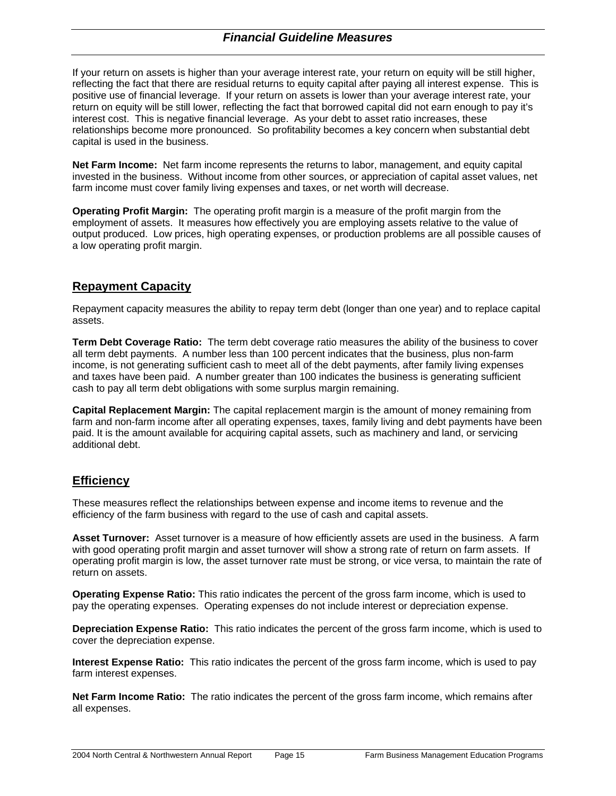If your return on assets is higher than your average interest rate, your return on equity will be still higher, reflecting the fact that there are residual returns to equity capital after paying all interest expense. This is positive use of financial leverage. If your return on assets is lower than your average interest rate, your return on equity will be still lower, reflecting the fact that borrowed capital did not earn enough to pay it's interest cost. This is negative financial leverage. As your debt to asset ratio increases, these relationships become more pronounced. So profitability becomes a key concern when substantial debt capital is used in the business.

**Net Farm Income:** Net farm income represents the returns to labor, management, and equity capital invested in the business. Without income from other sources, or appreciation of capital asset values, net farm income must cover family living expenses and taxes, or net worth will decrease.

**Operating Profit Margin:** The operating profit margin is a measure of the profit margin from the employment of assets. It measures how effectively you are employing assets relative to the value of output produced. Low prices, high operating expenses, or production problems are all possible causes of a low operating profit margin.

## **Repayment Capacity**

Repayment capacity measures the ability to repay term debt (longer than one year) and to replace capital assets.

**Term Debt Coverage Ratio:** The term debt coverage ratio measures the ability of the business to cover all term debt payments. A number less than 100 percent indicates that the business, plus non-farm income, is not generating sufficient cash to meet all of the debt payments, after family living expenses and taxes have been paid. A number greater than 100 indicates the business is generating sufficient cash to pay all term debt obligations with some surplus margin remaining.

**Capital Replacement Margin:** The capital replacement margin is the amount of money remaining from farm and non-farm income after all operating expenses, taxes, family living and debt payments have been paid. It is the amount available for acquiring capital assets, such as machinery and land, or servicing additional debt.

## **Efficiency**

These measures reflect the relationships between expense and income items to revenue and the efficiency of the farm business with regard to the use of cash and capital assets.

**Asset Turnover:** Asset turnover is a measure of how efficiently assets are used in the business. A farm with good operating profit margin and asset turnover will show a strong rate of return on farm assets. If operating profit margin is low, the asset turnover rate must be strong, or vice versa, to maintain the rate of return on assets.

**Operating Expense Ratio:** This ratio indicates the percent of the gross farm income, which is used to pay the operating expenses. Operating expenses do not include interest or depreciation expense.

**Depreciation Expense Ratio:** This ratio indicates the percent of the gross farm income, which is used to cover the depreciation expense.

**Interest Expense Ratio:** This ratio indicates the percent of the gross farm income, which is used to pay farm interest expenses.

**Net Farm Income Ratio:** The ratio indicates the percent of the gross farm income, which remains after all expenses.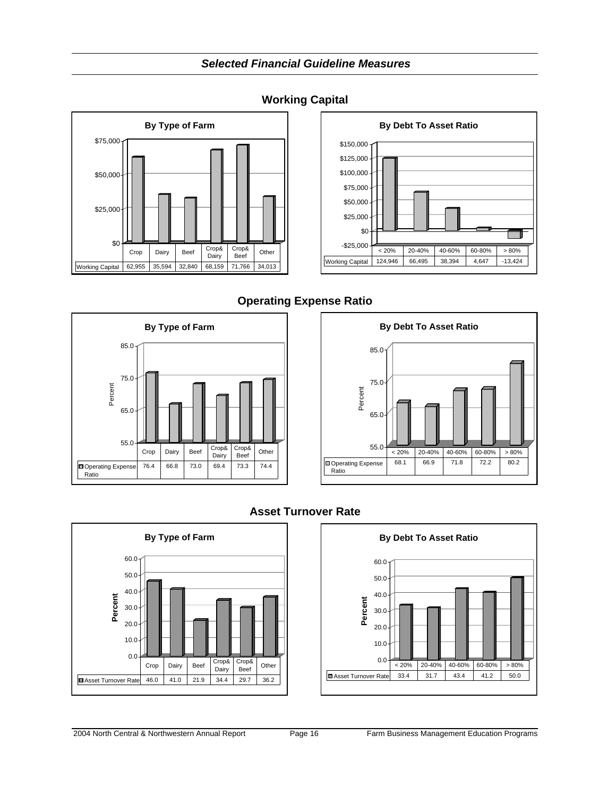*Selected Financial Guideline Measures*





## **Operating Expense Ratio**





## **Asset Turnover Rate**



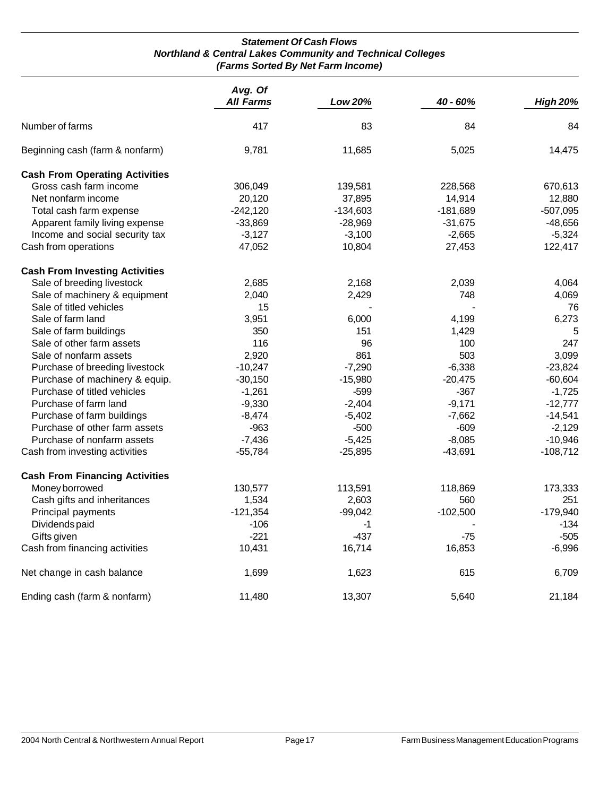#### *Statement Of Cash Flows Northland & Central Lakes Community and Technical Colleges (Farms Sorted By Net Farm Income)*

|                                       | Avg. Of<br><b>All Farms</b> | <b>Low 20%</b> | 40 - 60%   | <b>High 20%</b> |
|---------------------------------------|-----------------------------|----------------|------------|-----------------|
| Number of farms                       | 417                         | 83             | 84         | 84              |
| Beginning cash (farm & nonfarm)       | 9,781                       | 11,685         | 5,025      | 14,475          |
| <b>Cash From Operating Activities</b> |                             |                |            |                 |
| Gross cash farm income                | 306,049                     | 139,581        | 228,568    | 670,613         |
| Net nonfarm income                    | 20,120                      | 37,895         | 14,914     | 12,880          |
| Total cash farm expense               | $-242,120$                  | $-134,603$     | $-181,689$ | $-507,095$      |
| Apparent family living expense        | $-33,869$                   | $-28,969$      | $-31,675$  | $-48,656$       |
| Income and social security tax        | $-3,127$                    | $-3,100$       | $-2,665$   | $-5,324$        |
| Cash from operations                  | 47,052                      | 10,804         | 27,453     | 122,417         |
| <b>Cash From Investing Activities</b> |                             |                |            |                 |
| Sale of breeding livestock            | 2,685                       | 2,168          | 2,039      | 4,064           |
| Sale of machinery & equipment         | 2,040                       | 2,429          | 748        | 4,069           |
| Sale of titled vehicles               | 15                          |                |            | 76              |
| Sale of farm land                     | 3,951                       | 6,000          | 4,199      | 6,273           |
| Sale of farm buildings                | 350                         | 151            | 1,429      | 5               |
| Sale of other farm assets             | 116                         | 96             | 100        | 247             |
| Sale of nonfarm assets                | 2,920                       | 861            | 503        | 3,099           |
| Purchase of breeding livestock        | $-10,247$                   | $-7,290$       | $-6,338$   | $-23,824$       |
| Purchase of machinery & equip.        | $-30,150$                   | $-15,980$      | $-20,475$  | $-60,604$       |
| Purchase of titled vehicles           | $-1,261$                    | -599           | $-367$     | $-1,725$        |
| Purchase of farm land                 | $-9,330$                    | $-2,404$       | $-9,171$   | $-12,777$       |
| Purchase of farm buildings            | $-8,474$                    | $-5,402$       | $-7,662$   | $-14,541$       |
| Purchase of other farm assets         | $-963$                      | $-500$         | $-609$     | $-2,129$        |
| Purchase of nonfarm assets            | $-7,436$                    | $-5,425$       | $-8,085$   | $-10,946$       |
| Cash from investing activities        | $-55,784$                   | $-25,895$      | $-43,691$  | $-108,712$      |
| <b>Cash From Financing Activities</b> |                             |                |            |                 |
| Money borrowed                        | 130,577                     | 113,591        | 118,869    | 173,333         |
| Cash gifts and inheritances           | 1,534                       | 2,603          | 560        | 251             |
| Principal payments                    | $-121,354$                  | $-99,042$      | $-102,500$ | $-179,940$      |
| Dividends paid                        | $-106$                      | $-1$           |            | $-134$          |
| Gifts given                           | $-221$                      | $-437$         | $-75$      | $-505$          |
| Cash from financing activities        | 10,431                      | 16,714         | 16,853     | $-6,996$        |
| Net change in cash balance            | 1,699                       | 1,623          | 615        | 6,709           |
| Ending cash (farm & nonfarm)          | 11,480                      | 13,307         | 5,640      | 21,184          |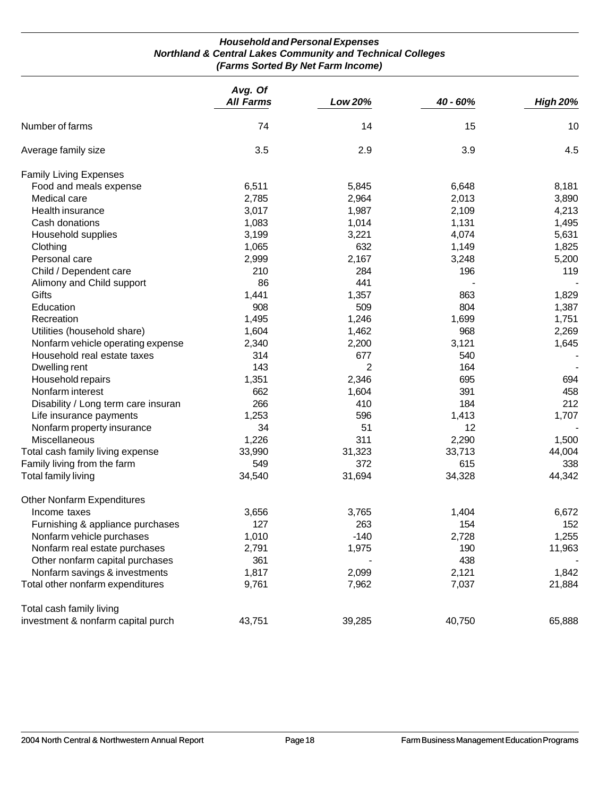#### *Household and Personal Expenses Northland & Central Lakes Community and Technical Colleges (Farms Sorted By Net Farm Income)*

|                                     | Avg. Of<br><b>All Farms</b> | Low 20% | 40 - 60% | <b>High 20%</b> |
|-------------------------------------|-----------------------------|---------|----------|-----------------|
| Number of farms                     | 74                          | 14      | 15       | 10              |
| Average family size                 | 3.5                         | 2.9     | 3.9      | 4.5             |
| <b>Family Living Expenses</b>       |                             |         |          |                 |
| Food and meals expense              | 6,511                       | 5,845   | 6,648    | 8,181           |
| Medical care                        | 2,785                       | 2,964   | 2,013    | 3,890           |
| Health insurance                    | 3,017                       | 1,987   | 2,109    | 4,213           |
| Cash donations                      | 1,083                       | 1,014   | 1,131    | 1,495           |
| Household supplies                  | 3,199                       | 3,221   | 4,074    | 5,631           |
| Clothing                            | 1,065                       | 632     | 1,149    | 1,825           |
| Personal care                       | 2,999                       | 2,167   | 3,248    | 5,200           |
| Child / Dependent care              | 210                         | 284     | 196      | 119             |
| Alimony and Child support           | 86                          | 441     |          |                 |
| Gifts                               | 1,441                       | 1,357   | 863      | 1,829           |
| Education                           | 908                         | 509     | 804      | 1,387           |
| Recreation                          | 1,495                       | 1,246   | 1,699    | 1,751           |
| Utilities (household share)         | 1,604                       | 1,462   | 968      | 2,269           |
| Nonfarm vehicle operating expense   | 2,340                       | 2,200   | 3,121    | 1,645           |
| Household real estate taxes         | 314                         | 677     | 540      |                 |
| Dwelling rent                       | 143                         | 2       | 164      |                 |
| Household repairs                   | 1,351                       | 2,346   | 695      | 694             |
| Nonfarm interest                    | 662                         | 1,604   | 391      | 458             |
| Disability / Long term care insuran | 266                         | 410     | 184      | 212             |
| Life insurance payments             | 1,253                       | 596     | 1,413    | 1,707           |
| Nonfarm property insurance          | 34                          | 51      | 12       |                 |
| Miscellaneous                       | 1,226                       | 311     | 2,290    | 1,500           |
| Total cash family living expense    | 33,990                      | 31,323  | 33,713   | 44,004          |
| Family living from the farm         | 549                         | 372     | 615      | 338             |
| Total family living                 | 34,540                      | 31,694  | 34,328   | 44,342          |
| <b>Other Nonfarm Expenditures</b>   |                             |         |          |                 |
| Income taxes                        | 3,656                       | 3,765   | 1,404    | 6,672           |
| Furnishing & appliance purchases    | 127                         | 263     | 154      | 152             |
| Nonfarm vehicle purchases           | 1,010                       | $-140$  | 2,728    | 1,255           |
| Nonfarm real estate purchases       | 2,791                       | 1,975   | 190      | 11,963          |
| Other nonfarm capital purchases     | 361                         |         | 438      |                 |
| Nonfarm savings & investments       | 1,817                       | 2,099   | 2,121    | 1,842           |
| Total other nonfarm expenditures    | 9,761                       | 7,962   | 7,037    | 21,884          |
| Total cash family living            |                             |         |          |                 |
| investment & nonfarm capital purch  | 43,751                      | 39,285  | 40,750   | 65,888          |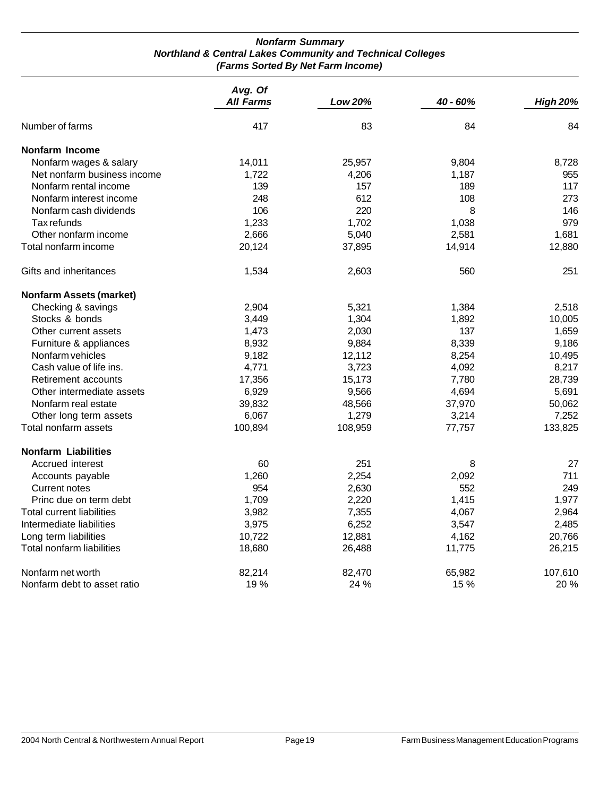#### *Nonfarm Summary Northland & Central Lakes Community and Technical Colleges (Farms Sorted By Net Farm Income)*

|                                | Avg. Of<br><b>All Farms</b> | <b>Low 20%</b> | 40 - 60% | <b>High 20%</b> |
|--------------------------------|-----------------------------|----------------|----------|-----------------|
|                                |                             |                |          |                 |
| Number of farms                | 417                         | 83             | 84       | 84              |
| <b>Nonfarm Income</b>          |                             |                |          |                 |
| Nonfarm wages & salary         | 14,011                      | 25,957         | 9,804    | 8,728           |
| Net nonfarm business income    | 1,722                       | 4,206          | 1,187    | 955             |
| Nonfarm rental income          | 139                         | 157            | 189      | 117             |
| Nonfarm interest income        | 248                         | 612            | 108      | 273             |
| Nonfarm cash dividends         | 106                         | 220            | 8        | 146             |
| Tax refunds                    | 1,233                       | 1,702          | 1,038    | 979             |
| Other nonfarm income           | 2,666                       | 5,040          | 2,581    | 1,681           |
| Total nonfarm income           | 20,124                      | 37,895         | 14,914   | 12,880          |
| Gifts and inheritances         | 1,534                       | 2,603          | 560      | 251             |
| <b>Nonfarm Assets (market)</b> |                             |                |          |                 |
| Checking & savings             | 2,904                       | 5,321          | 1,384    | 2,518           |
| Stocks & bonds                 | 3,449                       | 1,304          | 1,892    | 10,005          |
| Other current assets           | 1,473                       | 2,030          | 137      | 1,659           |
| Furniture & appliances         | 8,932                       | 9,884          | 8,339    | 9,186           |
| Nonfarm vehicles               | 9,182                       | 12,112         | 8,254    | 10,495          |
| Cash value of life ins.        | 4,771                       | 3,723          | 4,092    | 8,217           |
| Retirement accounts            | 17,356                      | 15,173         | 7,780    | 28,739          |
| Other intermediate assets      | 6,929                       | 9,566          | 4,694    | 5,691           |
| Nonfarm real estate            | 39,832                      | 48,566         | 37,970   | 50,062          |
| Other long term assets         | 6,067                       | 1,279          | 3,214    | 7,252           |
| Total nonfarm assets           | 100,894                     | 108,959        | 77,757   | 133,825         |
| <b>Nonfarm Liabilities</b>     |                             |                |          |                 |
| Accrued interest               | 60                          | 251            | 8        | 27              |
| Accounts payable               | 1,260                       | 2,254          | 2,092    | 711             |
| Current notes                  | 954                         | 2,630          | 552      | 249             |
| Princ due on term debt         | 1,709                       | 2,220          | 1,415    | 1,977           |
| Total current liabilities      | 3,982                       | 7,355          | 4,067    | 2,964           |
| Intermediate liabilities       | 3,975                       | 6,252          | 3,547    | 2,485           |
| Long term liabilities          | 10,722                      | 12,881         | 4,162    | 20,766          |
| Total nonfarm liabilities      | 18,680                      | 26,488         | 11,775   | 26,215          |
| Nonfarm net worth              | 82,214                      | 82,470         | 65,982   | 107,610         |
| Nonfarm debt to asset ratio    | 19%                         | 24 %           | 15 %     | 20 %            |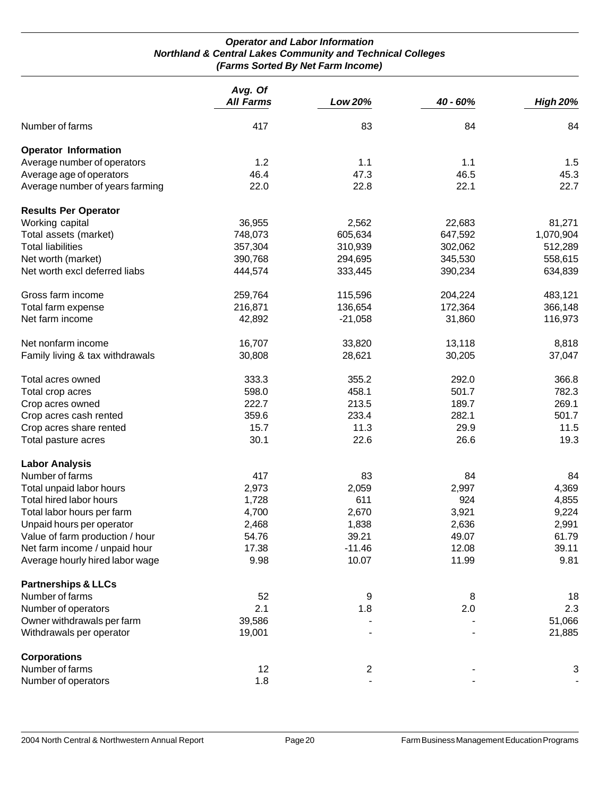#### *Operator and Labor Information Northland & Central Lakes Community and Technical Colleges (Farms Sorted By Net Farm Income)*

|                                 | Avg. Of          |                |          |                 |
|---------------------------------|------------------|----------------|----------|-----------------|
|                                 | <b>All Farms</b> | Low 20%        | 40 - 60% | <b>High 20%</b> |
| Number of farms                 | 417              | 83             | 84       | 84              |
| <b>Operator Information</b>     |                  |                |          |                 |
| Average number of operators     | 1.2              | 1.1            | 1.1      | 1.5             |
| Average age of operators        | 46.4             | 47.3           | 46.5     | 45.3            |
| Average number of years farming | 22.0             | 22.8           | 22.1     | 22.7            |
| <b>Results Per Operator</b>     |                  |                |          |                 |
| Working capital                 | 36,955           | 2,562          | 22,683   | 81,271          |
| Total assets (market)           | 748,073          | 605,634        | 647,592  | 1,070,904       |
| <b>Total liabilities</b>        | 357,304          | 310,939        | 302,062  | 512,289         |
| Net worth (market)              | 390,768          | 294,695        | 345,530  | 558,615         |
| Net worth excl deferred liabs   | 444,574          | 333,445        | 390,234  | 634,839         |
| Gross farm income               | 259,764          | 115,596        | 204,224  | 483,121         |
| Total farm expense              | 216,871          | 136,654        | 172,364  | 366,148         |
| Net farm income                 | 42,892           | $-21,058$      | 31,860   | 116,973         |
| Net nonfarm income              | 16,707           | 33,820         | 13,118   | 8,818           |
| Family living & tax withdrawals | 30,808           | 28,621         | 30,205   | 37,047          |
| Total acres owned               | 333.3            | 355.2          | 292.0    | 366.8           |
| Total crop acres                | 598.0            | 458.1          | 501.7    | 782.3           |
| Crop acres owned                | 222.7            | 213.5          | 189.7    | 269.1           |
| Crop acres cash rented          | 359.6            | 233.4          | 282.1    | 501.7           |
| Crop acres share rented         | 15.7             | 11.3           | 29.9     | 11.5            |
| Total pasture acres             | 30.1             | 22.6           | 26.6     | 19.3            |
| <b>Labor Analysis</b>           |                  |                |          |                 |
| Number of farms                 | 417              | 83             | 84       | 84              |
| Total unpaid labor hours        | 2,973            | 2,059          | 2,997    | 4,369           |
| Total hired labor hours         | 1,728            | 611            | 924      | 4,855           |
| Total labor hours per farm      | 4,700            | 2,670          | 3,921    | 9,224           |
| Unpaid hours per operator       | 2,468            | 1,838          | 2,636    | 2,991           |
| Value of farm production / hour | 54.76            | 39.21          | 49.07    | 61.79           |
| Net farm income / unpaid hour   | 17.38            | $-11.46$       | 12.08    | 39.11           |
| Average hourly hired labor wage | 9.98             | 10.07          | 11.99    | 9.81            |
| <b>Partnerships &amp; LLCs</b>  |                  |                |          |                 |
| Number of farms                 | 52               | 9              | 8        | 18              |
| Number of operators             | 2.1              | 1.8            | 2.0      | 2.3             |
| Owner withdrawals per farm      | 39,586           |                |          | 51,066          |
| Withdrawals per operator        | 19,001           |                |          | 21,885          |
| <b>Corporations</b>             |                  |                |          |                 |
| Number of farms                 | 12               | $\overline{2}$ |          | 3               |
| Number of operators             | 1.8              |                |          |                 |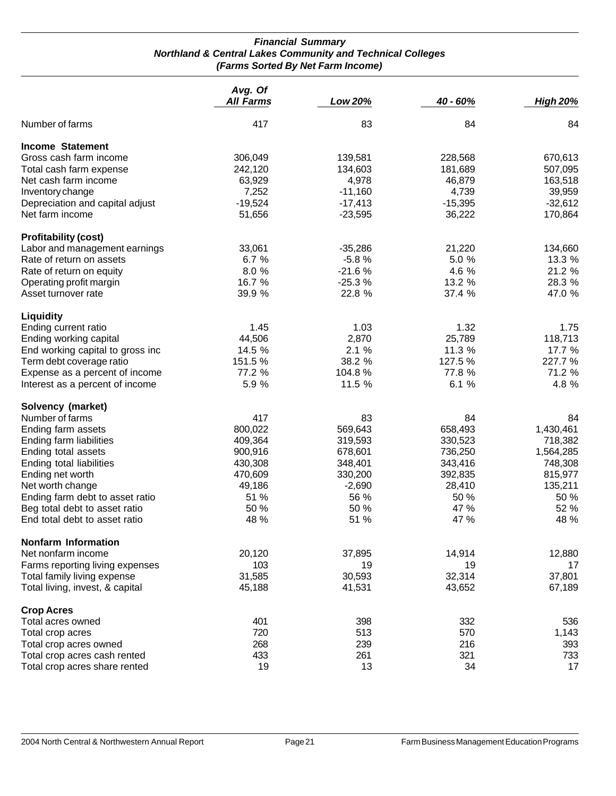#### *Financial Summary Northland & Central Lakes Community and Technical Colleges (Farms Sorted By Net Farm Income)*

|                                  | Avg. Of          |           |           |                 |
|----------------------------------|------------------|-----------|-----------|-----------------|
|                                  | <b>All Farms</b> | Low 20%   | 40 - 60%  | <b>High 20%</b> |
| Number of farms                  | 417              | 83        | 84        | 84              |
| <b>Income Statement</b>          |                  |           |           |                 |
| Gross cash farm income           | 306,049          | 139,581   | 228,568   | 670,613         |
| Total cash farm expense          | 242,120          | 134,603   | 181,689   | 507,095         |
| Net cash farm income             | 63,929           | 4,978     | 46,879    | 163,518         |
| Inventory change                 | 7,252            | $-11,160$ | 4,739     | 39,959          |
| Depreciation and capital adjust  | $-19,524$        | $-17,413$ | $-15,395$ | $-32,612$       |
| Net farm income                  | 51,656           | $-23,595$ | 36,222    | 170,864         |
| <b>Profitability (cost)</b>      |                  |           |           |                 |
| Labor and management earnings    | 33,061           | $-35,286$ | 21,220    | 134,660         |
| Rate of return on assets         | 6.7 %            | $-5.8%$   | 5.0 %     | 13.3 %          |
| Rate of return on equity         | 8.0%             | $-21.6%$  | 4.6 %     | 21.2 %          |
| Operating profit margin          | 16.7 %           | $-25.3%$  | 13.2 %    | 28.3 %          |
| Asset turnover rate              | 39.9 %           | 22.8 %    | 37.4 %    | 47.0 %          |
|                                  |                  |           |           |                 |
| Liquidity                        |                  |           |           |                 |
| Ending current ratio             | 1.45             | 1.03      | 1.32      | 1.75            |
| Ending working capital           | 44,506           | 2,870     | 25,789    | 118,713         |
| End working capital to gross inc | 14.5 %           | 2.1%      | 11.3 %    | 17.7 %          |
| Term debt coverage ratio         | 151.5%           | 38.2 %    | 127.5 %   | 227.7 %         |
| Expense as a percent of income   | 77.2 %           | 104.8%    | 77.8 %    | 71.2 %          |
| Interest as a percent of income  | 5.9 %            | 11.5 %    | 6.1 %     | 4.8 %           |
| Solvency (market)                |                  |           |           |                 |
| Number of farms                  | 417              | 83        | 84        | 84              |
| Ending farm assets               | 800,022          | 569,643   | 658,493   | 1,430,461       |
| Ending farm liabilities          | 409,364          | 319,593   | 330,523   | 718,382         |
| Ending total assets              | 900,916          | 678,601   | 736,250   | 1,564,285       |
| Ending total liabilities         | 430,308          | 348,401   | 343,416   | 748,308         |
| Ending net worth                 | 470,609          | 330,200   | 392,835   | 815,977         |
| Net worth change                 | 49,186           | $-2,690$  | 28,410    | 135,211         |
| Ending farm debt to asset ratio  | 51 %             | 56 %      | 50 %      | 50 %            |
| Beg total debt to asset ratio    | 50 %             | 50 %      | 47 %      | 52 %            |
| End total debt to asset ratio    | 48 %             | 51 %      | 47 %      | 48 %            |
| <b>Nonfarm Information</b>       |                  |           |           |                 |
| Net nonfarm income               | 20,120           | 37,895    | 14,914    | 12,880          |
| Farms reporting living expenses  | 103              | 19        | 19        | 17              |
| Total family living expense      | 31,585           | 30,593    | 32,314    | 37,801          |
| Total living, invest, & capital  | 45,188           | 41,531    | 43,652    | 67,189          |
| <b>Crop Acres</b>                |                  |           |           |                 |
| Total acres owned                | 401              | 398       | 332       | 536             |
| Total crop acres                 | 720              | 513       | 570       | 1,143           |
| Total crop acres owned           | 268              | 239       | 216       | 393             |
| Total crop acres cash rented     | 433              | 261       | 321       | 733             |
| Total crop acres share rented    | 19               | 13        | 34        | 17              |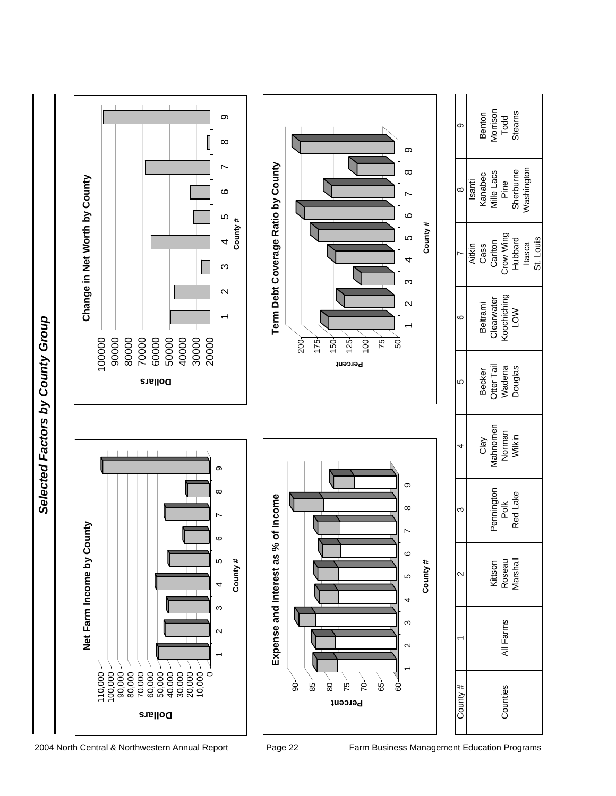Selected Factors by County Group *Selected Factors by County Group*

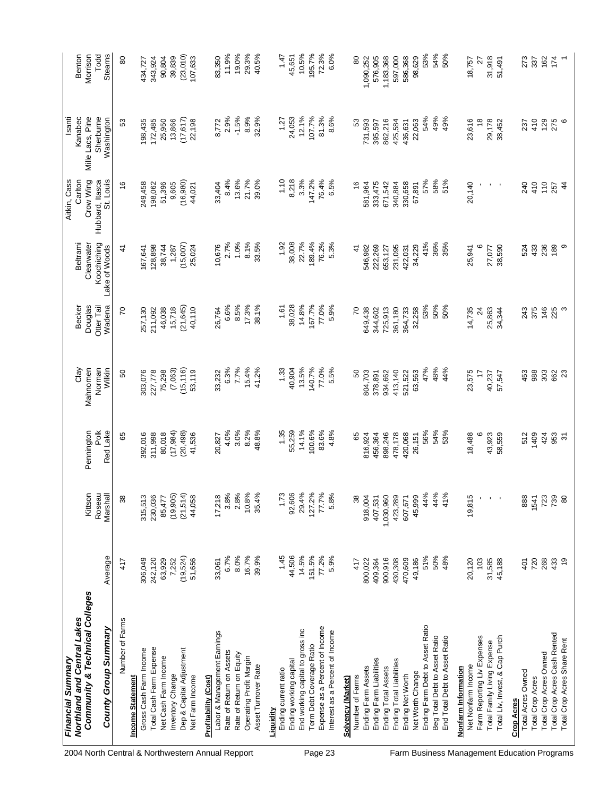| Northland and Central Lakes<br>Financial Summary |               |                    |                 |                  |                      |                              | Aitkin, Cass                 | Isanti                      |                    |
|--------------------------------------------------|---------------|--------------------|-----------------|------------------|----------------------|------------------------------|------------------------------|-----------------------------|--------------------|
| <b>Community &amp; Technical Colleges</b>        |               | Kittson            | Pennington      | Clay<br>Mahnomen | Douglas<br>Becker    | Clearwater<br>Beltram        | Crow Wing<br>Carlton         | Kanabec<br>Mille Lacs, Pine | Benton<br>Morrison |
| County Group Summary                             | Average       | Roseau<br>Marshall | Pok<br>Red Lake | Norman<br>Wilkin | Wadena<br>Otter Tail | Koochiching<br>Lake of Woods | St. Louis<br>Hubbard, Itasca | Sherburne<br>Washington     | Steams<br>Todd     |
| Number of Farms                                  | 417           | 38                 | 89              | 50               | 20                   | 4                            | $\frac{6}{5}$                | S.                          | 80                 |
| <b>Income Statement</b>                          |               |                    |                 |                  |                      |                              |                              |                             |                    |
| Gross Cash Farm Income                           | 306,049       | 315,513            | 392,016         | 303,076          | 257,130              | 167,641                      | 249,458                      | 198,435                     | 434,727            |
| Total Cash Farm Expense                          | 242, 120      | 230,036            | 311,998         | 227,778          | 211,092              | 128,898                      | 198,062                      | 172,485                     | 343,924            |
| Net Cash Farm Income                             | 63,929        | 85,477             | 80,018          | 75,298           | 46,038               | 38,744                       | 51,396                       | 25,950                      | 90,804             |
| Inventory Change                                 | 7,252         | (19, 905)          | (17, 984)       | (7,063)          | 15,718               | 1,287                        | 9,605                        | 13,866                      | 39,839             |
| Dep & Capital Adjustment                         | (19,524)      | (21,514)           | (20, 498)       | (15, 116)        | (21, 645)            | (15,007)                     | (16, 980)                    | (17, 617)                   | (23, 010)          |
| Net Farm Income                                  | 51,656        | 44,058             | 41,536          | 53,119           | 40,110               | 25,024                       | 44,021                       | 22,198                      | 107,633            |
| Profitability (Cost)                             |               |                    |                 |                  |                      |                              |                              |                             |                    |
| Labor & Management Earnings                      | 33,061        | 17,218             | 20,827          | 33,232           | 26,764               | 10,676                       | 33,404                       | 8,772                       | 83,350             |
| Rate of Return on Assets                         | 6.7%          | 3.8%               | 4.0%            | 6.3%             | 6.6%                 | 2.7%                         | 8.4%                         | 2.9%                        | 11.9%              |
| Rate of Return on Equity                         | 8.0%          | 2.8%               | 3.0%            | 7.7%             | 8.5%                 | 1.0%                         | 13.6%                        | $-1.5%$                     | 19.0%              |
| Operating Profit Margin                          | 16.7%         | 10.8%              | 8.2%            | 15.4%            | 17.3%                | 8.1%                         | 21.7%                        | 8.9%                        | 29.3%              |
| Asset Turnover Rate                              | 39.9%         | 35.4%              | 48.8%           | 41.2%            | 38.1%                | 33.5%                        | 39.0%                        | 32.9%                       | 40.5%              |
| <b>Liquidity</b>                                 |               |                    |                 |                  |                      |                              |                              |                             |                    |
| Ending current ratio                             | 1.45          | 1.73               | 1.35            | 1.33             | 1.61                 | 1.92                         | 1.10                         | 1.27                        | 1.47               |
| Ending working capital                           | 44,506        | 92,606             | 55,259          | 40,904           | 38,028               | 38,008                       | 8,218                        | 24,053                      | 45,651             |
| End working capital to gross inc                 | 14.5%         | 29.4%              | 14.1%           | 13.5%            | 14.8%                | 22.7%                        | 3.3%                         | 12.1%                       | 10.5%              |
| Term Debt Coverage Ratio                         | 151.5%        | 127.2%             | 100.6%          | 140.7%           | 167.7%               | 189.4%                       | 147.2%                       | 107.7%                      | 195.7%             |
| Expense as a Percent of Income                   | 77.2%         | 77.7%              | 83.6%           | 77.0%            | 77.0%                | 76.2%                        | 76.4%                        | 81.3%                       | 72.3%              |
| Interest as a Percent of Income                  | 5.9%          | 5.8%               | 4.8%            | 5.5%             | 5.9%                 | 5.3%                         | 6.5%                         | 8.6%                        | 6.0%               |
| Solvency (Market)                                |               |                    |                 |                  |                      |                              |                              |                             |                    |
| Number of Farms                                  | 417           | 38                 | 89              | SO               | 20                   | $\frac{4}{3}$                | $\frac{6}{5}$                | 3                           | 80                 |
| Ending Farm Assets                               | 800,022       | 918,004            | 816,924         | 804,703          | 549,438              | 546,982                      | 581,964                      | 731,593                     | 1,090,252          |
| Ending Farm Liabilities                          | 409,364       | 407,531            | 456,364         | 378,891          | 344,602              | 222,269                      | 333,475                      | 395,597                     | 576,905            |
| Ending Total Assets                              | 900,916       | 1,030,960          | 898,246         | 934,662          | 725,913              | 653,127                      | 671,542                      | 862,216                     | 1,183,368          |
| Ending Total Liabilities                         | 430,308       | 423,289            | 478,178         | 413,140          | 361,180              | 231,095                      | 340,884                      | 425,584                     | 597,000            |
| Ending Net Worth                                 | 470,609       | 607,671            | 420,068         | 521,522          | 364,733              | 422,031                      | 330,658                      | 436,631                     | 586,368            |
| Net Worth Change                                 | 49,186        | 45,999             | 26,151          | 63,563           | 32,258               | 34,229                       | 67,891                       | 22,063                      | 98,629             |
| Ending Farm Debt to Asset Ratio                  | 51%           | 44%                | 56%             | 47%              | 53%                  | 41%                          | 57%                          | 54%                         | 53%                |
| Beg Total Debt to Asset Ratio                    | 50%           | 44%                | 54%             | 48%              | 50%                  | 36%                          | 58%                          | 49%                         | 54%                |
| End Total Debt to Asset Ratio                    | 48%           | 41%                | 53%             | 44%              | 50%                  | 35%                          | 51%                          | 49%                         | 50%                |
| Nonfarm Information                              |               |                    |                 |                  |                      |                              |                              |                             |                    |
| Net Nonfarm Income                               | 20,120        | 19,815             | 18,488          | 23,575           | 14,735               | 25,941                       | 20,140                       | 23,616                      | 18,757             |
| Farm Reporting Liv Expenses                      | 103           |                    |                 | $\ddot{ }$       | $\approx$            | 6                            |                              | $\frac{8}{5}$               | $\approx$          |
| Total Family Living Expense                      | 31,585        | $\mathbf{r}_\perp$ | 43,923          | 40,237           | 25,863               | 27,077                       | $\mathbf{r} = \mathbf{r}$    | 29,178                      | 31,918             |
| Total Liv, Invest, & Cap Purch                   | 45,188        |                    | 58,559          | 57,547           | 34,344               | 38,590                       |                              | 38,452                      | 51,491             |
| Total Acres Owned<br><b>Crop Acres</b>           | 401           | 888                | 512             | 453              | 243                  | 524                          | 240                          | 237                         | 273                |
| <b>Total Crop Acres</b>                          | 720           | 1541<br>723<br>739 | 1409            | 988              | 375                  | 433                          | 410                          | 410                         | 337                |
| Total Crop Acres Owned                           | 268           |                    | 424             | 303              | 146                  | 236                          | 110                          | 129                         | 162                |
| Total Crop Acres Cash Rented                     | 433           |                    | 953             | 662              | 225                  | 189                          | 257                          | 275                         | 174                |
| Total Crop Acres Share Rent                      | $\frac{6}{5}$ | 80                 | $\overline{5}$  | 23               | S                    | တ                            | $\frac{4}{4}$                | $\circ$                     |                    |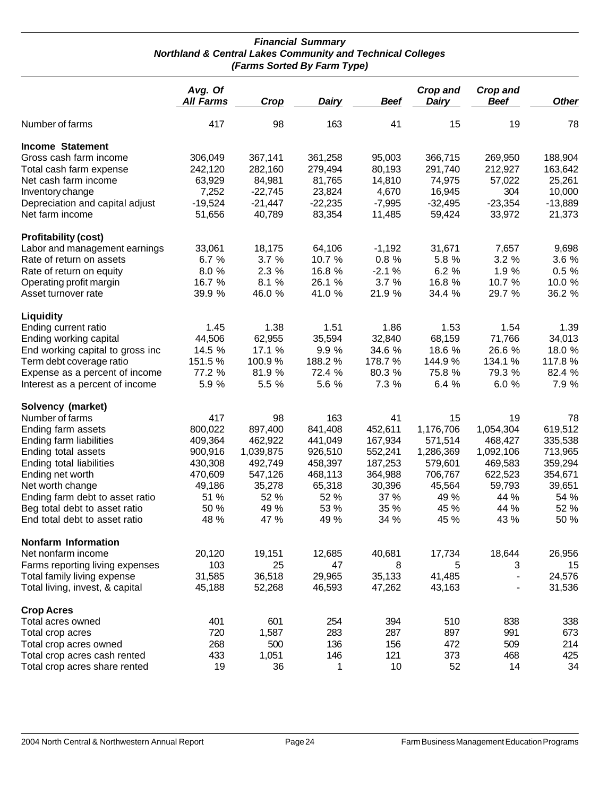#### *Financial Summary Northland & Central Lakes Community and Technical Colleges (Farms Sorted By Farm Type)*

|                                  | Avg. Of<br><b>All Farms</b> | Crop      | <b>Dairy</b> | <b>Beef</b> | Crop and<br><b>Dairy</b> | <b>Crop and</b><br><b>Beef</b> | <b>Other</b> |
|----------------------------------|-----------------------------|-----------|--------------|-------------|--------------------------|--------------------------------|--------------|
| Number of farms                  | 417                         | 98        | 163          | 41          | 15                       | 19                             | 78           |
| <b>Income Statement</b>          |                             |           |              |             |                          |                                |              |
| Gross cash farm income           | 306,049                     | 367,141   | 361,258      | 95,003      | 366,715                  | 269,950                        | 188,904      |
| Total cash farm expense          | 242,120                     | 282,160   | 279,494      | 80,193      | 291,740                  | 212,927                        | 163,642      |
| Net cash farm income             | 63,929                      | 84,981    | 81,765       | 14,810      | 74,975                   | 57,022                         | 25,261       |
| Inventory change                 | 7,252                       | $-22,745$ | 23,824       | 4,670       | 16,945                   | 304                            | 10,000       |
| Depreciation and capital adjust  | $-19,524$                   | $-21,447$ | $-22,235$    | $-7,995$    | $-32,495$                | $-23,354$                      | $-13,889$    |
| Net farm income                  | 51,656                      | 40,789    | 83,354       | 11,485      | 59,424                   | 33,972                         | 21,373       |
| <b>Profitability (cost)</b>      |                             |           |              |             |                          |                                |              |
| Labor and management earnings    | 33,061                      | 18,175    | 64,106       | $-1,192$    | 31,671                   | 7,657                          | 9,698        |
| Rate of return on assets         | 6.7%                        | 3.7%      | 10.7 %       | 0.8%        | 5.8 %                    | 3.2%                           | 3.6 %        |
| Rate of return on equity         | 8.0%                        | 2.3 %     | 16.8 %       | $-2.1%$     | 6.2 %                    | 1.9 %                          | 0.5%         |
| Operating profit margin          | 16.7 %                      | 8.1 %     | 26.1 %       | 3.7%        | 16.8 %                   | 10.7 %                         | 10.0 %       |
| Asset turnover rate              | 39.9 %                      | 46.0 %    | 41.0 %       | 21.9 %      | 34.4 %                   | 29.7 %                         | 36.2 %       |
| <b>Liquidity</b>                 |                             |           |              |             |                          |                                |              |
| Ending current ratio             | 1.45                        | 1.38      | 1.51         | 1.86        | 1.53                     | 1.54                           | 1.39         |
| Ending working capital           | 44,506                      | 62,955    | 35,594       | 32,840      | 68,159                   | 71,766                         | 34,013       |
| End working capital to gross inc | 14.5 %                      | 17.1 %    | 9.9 %        | 34.6 %      | 18.6 %                   | 26.6 %                         | 18.0 %       |
| Term debt coverage ratio         | 151.5%                      | 100.9%    | 188.2%       | 178.7%      | 144.9%                   | 134.1 %                        | 117.8%       |
| Expense as a percent of income   | 77.2 %                      | 81.9 %    | 72.4 %       | 80.3 %      | 75.8 %                   | 79.3 %                         | 82.4 %       |
| Interest as a percent of income  | 5.9 %                       | 5.5 %     | 5.6 %        | 7.3 %       | 6.4 %                    | 6.0%                           | 7.9 %        |
| Solvency (market)                |                             |           |              |             |                          |                                |              |
| Number of farms                  | 417                         | 98        | 163          | 41          | 15                       | 19                             | 78           |
| Ending farm assets               | 800,022                     | 897,400   | 841,408      | 452,611     | 1,176,706                | 1,054,304                      | 619,512      |
| Ending farm liabilities          | 409,364                     | 462,922   | 441,049      | 167,934     | 571,514                  | 468,427                        | 335,538      |
| Ending total assets              | 900,916                     | 1,039,875 | 926,510      | 552,241     | 1,286,369                | 1,092,106                      | 713,965      |
| Ending total liabilities         | 430,308                     | 492,749   | 458,397      | 187,253     | 579,601                  | 469,583                        | 359,294      |
| Ending net worth                 | 470,609                     | 547,126   | 468,113      | 364,988     | 706,767                  | 622,523                        | 354,671      |
| Net worth change                 | 49,186                      | 35,278    | 65,318       | 30,396      | 45,564                   | 59,793                         | 39,651       |
| Ending farm debt to asset ratio  | 51 %                        | 52 %      | 52 %         | 37 %        | 49 %                     | 44 %                           | 54 %         |
| Beg total debt to asset ratio    | 50 %                        | 49 %      | 53 %         | 35 %        | 45 %                     | 44 %                           | 52 %         |
| End total debt to asset ratio    | 48 %                        | 47 %      | 49 %         | 34 %        | 45 %                     | 43 %                           | 50 %         |
| <b>Nonfarm Information</b>       |                             |           |              |             |                          |                                |              |
| Net nonfarm income               | 20,120                      | 19,151    | 12,685       | 40,681      | 17,734                   | 18,644                         | 26,956       |
| Farms reporting living expenses  | 103                         | 25        | 47           | 8           | 5                        | 3                              | 15           |
| Total family living expense      | 31,585                      | 36,518    | 29,965       | 35,133      | 41,485                   | $\blacksquare$                 | 24,576       |
| Total living, invest, & capital  | 45,188                      | 52,268    | 46,593       | 47,262      | 43,163                   | $\overline{\phantom{a}}$       | 31,536       |
| <b>Crop Acres</b>                |                             |           |              |             |                          |                                |              |
| Total acres owned                | 401                         | 601       | 254          | 394         | 510                      | 838                            | 338          |
| Total crop acres                 | 720                         | 1,587     | 283          | 287         | 897                      | 991                            | 673          |
| Total crop acres owned           | 268                         | 500       | 136          | 156         | 472                      | 509                            | 214          |
| Total crop acres cash rented     | 433                         | 1,051     | 146          | 121         | 373                      | 468                            | 425          |
| Total crop acres share rented    | 19                          | 36        | 1            | 10          | 52                       | 14                             | 34           |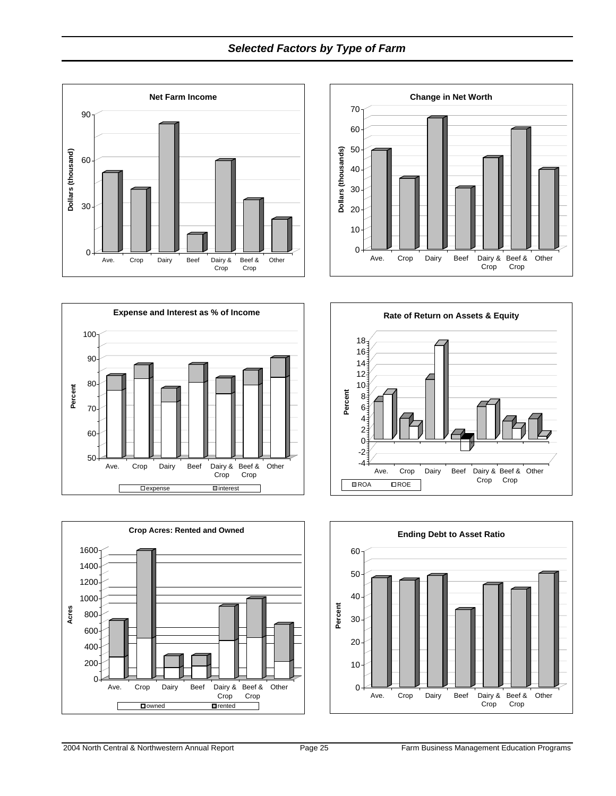## *Selected Factors by Type of Farm*











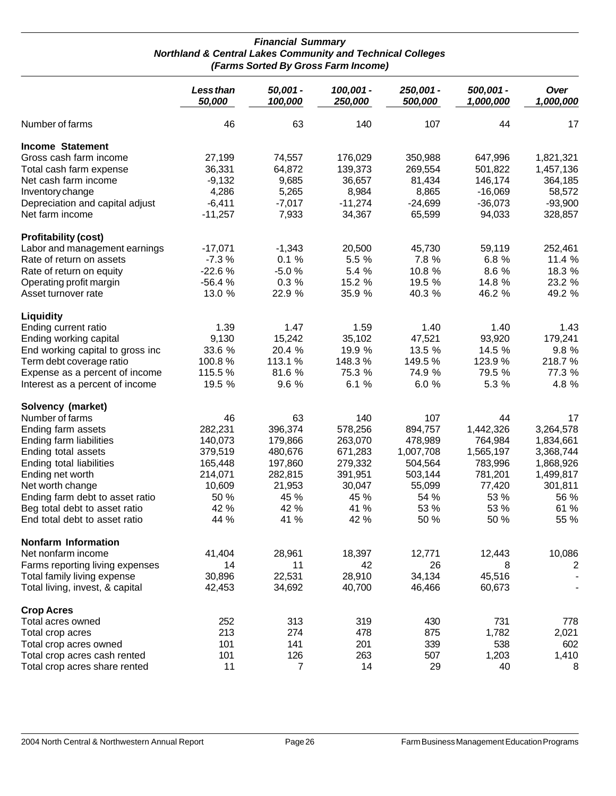#### *Financial Summary Northland & Central Lakes Community and Technical Colleges (Farms Sorted By Gross Farm Income)*

|                                  | Less than<br>50,000 | 50,001 -<br>100,000 | 100,001 -<br>250,000 | 250,001 -<br>500,000 | 500,001 -<br>1,000,000 | Over<br>1,000,000 |
|----------------------------------|---------------------|---------------------|----------------------|----------------------|------------------------|-------------------|
| Number of farms                  | 46                  | 63                  | 140                  | 107                  | 44                     | 17                |
| <b>Income Statement</b>          |                     |                     |                      |                      |                        |                   |
| Gross cash farm income           | 27,199              | 74,557              | 176,029              | 350,988              | 647,996                | 1,821,321         |
| Total cash farm expense          | 36,331              | 64,872              | 139,373              | 269,554              | 501,822                | 1,457,136         |
| Net cash farm income             | $-9,132$            | 9,685               | 36,657               | 81,434               | 146,174                | 364,185           |
| Inventory change                 | 4,286               | 5,265               | 8,984                | 8,865                | $-16,069$              | 58,572            |
| Depreciation and capital adjust  | $-6,411$            | $-7,017$            | $-11,274$            | $-24,699$            | $-36,073$              | $-93,900$         |
| Net farm income                  | $-11,257$           | 7,933               | 34,367               | 65,599               | 94,033                 | 328,857           |
| <b>Profitability (cost)</b>      |                     |                     |                      |                      |                        |                   |
| Labor and management earnings    | $-17,071$           | $-1,343$            | 20,500               | 45,730               | 59,119                 | 252,461           |
| Rate of return on assets         | $-7.3%$             | 0.1%                | 5.5 %                | 7.8 %                | 6.8 %                  | 11.4 %            |
| Rate of return on equity         | $-22.6%$            | $-5.0%$             | 5.4 %                | 10.8 %               | 8.6 %                  | 18.3 %            |
| Operating profit margin          | $-56.4%$            | 0.3%                | 15.2 %               | 19.5 %               | 14.8 %                 | 23.2 %            |
| Asset turnover rate              | 13.0 %              | 22.9 %              | 35.9 %               | 40.3 %               | 46.2 %                 | 49.2 %            |
| Liquidity                        |                     |                     |                      |                      |                        |                   |
| Ending current ratio             | 1.39                | 1.47                | 1.59                 | 1.40                 | 1.40                   | 1.43              |
| Ending working capital           | 9,130               | 15,242              | 35,102               | 47,521               | 93,920                 | 179,241           |
| End working capital to gross inc | 33.6 %              | 20.4 %              | 19.9 %               | 13.5 %               | 14.5 %                 | 9.8 %             |
| Term debt coverage ratio         | 100.8%              | 113.1 %             | 148.3%               | 149.5%               | 123.9%                 | 218.7%            |
| Expense as a percent of income   | 115.5 %             | 81.6 %              | 75.3 %               | 74.9 %               | 79.5 %                 | 77.3 %            |
| Interest as a percent of income  | 19.5 %              | 9.6 %               | 6.1%                 | 6.0%                 | 5.3 %                  | 4.8 %             |
| Solvency (market)                |                     |                     |                      |                      |                        |                   |
| Number of farms                  | 46                  | 63                  | 140                  | 107                  | 44                     | 17                |
| Ending farm assets               | 282,231             | 396,374             | 578,256              | 894,757              | 1,442,326              | 3,264,578         |
| Ending farm liabilities          | 140,073             | 179,866             | 263,070              | 478,989              | 764,984                | 1,834,661         |
| Ending total assets              | 379,519             | 480,676             | 671,283              | 1,007,708            | 1,565,197              | 3,368,744         |
| Ending total liabilities         | 165,448             | 197,860             | 279,332              | 504,564              | 783,996                | 1,868,926         |
| Ending net worth                 | 214,071             | 282,815             | 391,951              | 503,144              | 781,201                | 1,499,817         |
| Net worth change                 | 10,609              | 21,953              | 30,047               | 55,099               | 77,420                 | 301,811           |
| Ending farm debt to asset ratio  | 50 %                | 45 %                | 45 %                 | 54 %                 | 53 %                   | 56 %              |
| Beg total debt to asset ratio    | 42 %                | 42 %                | 41 %                 | 53 %                 | 53 %                   | 61 %              |
| End total debt to asset ratio    | 44 %                | 41 %                | 42 %                 | 50 %                 | 50 %                   | 55 %              |
| <b>Nonfarm Information</b>       |                     |                     |                      |                      |                        |                   |
| Net nonfarm income               | 41,404              | 28,961              | 18,397               | 12,771               | 12,443                 | 10,086            |
| Farms reporting living expenses  | 14                  | 11                  | 42                   | 26                   | 8                      | 2                 |
| Total family living expense      | 30,896              | 22,531              | 28,910               | 34,134               | 45,516                 |                   |
| Total living, invest, & capital  | 42,453              | 34,692              | 40,700               | 46,466               | 60,673                 |                   |
| <b>Crop Acres</b>                |                     |                     |                      |                      |                        |                   |
| Total acres owned                | 252                 | 313                 | 319                  | 430                  | 731                    | 778               |
| Total crop acres                 | 213                 | 274                 | 478                  | 875                  | 1,782                  | 2,021             |
| Total crop acres owned           | 101                 | 141                 | 201                  | 339                  | 538                    | 602               |
| Total crop acres cash rented     | 101                 | 126                 | 263                  | 507                  | 1,203                  | 1,410             |
| Total crop acres share rented    | 11                  | 7                   | 14                   | 29                   | 40                     | 8                 |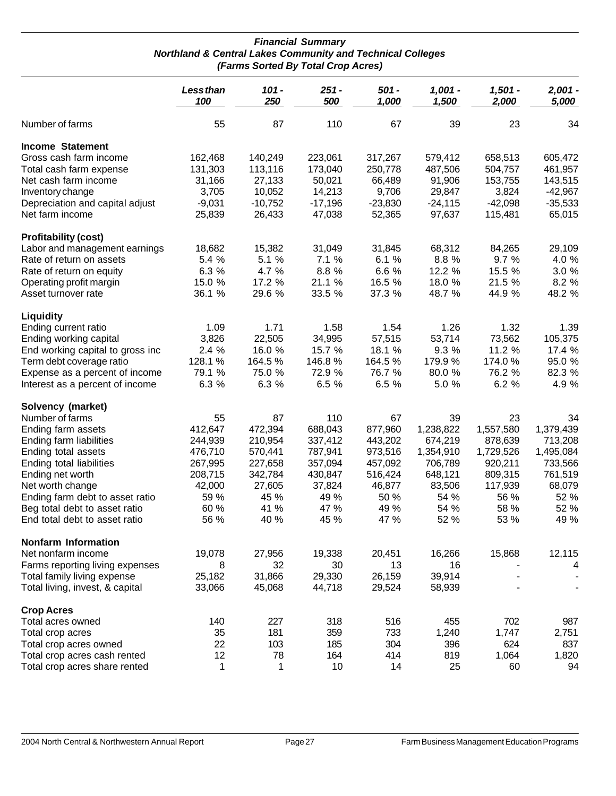#### *Financial Summary Northland & Central Lakes Community and Technical Colleges (Farms Sorted By Total Crop Acres)*

|                                                                | Less than<br>100 | $101 -$<br>250 | $251 -$<br>500 | 501 -<br>1,000 | $1,001 -$<br>1,500 | $1,501 -$<br>2,000 | $2,001 -$<br>5,000 |
|----------------------------------------------------------------|------------------|----------------|----------------|----------------|--------------------|--------------------|--------------------|
| Number of farms                                                | 55               | 87             | 110            | 67             | 39                 | 23                 | 34                 |
| <b>Income Statement</b>                                        |                  |                |                |                |                    |                    |                    |
| Gross cash farm income                                         | 162,468          | 140,249        | 223,061        | 317,267        | 579,412            | 658,513            | 605,472            |
| Total cash farm expense                                        | 131,303          | 113,116        | 173,040        | 250,778        | 487,506            | 504,757            | 461,957            |
| Net cash farm income                                           | 31,166           | 27,133         | 50,021         | 66,489         | 91,906             | 153,755            | 143,515            |
| Inventory change                                               | 3,705            | 10,052         | 14,213         | 9,706          | 29,847             | 3,824              | $-42,967$          |
| Depreciation and capital adjust                                | $-9,031$         | $-10,752$      | $-17,196$      | $-23,830$      | $-24,115$          | $-42,098$          | $-35,533$          |
| Net farm income                                                | 25,839           | 26,433         | 47,038         | 52,365         | 97,637             | 115,481            | 65,015             |
| <b>Profitability (cost)</b>                                    |                  |                |                |                |                    |                    |                    |
| Labor and management earnings                                  | 18,682           | 15,382         | 31,049         | 31,845         | 68,312             | 84,265             | 29,109             |
| Rate of return on assets                                       | 5.4 %            | 5.1 %          | 7.1%           | 6.1%           | 8.8 %              | 9.7 %              | 4.0 %              |
| Rate of return on equity                                       | 6.3 %            | 4.7 %          | 8.8 %          | 6.6 %          | 12.2 %             | 15.5 %             | 3.0 %              |
| Operating profit margin                                        | 15.0 %           | 17.2 %         | 21.1 %         | 16.5 %         | 18.0 %             | 21.5 %             | 8.2 %              |
| Asset turnover rate                                            | 36.1 %           | 29.6 %         | 33.5 %         | 37.3 %         | 48.7 %             | 44.9 %             | 48.2 %             |
| Liquidity                                                      |                  |                |                |                |                    |                    |                    |
| Ending current ratio                                           | 1.09             | 1.71           | 1.58           | 1.54           | 1.26               | 1.32               | 1.39               |
| Ending working capital                                         | 3,826            | 22,505         | 34,995         | 57,515         | 53,714             | 73,562             | 105,375            |
| End working capital to gross inc                               | 2.4 %            | 16.0 %         | 15.7 %         | 18.1 %         | 9.3 %              | 11.2 %             | 17.4 %             |
| Term debt coverage ratio                                       | 128.1 %          | 164.5 %        | 146.8%         | 164.5 %        | 179.9%             | 174.0%             | 95.0 %             |
| Expense as a percent of income                                 | 79.1 %           | 75.0 %         | 72.9 %         | 76.7 %         | 80.0 %             | 76.2 %             | 82.3 %             |
| Interest as a percent of income                                | 6.3 %            | 6.3 %          | 6.5 %          | 6.5 %          | 5.0 %              | 6.2 %              | 4.9 %              |
| Solvency (market)                                              |                  |                |                |                |                    |                    |                    |
| Number of farms                                                | 55               | 87             | 110            | 67             | 39                 | 23                 | 34                 |
| Ending farm assets                                             | 412,647          | 472,394        | 688,043        | 877,960        | 1,238,822          | 1,557,580          | 1,379,439          |
| Ending farm liabilities                                        | 244,939          | 210,954        | 337,412        | 443,202        | 674,219            | 878,639            | 713,208            |
| Ending total assets                                            | 476,710          | 570,441        | 787,941        | 973,516        | 1,354,910          | 1,729,526          | 1,495,084          |
| Ending total liabilities                                       | 267,995          | 227,658        | 357,094        | 457,092        | 706,789            | 920,211            | 733,566            |
| Ending net worth                                               | 208,715          | 342,784        | 430,847        | 516,424        | 648,121            | 809,315            | 761,519            |
| Net worth change                                               | 42,000           | 27,605         | 37,824         | 46,877         | 83,506             | 117,939            | 68,079             |
| Ending farm debt to asset ratio                                | 59 %             | 45 %           | 49 %           | 50 %           | 54 %               | 56 %               | 52 %               |
| Beg total debt to asset ratio<br>End total debt to asset ratio | 60 %<br>56 %     | 41 %<br>40 %   | 47 %<br>45 %   | 49 %<br>47 %   | 54 %<br>52 %       | 58 %<br>53 %       | 52 %<br>49 %       |
| <b>Nonfarm Information</b>                                     |                  |                |                |                |                    |                    |                    |
| Net nonfarm income                                             | 19,078           | 27,956         | 19,338         | 20,451         | 16,266             | 15,868             | 12,115             |
| Farms reporting living expenses                                | 8                | 32             | 30             | 13             | 16                 |                    | 4                  |
| Total family living expense                                    | 25,182           | 31,866         | 29,330         | 26,159         | 39,914             |                    |                    |
| Total living, invest, & capital                                | 33,066           | 45,068         | 44,718         | 29,524         | 58,939             |                    |                    |
| <b>Crop Acres</b>                                              |                  |                |                |                |                    |                    |                    |
| Total acres owned                                              | 140              | 227            | 318            | 516            | 455                | 702                | 987                |
| Total crop acres                                               | 35               | 181            | 359            | 733            | 1,240              | 1,747              | 2,751              |
| Total crop acres owned                                         | 22               | 103            | 185            | 304            | 396                | 624                | 837                |
| Total crop acres cash rented                                   | 12               | 78             | 164            | 414            | 819                | 1,064              | 1,820              |
| Total crop acres share rented                                  | 1                | 1              | 10             | 14             | 25                 | 60                 | 94                 |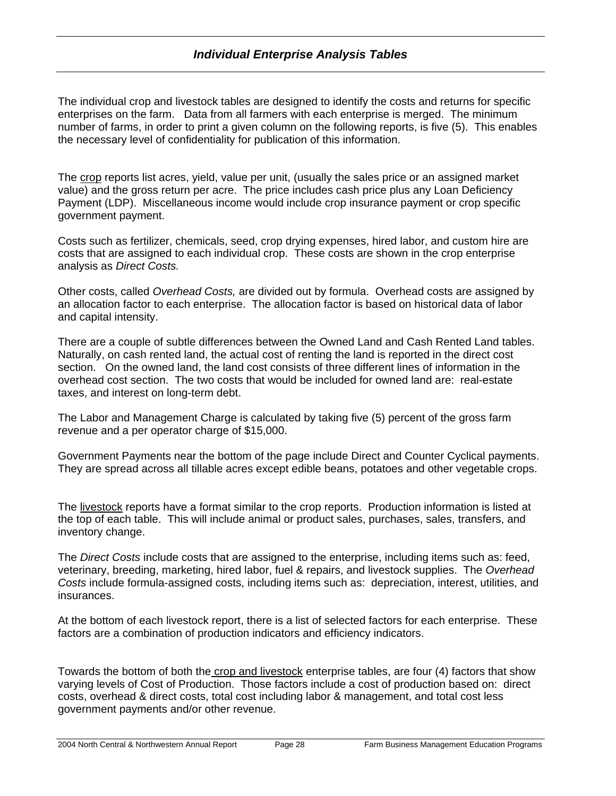## *Individual Enterprise Analysis Tables*

The individual crop and livestock tables are designed to identify the costs and returns for specific enterprises on the farm. Data from all farmers with each enterprise is merged. The minimum number of farms, in order to print a given column on the following reports, is five (5). This enables the necessary level of confidentiality for publication of this information.

The crop reports list acres, yield, value per unit, (usually the sales price or an assigned market value) and the gross return per acre. The price includes cash price plus any Loan Deficiency Payment (LDP). Miscellaneous income would include crop insurance payment or crop specific government payment.

Costs such as fertilizer, chemicals, seed, crop drying expenses, hired labor, and custom hire are costs that are assigned to each individual crop. These costs are shown in the crop enterprise analysis as *Direct Costs.* 

Other costs, called *Overhead Costs,* are divided out by formula. Overhead costs are assigned by an allocation factor to each enterprise. The allocation factor is based on historical data of labor and capital intensity.

There are a couple of subtle differences between the Owned Land and Cash Rented Land tables. Naturally, on cash rented land, the actual cost of renting the land is reported in the direct cost section. On the owned land, the land cost consists of three different lines of information in the overhead cost section. The two costs that would be included for owned land are: real-estate taxes, and interest on long-term debt.

The Labor and Management Charge is calculated by taking five (5) percent of the gross farm revenue and a per operator charge of \$15,000.

Government Payments near the bottom of the page include Direct and Counter Cyclical payments. They are spread across all tillable acres except edible beans, potatoes and other vegetable crops.

The livestock reports have a format similar to the crop reports. Production information is listed at the top of each table. This will include animal or product sales, purchases, sales, transfers, and inventory change.

The *Direct Costs* include costs that are assigned to the enterprise, including items such as: feed, veterinary, breeding, marketing, hired labor, fuel & repairs, and livestock supplies. The *Overhead Costs* include formula-assigned costs, including items such as: depreciation, interest, utilities, and insurances.

At the bottom of each livestock report, there is a list of selected factors for each enterprise. These factors are a combination of production indicators and efficiency indicators.

Towards the bottom of both the crop and livestock enterprise tables, are four (4) factors that show varying levels of Cost of Production. Those factors include a cost of production based on: direct costs, overhead & direct costs, total cost including labor & management, and total cost less government payments and/or other revenue.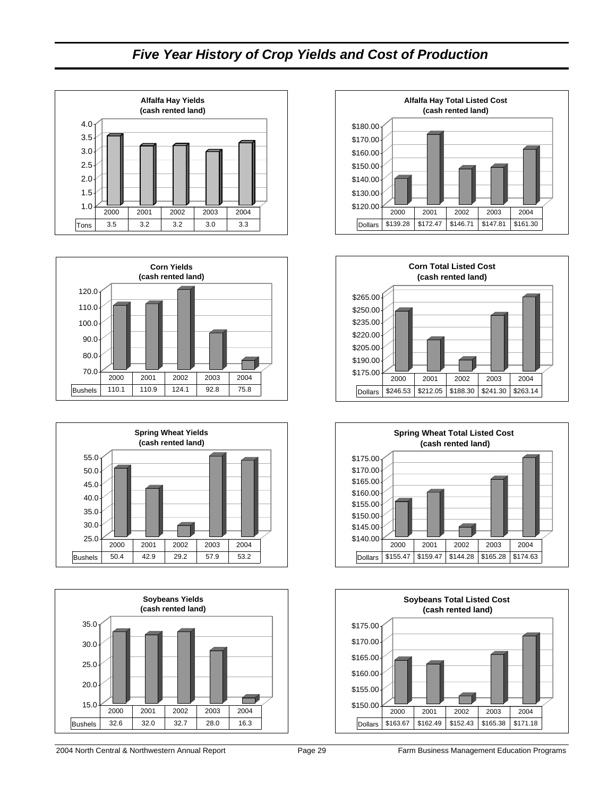## *Five Year History of Crop Yields and Cost of Production*















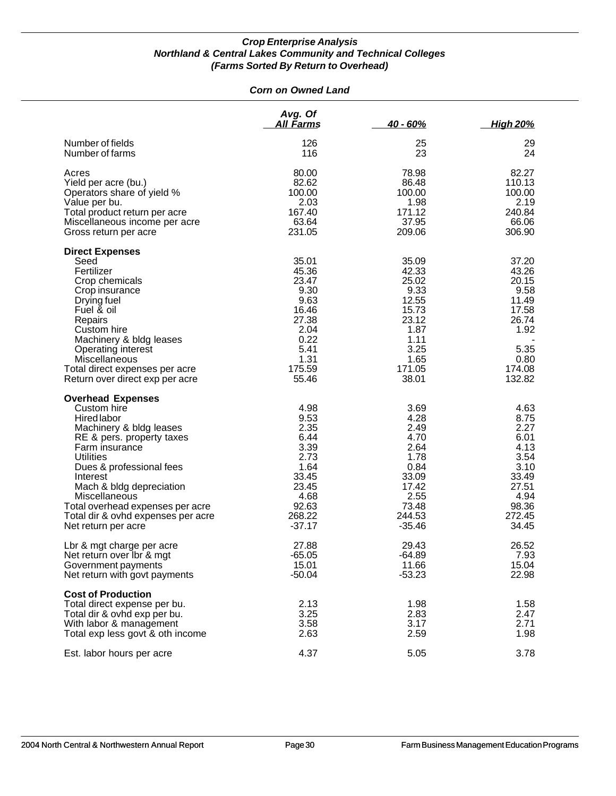#### *Corn on Owned Land*

|                                                                                                                                                                                                                                                                                                                                                   | Avg. Of<br>All Farms                                                                                          | $40 - 60%$                                                                                                    | <u>High 20%</u>                                                                                            |
|---------------------------------------------------------------------------------------------------------------------------------------------------------------------------------------------------------------------------------------------------------------------------------------------------------------------------------------------------|---------------------------------------------------------------------------------------------------------------|---------------------------------------------------------------------------------------------------------------|------------------------------------------------------------------------------------------------------------|
| Number of fields<br>Number of farms                                                                                                                                                                                                                                                                                                               | 126<br>116                                                                                                    | 25<br>23                                                                                                      | 29<br>24                                                                                                   |
| Acres<br>Yield per acre (bu.)<br>Operators share of yield %<br>Value per bu.<br>Total product return per acre<br>Miscellaneous income per acre<br>Gross return per acre                                                                                                                                                                           | 80.00<br>82.62<br>100.00<br>2.03<br>167.40<br>63.64<br>231.05                                                 | 78.98<br>86.48<br>100.00<br>1.98<br>171.12<br>37.95<br>209.06                                                 | 82.27<br>110.13<br>100.00<br>2.19<br>240.84<br>66.06<br>306.90                                             |
| <b>Direct Expenses</b><br>Seed<br>Fertilizer<br>Crop chemicals<br>Crop insurance<br>Drying fuel<br>Fuel & oil<br>Repairs<br>Custom hire<br>Machinery & bldg leases<br>Operating interest<br>Miscellaneous<br>Total direct expenses per acre<br>Return over direct exp per acre                                                                    | 35.01<br>45.36<br>23.47<br>9.30<br>9.63<br>16.46<br>27.38<br>2.04<br>0.22<br>5.41<br>1.31<br>175.59<br>55.46  | 35.09<br>42.33<br>25.02<br>9.33<br>12.55<br>15.73<br>23.12<br>1.87<br>1.11<br>3.25<br>1.65<br>171.05<br>38.01 | 37.20<br>43.26<br>20.15<br>9.58<br>11.49<br>17.58<br>26.74<br>1.92<br>5.35<br>0.80<br>174.08<br>132.82     |
| <b>Overhead Expenses</b><br>Custom hire<br><b>Hired labor</b><br>Machinery & bldg leases<br>RE & pers. property taxes<br>Farm insurance<br><b>Utilities</b><br>Dues & professional fees<br>Interest<br>Mach & bldg depreciation<br>Miscellaneous<br>Total overhead expenses per acre<br>Total dir & ovhd expenses per acre<br>Net return per acre | 4.98<br>9.53<br>2.35<br>6.44<br>3.39<br>2.73<br>1.64<br>33.45<br>23.45<br>4.68<br>92.63<br>268.22<br>$-37.17$ | 3.69<br>4.28<br>2.49<br>4.70<br>2.64<br>1.78<br>0.84<br>33.09<br>17.42<br>2.55<br>73.48<br>244.53<br>$-35.46$ | 4.63<br>8.75<br>2.27<br>6.01<br>4.13<br>3.54<br>3.10<br>33.49<br>27.51<br>4.94<br>98.36<br>272.45<br>34.45 |
| Lbr & mgt charge per acre<br>Net return over Ibr & mgt<br>Government payments<br>Net return with govt payments                                                                                                                                                                                                                                    | 27.88<br>$-65.05$<br>15.01<br>$-50.04$                                                                        | 29.43<br>$-64.89$<br>11.66<br>$-53.23$                                                                        | 26.52<br>7.93<br>15.04<br>22.98                                                                            |
| <b>Cost of Production</b><br>Total direct expense per bu.<br>Total dir & ovhd exp per bu.<br>With labor & management<br>Total exp less govt & oth income                                                                                                                                                                                          | 2.13<br>3.25<br>3.58<br>2.63                                                                                  | 1.98<br>2.83<br>3.17<br>2.59                                                                                  | 1.58<br>2.47<br>2.71<br>1.98                                                                               |
| Est. labor hours per acre                                                                                                                                                                                                                                                                                                                         | 4.37                                                                                                          | 5.05                                                                                                          | 3.78                                                                                                       |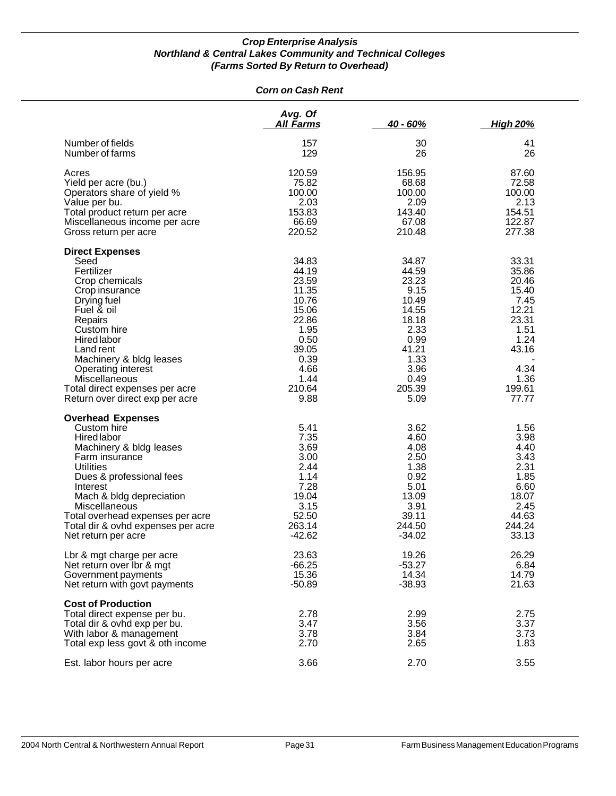#### *Corn on Cash Rent*

|                                                                                                                                                                                                                                                                                                                          | Avg. Of<br>All Farms                                                                                                           | $40 - 60%$                                                                                                                    | <b>High 20%</b>                                                                                                        |
|--------------------------------------------------------------------------------------------------------------------------------------------------------------------------------------------------------------------------------------------------------------------------------------------------------------------------|--------------------------------------------------------------------------------------------------------------------------------|-------------------------------------------------------------------------------------------------------------------------------|------------------------------------------------------------------------------------------------------------------------|
| Number of fields<br>Number of farms                                                                                                                                                                                                                                                                                      | 157<br>129                                                                                                                     | 30<br>26                                                                                                                      | 41<br>26                                                                                                               |
| Acres<br>Yield per acre (bu.)<br>Operators share of yield %<br>Value per bu.<br>Total product return per acre<br>Miscellaneous income per acre<br>Gross return per acre                                                                                                                                                  | 120.59<br>75.82<br>100.00<br>2.03<br>153.83<br>66.69<br>220.52                                                                 | 156.95<br>68.68<br>100.00<br>2.09<br>143.40<br>67.08<br>210.48                                                                | 87.60<br>72.58<br>100.00<br>2.13<br>154.51<br>122.87<br>277.38                                                         |
| <b>Direct Expenses</b><br>Seed<br>Fertilizer<br>Crop chemicals<br>Crop insurance<br>Drying fuel<br>Fuel & oil<br>Repairs<br>Custom hire<br><b>Hired</b> labor<br>Land rent<br>Machinery & bldg leases<br>Operating interest<br><b>Miscellaneous</b><br>Total direct expenses per acre<br>Return over direct exp per acre | 34.83<br>44.19<br>23.59<br>11.35<br>10.76<br>15.06<br>22.86<br>1.95<br>0.50<br>39.05<br>0.39<br>4.66<br>1.44<br>210.64<br>9.88 | 34.87<br>44.59<br>23.23<br>9.15<br>10.49<br>14.55<br>18.18<br>2.33<br>0.99<br>41.21<br>1.33<br>3.96<br>0.49<br>205.39<br>5.09 | 33.31<br>35.86<br>20.46<br>15.40<br>7.45<br>12.21<br>23.31<br>1.51<br>1.24<br>43.16<br>4.34<br>1.36<br>199.61<br>77.77 |
| <b>Overhead Expenses</b><br>Custom hire<br><b>Hired labor</b><br>Machinery & bldg leases<br>Farm insurance<br><b>Utilities</b><br>Dues & professional fees<br>Interest<br>Mach & bldg depreciation<br>Miscellaneous<br>Total overhead expenses per acre<br>Total dir & ovhd expenses per acre<br>Net return per acre     | 5.41<br>7.35<br>3.69<br>3.00<br>2.44<br>1.14<br>7.28<br>19.04<br>3.15<br>52.50<br>263.14<br>$-42.62$                           | 3.62<br>4.60<br>4.08<br>2.50<br>1.38<br>0.92<br>5.01<br>13.09<br>3.91<br>39.11<br>244.50<br>$-34.02$                          | 1.56<br>3.98<br>4.40<br>3.43<br>2.31<br>1.85<br>6.60<br>18.07<br>2.45<br>44.63<br>244.24<br>33.13                      |
| Lbr & mgt charge per acre<br>Net return over lbr & mgt<br>Government payments<br>Net return with govt payments                                                                                                                                                                                                           | 23.63<br>$-66.25$<br>15.36<br>$-50.89$                                                                                         | 19.26<br>$-53.27$<br>14.34<br>$-38.93$                                                                                        | 26.29<br>6.84<br>14.79<br>21.63                                                                                        |
| <b>Cost of Production</b><br>Total direct expense per bu.<br>Total dir & ovhd exp per bu.<br>With labor & management<br>Total exp less govt & oth income                                                                                                                                                                 | 2.78<br>3.47<br>3.78<br>2.70                                                                                                   | 2.99<br>3.56<br>3.84<br>2.65                                                                                                  | 2.75<br>3.37<br>3.73<br>1.83                                                                                           |
| Est. labor hours per acre                                                                                                                                                                                                                                                                                                | 3.66                                                                                                                           | 2.70                                                                                                                          | 3.55                                                                                                                   |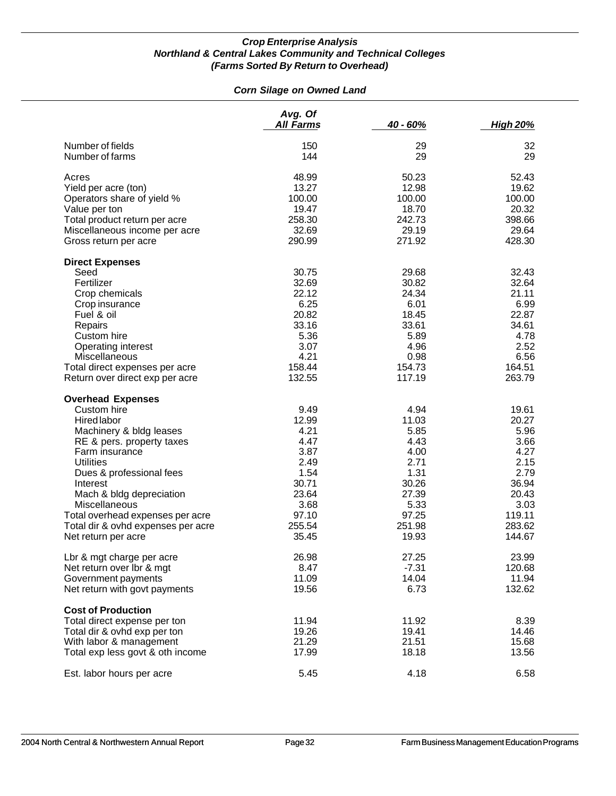#### *Corn Silage on Owned Land*

| Number of fields<br>150<br>29<br>32<br>Number of farms<br>144<br>29<br>29<br>52.43<br>Acres<br>48.99<br>50.23<br>Yield per acre (ton)<br>13.27<br>12.98<br>19.62<br>Operators share of yield %<br>100.00<br>100.00<br>100.00<br>Value per ton<br>19.47<br>18.70<br>20.32<br>Total product return per acre<br>258.30<br>242.73<br>398.66<br>Miscellaneous income per acre<br>32.69<br>29.19<br>29.64<br>290.99<br>271.92<br>428.30<br>Gross return per acre<br><b>Direct Expenses</b><br>Seed<br>30.75<br>29.68<br>32.43<br>Fertilizer<br>32.69<br>30.82<br>32.64<br>Crop chemicals<br>22.12<br>24.34<br>21.11<br>6.25<br>6.01<br>6.99<br>Crop insurance<br>20.82<br>Fuel & oil<br>18.45<br>22.87<br>33.16<br>33.61<br>34.61<br>Repairs<br>Custom hire<br>5.36<br>5.89<br>4.78<br>Operating interest<br>3.07<br>4.96<br>2.52<br>4.21<br>Miscellaneous<br>0.98<br>6.56<br>Total direct expenses per acre<br>158.44<br>154.73<br>164.51<br>Return over direct exp per acre<br>132.55<br>117.19<br>263.79<br><b>Overhead Expenses</b><br>Custom hire<br>9.49<br>4.94<br>19.61<br>12.99<br>11.03<br>20.27<br><b>Hired labor</b><br>Machinery & bldg leases<br>4.21<br>5.85<br>5.96<br>4.47<br>4.43<br>RE & pers. property taxes<br>3.66<br>3.87<br>4.00<br>4.27<br>Farm insurance<br>2.49<br>2.71<br>2.15<br><b>Utilities</b><br>Dues & professional fees<br>1.54<br>1.31<br>2.79<br>30.71<br>30.26<br>36.94<br>Interest<br>Mach & bldg depreciation<br>23.64<br>27.39<br>20.43<br>Miscellaneous<br>3.68<br>5.33<br>3.03<br>Total overhead expenses per acre<br>97.10<br>97.25<br>119.11<br>255.54<br>251.98<br>283.62<br>Total dir & ovhd expenses per acre<br>Net return per acre<br>35.45<br>19.93<br>144.67<br>Lbr & mgt charge per acre<br>26.98<br>27.25<br>23.99<br>$-7.31$<br>120.68<br>Net return over Ibr & mgt<br>8.47<br>11.09<br>14.04<br>11.94<br>Government payments<br>Net return with govt payments<br>19.56<br>6.73<br>132.62<br><b>Cost of Production</b><br>11.94<br>11.92<br>Total direct expense per ton<br>8.39<br>19.26<br>Total dir & ovhd exp per ton<br>19.41<br>14.46<br>21.29<br>21.51<br>15.68<br>With labor & management<br>Total exp less govt & oth income<br>17.99<br>18.18<br>13.56<br>Est. labor hours per acre<br>5.45<br>4.18<br>6.58 | Avg. Of<br><b>All Farms</b> | 40 - 60% | <b>High 20%</b> |
|------------------------------------------------------------------------------------------------------------------------------------------------------------------------------------------------------------------------------------------------------------------------------------------------------------------------------------------------------------------------------------------------------------------------------------------------------------------------------------------------------------------------------------------------------------------------------------------------------------------------------------------------------------------------------------------------------------------------------------------------------------------------------------------------------------------------------------------------------------------------------------------------------------------------------------------------------------------------------------------------------------------------------------------------------------------------------------------------------------------------------------------------------------------------------------------------------------------------------------------------------------------------------------------------------------------------------------------------------------------------------------------------------------------------------------------------------------------------------------------------------------------------------------------------------------------------------------------------------------------------------------------------------------------------------------------------------------------------------------------------------------------------------------------------------------------------------------------------------------------------------------------------------------------------------------------------------------------------------------------------------------------------------------------------------------------------------------------------------------------------------------------------------------------------------------------------------------------------------------------------------------------------|-----------------------------|----------|-----------------|
|                                                                                                                                                                                                                                                                                                                                                                                                                                                                                                                                                                                                                                                                                                                                                                                                                                                                                                                                                                                                                                                                                                                                                                                                                                                                                                                                                                                                                                                                                                                                                                                                                                                                                                                                                                                                                                                                                                                                                                                                                                                                                                                                                                                                                                                                        |                             |          |                 |
|                                                                                                                                                                                                                                                                                                                                                                                                                                                                                                                                                                                                                                                                                                                                                                                                                                                                                                                                                                                                                                                                                                                                                                                                                                                                                                                                                                                                                                                                                                                                                                                                                                                                                                                                                                                                                                                                                                                                                                                                                                                                                                                                                                                                                                                                        |                             |          |                 |
|                                                                                                                                                                                                                                                                                                                                                                                                                                                                                                                                                                                                                                                                                                                                                                                                                                                                                                                                                                                                                                                                                                                                                                                                                                                                                                                                                                                                                                                                                                                                                                                                                                                                                                                                                                                                                                                                                                                                                                                                                                                                                                                                                                                                                                                                        |                             |          |                 |
|                                                                                                                                                                                                                                                                                                                                                                                                                                                                                                                                                                                                                                                                                                                                                                                                                                                                                                                                                                                                                                                                                                                                                                                                                                                                                                                                                                                                                                                                                                                                                                                                                                                                                                                                                                                                                                                                                                                                                                                                                                                                                                                                                                                                                                                                        |                             |          |                 |
|                                                                                                                                                                                                                                                                                                                                                                                                                                                                                                                                                                                                                                                                                                                                                                                                                                                                                                                                                                                                                                                                                                                                                                                                                                                                                                                                                                                                                                                                                                                                                                                                                                                                                                                                                                                                                                                                                                                                                                                                                                                                                                                                                                                                                                                                        |                             |          |                 |
|                                                                                                                                                                                                                                                                                                                                                                                                                                                                                                                                                                                                                                                                                                                                                                                                                                                                                                                                                                                                                                                                                                                                                                                                                                                                                                                                                                                                                                                                                                                                                                                                                                                                                                                                                                                                                                                                                                                                                                                                                                                                                                                                                                                                                                                                        |                             |          |                 |
|                                                                                                                                                                                                                                                                                                                                                                                                                                                                                                                                                                                                                                                                                                                                                                                                                                                                                                                                                                                                                                                                                                                                                                                                                                                                                                                                                                                                                                                                                                                                                                                                                                                                                                                                                                                                                                                                                                                                                                                                                                                                                                                                                                                                                                                                        |                             |          |                 |
|                                                                                                                                                                                                                                                                                                                                                                                                                                                                                                                                                                                                                                                                                                                                                                                                                                                                                                                                                                                                                                                                                                                                                                                                                                                                                                                                                                                                                                                                                                                                                                                                                                                                                                                                                                                                                                                                                                                                                                                                                                                                                                                                                                                                                                                                        |                             |          |                 |
|                                                                                                                                                                                                                                                                                                                                                                                                                                                                                                                                                                                                                                                                                                                                                                                                                                                                                                                                                                                                                                                                                                                                                                                                                                                                                                                                                                                                                                                                                                                                                                                                                                                                                                                                                                                                                                                                                                                                                                                                                                                                                                                                                                                                                                                                        |                             |          |                 |
|                                                                                                                                                                                                                                                                                                                                                                                                                                                                                                                                                                                                                                                                                                                                                                                                                                                                                                                                                                                                                                                                                                                                                                                                                                                                                                                                                                                                                                                                                                                                                                                                                                                                                                                                                                                                                                                                                                                                                                                                                                                                                                                                                                                                                                                                        |                             |          |                 |
|                                                                                                                                                                                                                                                                                                                                                                                                                                                                                                                                                                                                                                                                                                                                                                                                                                                                                                                                                                                                                                                                                                                                                                                                                                                                                                                                                                                                                                                                                                                                                                                                                                                                                                                                                                                                                                                                                                                                                                                                                                                                                                                                                                                                                                                                        |                             |          |                 |
|                                                                                                                                                                                                                                                                                                                                                                                                                                                                                                                                                                                                                                                                                                                                                                                                                                                                                                                                                                                                                                                                                                                                                                                                                                                                                                                                                                                                                                                                                                                                                                                                                                                                                                                                                                                                                                                                                                                                                                                                                                                                                                                                                                                                                                                                        |                             |          |                 |
|                                                                                                                                                                                                                                                                                                                                                                                                                                                                                                                                                                                                                                                                                                                                                                                                                                                                                                                                                                                                                                                                                                                                                                                                                                                                                                                                                                                                                                                                                                                                                                                                                                                                                                                                                                                                                                                                                                                                                                                                                                                                                                                                                                                                                                                                        |                             |          |                 |
|                                                                                                                                                                                                                                                                                                                                                                                                                                                                                                                                                                                                                                                                                                                                                                                                                                                                                                                                                                                                                                                                                                                                                                                                                                                                                                                                                                                                                                                                                                                                                                                                                                                                                                                                                                                                                                                                                                                                                                                                                                                                                                                                                                                                                                                                        |                             |          |                 |
|                                                                                                                                                                                                                                                                                                                                                                                                                                                                                                                                                                                                                                                                                                                                                                                                                                                                                                                                                                                                                                                                                                                                                                                                                                                                                                                                                                                                                                                                                                                                                                                                                                                                                                                                                                                                                                                                                                                                                                                                                                                                                                                                                                                                                                                                        |                             |          |                 |
|                                                                                                                                                                                                                                                                                                                                                                                                                                                                                                                                                                                                                                                                                                                                                                                                                                                                                                                                                                                                                                                                                                                                                                                                                                                                                                                                                                                                                                                                                                                                                                                                                                                                                                                                                                                                                                                                                                                                                                                                                                                                                                                                                                                                                                                                        |                             |          |                 |
|                                                                                                                                                                                                                                                                                                                                                                                                                                                                                                                                                                                                                                                                                                                                                                                                                                                                                                                                                                                                                                                                                                                                                                                                                                                                                                                                                                                                                                                                                                                                                                                                                                                                                                                                                                                                                                                                                                                                                                                                                                                                                                                                                                                                                                                                        |                             |          |                 |
|                                                                                                                                                                                                                                                                                                                                                                                                                                                                                                                                                                                                                                                                                                                                                                                                                                                                                                                                                                                                                                                                                                                                                                                                                                                                                                                                                                                                                                                                                                                                                                                                                                                                                                                                                                                                                                                                                                                                                                                                                                                                                                                                                                                                                                                                        |                             |          |                 |
|                                                                                                                                                                                                                                                                                                                                                                                                                                                                                                                                                                                                                                                                                                                                                                                                                                                                                                                                                                                                                                                                                                                                                                                                                                                                                                                                                                                                                                                                                                                                                                                                                                                                                                                                                                                                                                                                                                                                                                                                                                                                                                                                                                                                                                                                        |                             |          |                 |
|                                                                                                                                                                                                                                                                                                                                                                                                                                                                                                                                                                                                                                                                                                                                                                                                                                                                                                                                                                                                                                                                                                                                                                                                                                                                                                                                                                                                                                                                                                                                                                                                                                                                                                                                                                                                                                                                                                                                                                                                                                                                                                                                                                                                                                                                        |                             |          |                 |
|                                                                                                                                                                                                                                                                                                                                                                                                                                                                                                                                                                                                                                                                                                                                                                                                                                                                                                                                                                                                                                                                                                                                                                                                                                                                                                                                                                                                                                                                                                                                                                                                                                                                                                                                                                                                                                                                                                                                                                                                                                                                                                                                                                                                                                                                        |                             |          |                 |
|                                                                                                                                                                                                                                                                                                                                                                                                                                                                                                                                                                                                                                                                                                                                                                                                                                                                                                                                                                                                                                                                                                                                                                                                                                                                                                                                                                                                                                                                                                                                                                                                                                                                                                                                                                                                                                                                                                                                                                                                                                                                                                                                                                                                                                                                        |                             |          |                 |
|                                                                                                                                                                                                                                                                                                                                                                                                                                                                                                                                                                                                                                                                                                                                                                                                                                                                                                                                                                                                                                                                                                                                                                                                                                                                                                                                                                                                                                                                                                                                                                                                                                                                                                                                                                                                                                                                                                                                                                                                                                                                                                                                                                                                                                                                        |                             |          |                 |
|                                                                                                                                                                                                                                                                                                                                                                                                                                                                                                                                                                                                                                                                                                                                                                                                                                                                                                                                                                                                                                                                                                                                                                                                                                                                                                                                                                                                                                                                                                                                                                                                                                                                                                                                                                                                                                                                                                                                                                                                                                                                                                                                                                                                                                                                        |                             |          |                 |
|                                                                                                                                                                                                                                                                                                                                                                                                                                                                                                                                                                                                                                                                                                                                                                                                                                                                                                                                                                                                                                                                                                                                                                                                                                                                                                                                                                                                                                                                                                                                                                                                                                                                                                                                                                                                                                                                                                                                                                                                                                                                                                                                                                                                                                                                        |                             |          |                 |
|                                                                                                                                                                                                                                                                                                                                                                                                                                                                                                                                                                                                                                                                                                                                                                                                                                                                                                                                                                                                                                                                                                                                                                                                                                                                                                                                                                                                                                                                                                                                                                                                                                                                                                                                                                                                                                                                                                                                                                                                                                                                                                                                                                                                                                                                        |                             |          |                 |
|                                                                                                                                                                                                                                                                                                                                                                                                                                                                                                                                                                                                                                                                                                                                                                                                                                                                                                                                                                                                                                                                                                                                                                                                                                                                                                                                                                                                                                                                                                                                                                                                                                                                                                                                                                                                                                                                                                                                                                                                                                                                                                                                                                                                                                                                        |                             |          |                 |
|                                                                                                                                                                                                                                                                                                                                                                                                                                                                                                                                                                                                                                                                                                                                                                                                                                                                                                                                                                                                                                                                                                                                                                                                                                                                                                                                                                                                                                                                                                                                                                                                                                                                                                                                                                                                                                                                                                                                                                                                                                                                                                                                                                                                                                                                        |                             |          |                 |
|                                                                                                                                                                                                                                                                                                                                                                                                                                                                                                                                                                                                                                                                                                                                                                                                                                                                                                                                                                                                                                                                                                                                                                                                                                                                                                                                                                                                                                                                                                                                                                                                                                                                                                                                                                                                                                                                                                                                                                                                                                                                                                                                                                                                                                                                        |                             |          |                 |
|                                                                                                                                                                                                                                                                                                                                                                                                                                                                                                                                                                                                                                                                                                                                                                                                                                                                                                                                                                                                                                                                                                                                                                                                                                                                                                                                                                                                                                                                                                                                                                                                                                                                                                                                                                                                                                                                                                                                                                                                                                                                                                                                                                                                                                                                        |                             |          |                 |
|                                                                                                                                                                                                                                                                                                                                                                                                                                                                                                                                                                                                                                                                                                                                                                                                                                                                                                                                                                                                                                                                                                                                                                                                                                                                                                                                                                                                                                                                                                                                                                                                                                                                                                                                                                                                                                                                                                                                                                                                                                                                                                                                                                                                                                                                        |                             |          |                 |
|                                                                                                                                                                                                                                                                                                                                                                                                                                                                                                                                                                                                                                                                                                                                                                                                                                                                                                                                                                                                                                                                                                                                                                                                                                                                                                                                                                                                                                                                                                                                                                                                                                                                                                                                                                                                                                                                                                                                                                                                                                                                                                                                                                                                                                                                        |                             |          |                 |
|                                                                                                                                                                                                                                                                                                                                                                                                                                                                                                                                                                                                                                                                                                                                                                                                                                                                                                                                                                                                                                                                                                                                                                                                                                                                                                                                                                                                                                                                                                                                                                                                                                                                                                                                                                                                                                                                                                                                                                                                                                                                                                                                                                                                                                                                        |                             |          |                 |
|                                                                                                                                                                                                                                                                                                                                                                                                                                                                                                                                                                                                                                                                                                                                                                                                                                                                                                                                                                                                                                                                                                                                                                                                                                                                                                                                                                                                                                                                                                                                                                                                                                                                                                                                                                                                                                                                                                                                                                                                                                                                                                                                                                                                                                                                        |                             |          |                 |
|                                                                                                                                                                                                                                                                                                                                                                                                                                                                                                                                                                                                                                                                                                                                                                                                                                                                                                                                                                                                                                                                                                                                                                                                                                                                                                                                                                                                                                                                                                                                                                                                                                                                                                                                                                                                                                                                                                                                                                                                                                                                                                                                                                                                                                                                        |                             |          |                 |
|                                                                                                                                                                                                                                                                                                                                                                                                                                                                                                                                                                                                                                                                                                                                                                                                                                                                                                                                                                                                                                                                                                                                                                                                                                                                                                                                                                                                                                                                                                                                                                                                                                                                                                                                                                                                                                                                                                                                                                                                                                                                                                                                                                                                                                                                        |                             |          |                 |
|                                                                                                                                                                                                                                                                                                                                                                                                                                                                                                                                                                                                                                                                                                                                                                                                                                                                                                                                                                                                                                                                                                                                                                                                                                                                                                                                                                                                                                                                                                                                                                                                                                                                                                                                                                                                                                                                                                                                                                                                                                                                                                                                                                                                                                                                        |                             |          |                 |
|                                                                                                                                                                                                                                                                                                                                                                                                                                                                                                                                                                                                                                                                                                                                                                                                                                                                                                                                                                                                                                                                                                                                                                                                                                                                                                                                                                                                                                                                                                                                                                                                                                                                                                                                                                                                                                                                                                                                                                                                                                                                                                                                                                                                                                                                        |                             |          |                 |
|                                                                                                                                                                                                                                                                                                                                                                                                                                                                                                                                                                                                                                                                                                                                                                                                                                                                                                                                                                                                                                                                                                                                                                                                                                                                                                                                                                                                                                                                                                                                                                                                                                                                                                                                                                                                                                                                                                                                                                                                                                                                                                                                                                                                                                                                        |                             |          |                 |
|                                                                                                                                                                                                                                                                                                                                                                                                                                                                                                                                                                                                                                                                                                                                                                                                                                                                                                                                                                                                                                                                                                                                                                                                                                                                                                                                                                                                                                                                                                                                                                                                                                                                                                                                                                                                                                                                                                                                                                                                                                                                                                                                                                                                                                                                        |                             |          |                 |
|                                                                                                                                                                                                                                                                                                                                                                                                                                                                                                                                                                                                                                                                                                                                                                                                                                                                                                                                                                                                                                                                                                                                                                                                                                                                                                                                                                                                                                                                                                                                                                                                                                                                                                                                                                                                                                                                                                                                                                                                                                                                                                                                                                                                                                                                        |                             |          |                 |
|                                                                                                                                                                                                                                                                                                                                                                                                                                                                                                                                                                                                                                                                                                                                                                                                                                                                                                                                                                                                                                                                                                                                                                                                                                                                                                                                                                                                                                                                                                                                                                                                                                                                                                                                                                                                                                                                                                                                                                                                                                                                                                                                                                                                                                                                        |                             |          |                 |
|                                                                                                                                                                                                                                                                                                                                                                                                                                                                                                                                                                                                                                                                                                                                                                                                                                                                                                                                                                                                                                                                                                                                                                                                                                                                                                                                                                                                                                                                                                                                                                                                                                                                                                                                                                                                                                                                                                                                                                                                                                                                                                                                                                                                                                                                        |                             |          |                 |
|                                                                                                                                                                                                                                                                                                                                                                                                                                                                                                                                                                                                                                                                                                                                                                                                                                                                                                                                                                                                                                                                                                                                                                                                                                                                                                                                                                                                                                                                                                                                                                                                                                                                                                                                                                                                                                                                                                                                                                                                                                                                                                                                                                                                                                                                        |                             |          |                 |
|                                                                                                                                                                                                                                                                                                                                                                                                                                                                                                                                                                                                                                                                                                                                                                                                                                                                                                                                                                                                                                                                                                                                                                                                                                                                                                                                                                                                                                                                                                                                                                                                                                                                                                                                                                                                                                                                                                                                                                                                                                                                                                                                                                                                                                                                        |                             |          |                 |
|                                                                                                                                                                                                                                                                                                                                                                                                                                                                                                                                                                                                                                                                                                                                                                                                                                                                                                                                                                                                                                                                                                                                                                                                                                                                                                                                                                                                                                                                                                                                                                                                                                                                                                                                                                                                                                                                                                                                                                                                                                                                                                                                                                                                                                                                        |                             |          |                 |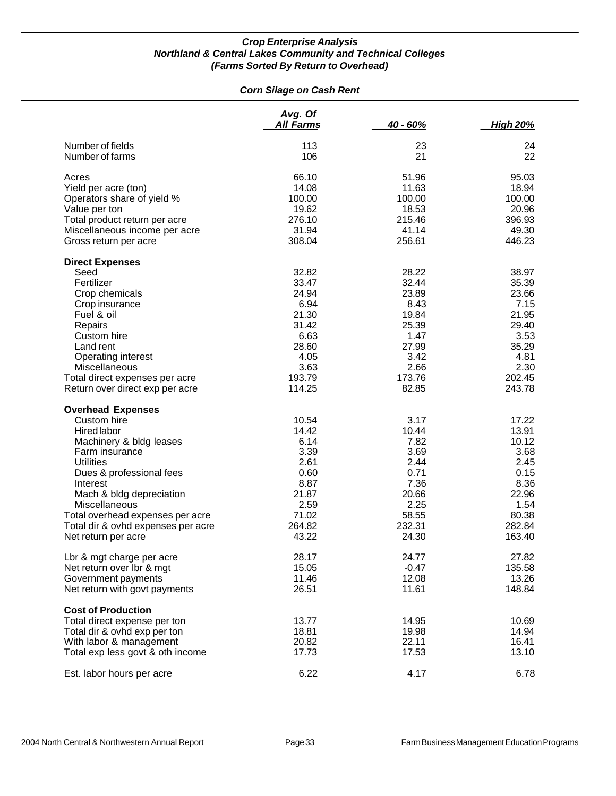#### *Corn Silage on Cash Rent*

|                                    | Avg. Of<br><b>All Farms</b> | 40 - 60% | <b>High 20%</b> |
|------------------------------------|-----------------------------|----------|-----------------|
| Number of fields                   | 113                         | 23       | 24              |
| Number of farms                    | 106                         | 21       | 22              |
| Acres                              | 66.10                       | 51.96    | 95.03           |
| Yield per acre (ton)               | 14.08                       | 11.63    | 18.94           |
| Operators share of yield %         | 100.00                      | 100.00   | 100.00          |
| Value per ton                      | 19.62                       | 18.53    | 20.96           |
| Total product return per acre      | 276.10                      | 215.46   | 396.93          |
| Miscellaneous income per acre      | 31.94                       | 41.14    | 49.30           |
| Gross return per acre              | 308.04                      | 256.61   | 446.23          |
| <b>Direct Expenses</b>             |                             |          |                 |
| Seed                               | 32.82                       | 28.22    | 38.97           |
| Fertilizer                         | 33.47                       | 32.44    | 35.39           |
| Crop chemicals                     | 24.94                       | 23.89    | 23.66           |
| Crop insurance                     | 6.94                        | 8.43     | 7.15            |
| Fuel & oil                         | 21.30                       | 19.84    | 21.95           |
| Repairs                            | 31.42                       | 25.39    | 29.40           |
| Custom hire                        | 6.63                        | 1.47     | 3.53            |
| Land rent                          | 28.60                       | 27.99    | 35.29           |
| Operating interest                 | 4.05                        | 3.42     | 4.81            |
| Miscellaneous                      | 3.63                        | 2.66     | 2.30            |
| Total direct expenses per acre     | 193.79                      | 173.76   | 202.45          |
| Return over direct exp per acre    | 114.25                      | 82.85    | 243.78          |
| <b>Overhead Expenses</b>           |                             |          |                 |
| Custom hire                        | 10.54                       | 3.17     | 17.22           |
| Hired labor                        | 14.42                       | 10.44    | 13.91           |
| Machinery & bldg leases            | 6.14                        | 7.82     | 10.12           |
| Farm insurance                     | 3.39                        | 3.69     | 3.68            |
| <b>Utilities</b>                   | 2.61                        | 2.44     | 2.45            |
| Dues & professional fees           | 0.60                        | 0.71     | 0.15            |
| Interest                           | 8.87                        | 7.36     | 8.36            |
| Mach & bldg depreciation           | 21.87                       | 20.66    | 22.96           |
| Miscellaneous                      | 2.59                        | 2.25     | 1.54            |
| Total overhead expenses per acre   | 71.02                       | 58.55    | 80.38           |
| Total dir & ovhd expenses per acre | 264.82                      | 232.31   | 282.84          |
| Net return per acre                | 43.22                       | 24.30    | 163.40          |
| Lbr & mgt charge per acre          | 28.17                       | 24.77    | 27.82           |
| Net return over Ibr & mgt          | 15.05                       | $-0.47$  | 135.58          |
| Government payments                | 11.46                       | 12.08    | 13.26           |
| Net return with govt payments      | 26.51                       | 11.61    | 148.84          |
| <b>Cost of Production</b>          |                             |          |                 |
| Total direct expense per ton       | 13.77                       | 14.95    | 10.69           |
| Total dir & ovhd exp per ton       | 18.81                       | 19.98    | 14.94           |
| With labor & management            | 20.82                       | 22.11    | 16.41           |
| Total exp less govt & oth income   | 17.73                       | 17.53    | 13.10           |
| Est. labor hours per acre          | 6.22                        | 4.17     | 6.78            |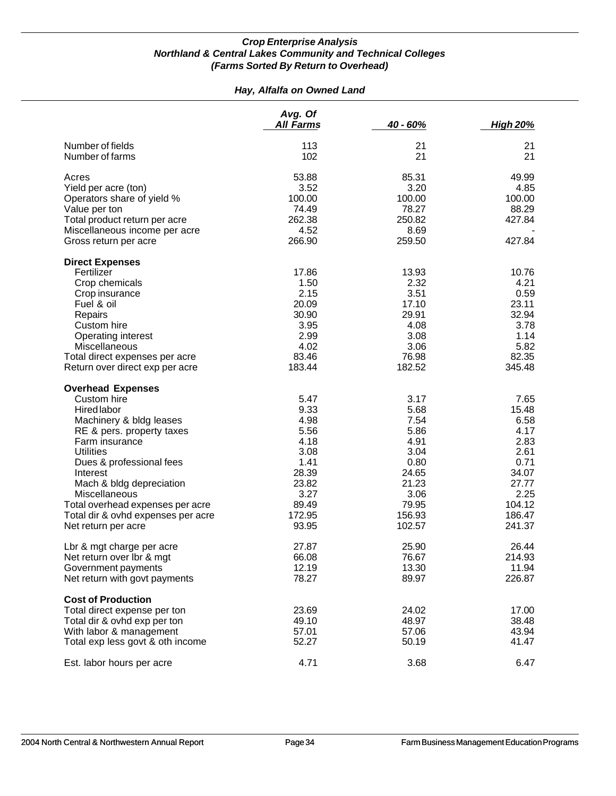#### *Hay, Alfalfa on Owned Land*

|                                    | Avg. Of<br><b>All Farms</b> | 40 - 60% | <b>High 20%</b> |
|------------------------------------|-----------------------------|----------|-----------------|
| Number of fields                   | 113                         | 21       | 21              |
| Number of farms                    | 102                         | 21       | 21              |
| Acres                              | 53.88                       | 85.31    | 49.99           |
| Yield per acre (ton)               | 3.52                        | 3.20     | 4.85            |
| Operators share of yield %         | 100.00                      | 100.00   | 100.00          |
| Value per ton                      | 74.49                       | 78.27    | 88.29           |
| Total product return per acre      | 262.38                      | 250.82   | 427.84          |
| Miscellaneous income per acre      | 4.52                        | 8.69     |                 |
| Gross return per acre              | 266.90                      | 259.50   | 427.84          |
| <b>Direct Expenses</b>             |                             |          |                 |
| Fertilizer                         | 17.86                       | 13.93    | 10.76           |
| Crop chemicals                     | 1.50                        | 2.32     | 4.21            |
| Crop insurance                     | 2.15                        | 3.51     | 0.59            |
| Fuel & oil                         | 20.09                       | 17.10    | 23.11           |
| Repairs                            | 30.90                       | 29.91    | 32.94           |
| Custom hire                        | 3.95                        | 4.08     | 3.78            |
| Operating interest                 | 2.99                        | 3.08     | 1.14            |
| Miscellaneous                      | 4.02                        | 3.06     | 5.82            |
| Total direct expenses per acre     | 83.46                       | 76.98    | 82.35           |
| Return over direct exp per acre    | 183.44                      | 182.52   | 345.48          |
| <b>Overhead Expenses</b>           |                             |          |                 |
| Custom hire                        | 5.47                        | 3.17     | 7.65            |
| <b>Hired labor</b>                 | 9.33                        | 5.68     | 15.48           |
| Machinery & bldg leases            | 4.98                        | 7.54     | 6.58            |
| RE & pers. property taxes          | 5.56                        | 5.86     | 4.17            |
| Farm insurance                     | 4.18                        | 4.91     | 2.83            |
| <b>Utilities</b>                   | 3.08                        | 3.04     | 2.61            |
| Dues & professional fees           | 1.41                        | 0.80     | 0.71            |
| Interest                           | 28.39                       | 24.65    | 34.07           |
| Mach & bldg depreciation           | 23.82                       | 21.23    | 27.77           |
| Miscellaneous                      | 3.27                        | 3.06     | 2.25            |
| Total overhead expenses per acre   | 89.49                       | 79.95    | 104.12          |
| Total dir & ovhd expenses per acre | 172.95                      | 156.93   | 186.47          |
| Net return per acre                | 93.95                       | 102.57   | 241.37          |
| Lbr & mgt charge per acre          | 27.87                       | 25.90    | 26.44           |
| Net return over Ibr & mgt          | 66.08                       | 76.67    | 214.93          |
| Government payments                | 12.19                       | 13.30    | 11.94           |
| Net return with govt payments      | 78.27                       | 89.97    | 226.87          |
| <b>Cost of Production</b>          |                             |          |                 |
| Total direct expense per ton       | 23.69                       | 24.02    | 17.00           |
| Total dir & ovhd exp per ton       | 49.10                       | 48.97    | 38.48           |
| With labor & management            | 57.01                       | 57.06    | 43.94           |
| Total exp less govt & oth income   | 52.27                       | 50.19    | 41.47           |
| Est. labor hours per acre          | 4.71                        | 3.68     | 6.47            |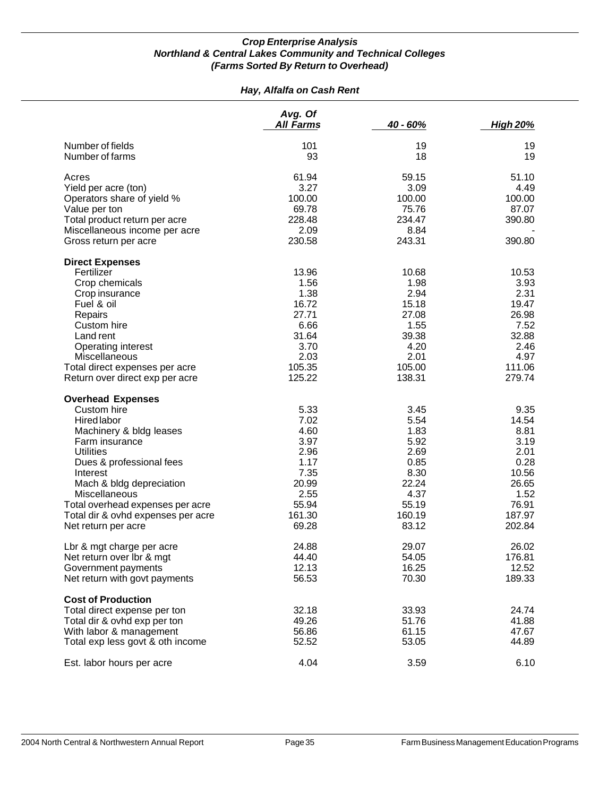#### *Hay, Alfalfa on Cash Rent*

|                                    | Avg. Of<br><b>All Farms</b> | 40 - 60% | <b>High 20%</b> |
|------------------------------------|-----------------------------|----------|-----------------|
| Number of fields                   | 101                         | 19       | 19              |
| Number of farms                    | 93                          | 18       | 19              |
| Acres                              | 61.94                       | 59.15    | 51.10           |
| Yield per acre (ton)               | 3.27                        | 3.09     | 4.49            |
| Operators share of yield %         | 100.00                      | 100.00   | 100.00          |
| Value per ton                      | 69.78                       | 75.76    | 87.07           |
| Total product return per acre      | 228.48                      | 234.47   | 390.80          |
| Miscellaneous income per acre      | 2.09                        | 8.84     |                 |
| Gross return per acre              | 230.58                      | 243.31   | 390.80          |
| <b>Direct Expenses</b>             |                             |          |                 |
| Fertilizer                         | 13.96                       | 10.68    | 10.53           |
| Crop chemicals                     | 1.56                        | 1.98     | 3.93            |
| Crop insurance                     | 1.38                        | 2.94     | 2.31            |
| Fuel & oil                         | 16.72                       | 15.18    | 19.47           |
| Repairs                            | 27.71                       | 27.08    | 26.98           |
| Custom hire                        | 6.66                        | 1.55     | 7.52            |
| Land rent                          | 31.64                       | 39.38    | 32.88           |
| Operating interest                 | 3.70                        | 4.20     | 2.46            |
| Miscellaneous                      | 2.03                        | 2.01     | 4.97            |
| Total direct expenses per acre     | 105.35                      | 105.00   | 111.06          |
| Return over direct exp per acre    | 125.22                      | 138.31   | 279.74          |
| <b>Overhead Expenses</b>           |                             |          |                 |
| Custom hire                        | 5.33                        | 3.45     | 9.35            |
| Hired labor                        | 7.02                        | 5.54     | 14.54           |
| Machinery & bldg leases            | 4.60                        | 1.83     | 8.81            |
| Farm insurance                     | 3.97                        | 5.92     | 3.19            |
| <b>Utilities</b>                   | 2.96                        | 2.69     | 2.01            |
| Dues & professional fees           | 1.17                        | 0.85     | 0.28            |
| Interest                           | 7.35                        | 8.30     | 10.56           |
| Mach & bldg depreciation           | 20.99                       | 22.24    | 26.65           |
| Miscellaneous                      | 2.55                        | 4.37     | 1.52            |
| Total overhead expenses per acre   | 55.94                       | 55.19    | 76.91           |
| Total dir & ovhd expenses per acre | 161.30                      | 160.19   | 187.97          |
| Net return per acre                | 69.28                       | 83.12    | 202.84          |
| Lbr & mgt charge per acre          | 24.88                       | 29.07    | 26.02           |
| Net return over Ibr & mgt          | 44.40                       | 54.05    | 176.81          |
| Government payments                | 12.13                       | 16.25    | 12.52           |
| Net return with govt payments      | 56.53                       | 70.30    | 189.33          |
| <b>Cost of Production</b>          |                             |          |                 |
| Total direct expense per ton       | 32.18                       | 33.93    | 24.74           |
| Total dir & ovhd exp per ton       | 49.26                       | 51.76    | 41.88           |
| With labor & management            | 56.86                       | 61.15    | 47.67           |
| Total exp less govt & oth income   | 52.52                       | 53.05    | 44.89           |
| Est. labor hours per acre          | 4.04                        | 3.59     | 6.10            |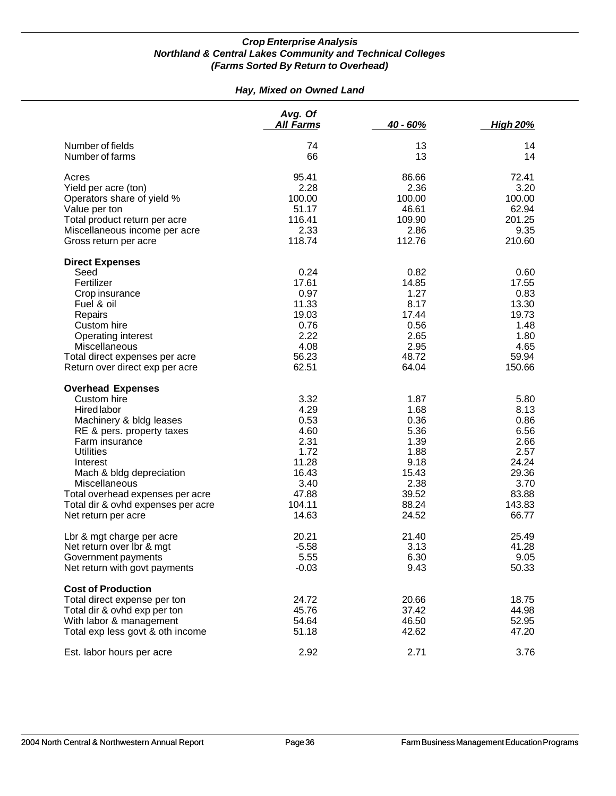#### *Hay, Mixed on Owned Land*

|                                    | Avg. Of<br><b>All Farms</b> | 40 - 60% | <b>High 20%</b> |
|------------------------------------|-----------------------------|----------|-----------------|
| Number of fields                   | 74                          | 13       | 14              |
| Number of farms                    | 66                          | 13       | 14              |
| Acres                              | 95.41                       | 86.66    | 72.41           |
| Yield per acre (ton)               | 2.28                        | 2.36     | 3.20            |
| Operators share of yield %         | 100.00                      | 100.00   | 100.00          |
| Value per ton                      | 51.17                       | 46.61    | 62.94           |
| Total product return per acre      | 116.41                      | 109.90   | 201.25          |
| Miscellaneous income per acre      | 2.33                        | 2.86     | 9.35            |
| Gross return per acre              | 118.74                      | 112.76   | 210.60          |
| <b>Direct Expenses</b>             |                             |          |                 |
| Seed                               | 0.24                        | 0.82     | 0.60            |
| Fertilizer                         | 17.61                       | 14.85    | 17.55           |
| Crop insurance                     | 0.97                        | 1.27     | 0.83            |
| Fuel & oil                         | 11.33                       | 8.17     | 13.30           |
| Repairs                            | 19.03                       | 17.44    | 19.73           |
| Custom hire                        | 0.76                        | 0.56     | 1.48            |
| Operating interest                 | 2.22                        | 2.65     | 1.80            |
| Miscellaneous                      | 4.08                        | 2.95     | 4.65            |
| Total direct expenses per acre     | 56.23                       | 48.72    | 59.94           |
| Return over direct exp per acre    | 62.51                       | 64.04    | 150.66          |
| <b>Overhead Expenses</b>           |                             |          |                 |
| Custom hire                        | 3.32                        | 1.87     | 5.80            |
| <b>Hired labor</b>                 | 4.29                        | 1.68     | 8.13            |
| Machinery & bldg leases            | 0.53                        | 0.36     | 0.86            |
| RE & pers. property taxes          | 4.60                        | 5.36     | 6.56            |
| Farm insurance                     | 2.31                        | 1.39     | 2.66            |
| <b>Utilities</b>                   | 1.72                        | 1.88     | 2.57            |
| Interest                           | 11.28                       | 9.18     | 24.24           |
| Mach & bldg depreciation           | 16.43                       | 15.43    | 29.36           |
| <b>Miscellaneous</b>               | 3.40                        | 2.38     | 3.70            |
| Total overhead expenses per acre   | 47.88                       | 39.52    | 83.88           |
| Total dir & ovhd expenses per acre | 104.11                      | 88.24    | 143.83          |
| Net return per acre                | 14.63                       | 24.52    | 66.77           |
| Lbr & mgt charge per acre          | 20.21                       | 21.40    | 25.49           |
| Net return over lbr & mgt          | $-5.58$                     | 3.13     | 41.28           |
| Government payments                | 5.55                        | 6.30     | 9.05            |
| Net return with govt payments      | $-0.03$                     | 9.43     | 50.33           |
| <b>Cost of Production</b>          |                             |          |                 |
| Total direct expense per ton       | 24.72                       | 20.66    | 18.75           |
| Total dir & ovhd exp per ton       | 45.76                       | 37.42    | 44.98           |
| With labor & management            | 54.64                       | 46.50    | 52.95           |
| Total exp less govt & oth income   | 51.18                       | 42.62    | 47.20           |
| Est. labor hours per acre          | 2.92                        | 2.71     | 3.76            |
|                                    |                             |          |                 |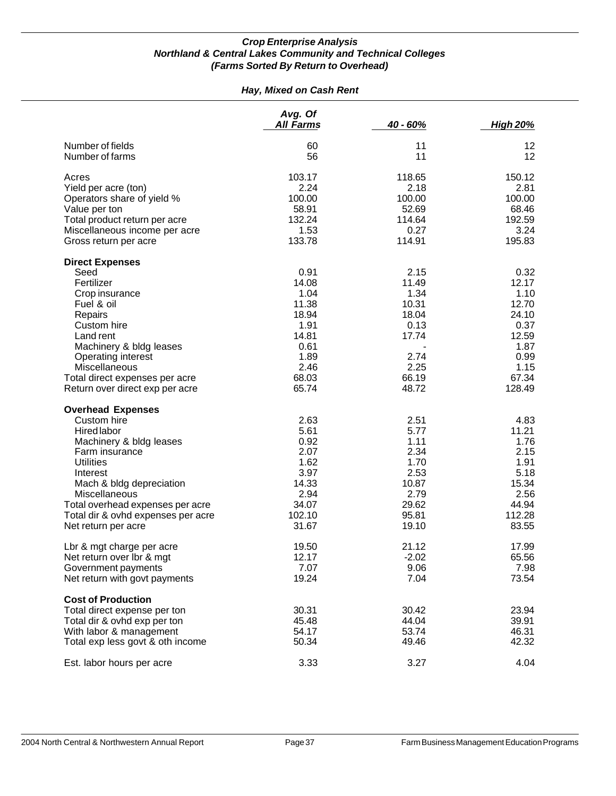#### *Hay, Mixed on Cash Rent*

|                                    | Avg. Of<br><b>All Farms</b> | 40 - 60% | <b>High 20%</b> |
|------------------------------------|-----------------------------|----------|-----------------|
| Number of fields                   | 60                          | 11       | 12              |
| Number of farms                    | 56                          | 11       | 12              |
| Acres                              | 103.17                      | 118.65   | 150.12          |
| Yield per acre (ton)               | 2.24                        | 2.18     | 2.81            |
| Operators share of yield %         | 100.00                      | 100.00   | 100.00          |
| Value per ton                      | 58.91                       | 52.69    | 68.46           |
| Total product return per acre      | 132.24                      | 114.64   | 192.59          |
| Miscellaneous income per acre      | 1.53                        | 0.27     | 3.24            |
| Gross return per acre              | 133.78                      | 114.91   | 195.83          |
| <b>Direct Expenses</b>             |                             |          |                 |
| Seed                               | 0.91                        | 2.15     | 0.32            |
| Fertilizer                         | 14.08                       | 11.49    | 12.17           |
| Crop insurance                     | 1.04                        | 1.34     | 1.10            |
| Fuel & oil                         | 11.38                       | 10.31    | 12.70           |
| Repairs                            | 18.94                       | 18.04    | 24.10           |
| Custom hire                        | 1.91                        | 0.13     | 0.37            |
| Land rent                          | 14.81                       | 17.74    | 12.59           |
| Machinery & bldg leases            | 0.61                        |          | 1.87            |
| Operating interest                 | 1.89                        | 2.74     | 0.99            |
| Miscellaneous                      | 2.46                        | 2.25     | 1.15            |
| Total direct expenses per acre     | 68.03                       | 66.19    | 67.34           |
| Return over direct exp per acre    | 65.74                       | 48.72    | 128.49          |
| <b>Overhead Expenses</b>           |                             |          |                 |
| Custom hire                        | 2.63                        | 2.51     | 4.83            |
| Hired labor                        | 5.61                        | 5.77     | 11.21           |
| Machinery & bldg leases            | 0.92                        | 1.11     | 1.76            |
| Farm insurance                     | 2.07                        | 2.34     | 2.15            |
| <b>Utilities</b>                   | 1.62                        | 1.70     | 1.91            |
| Interest                           | 3.97                        | 2.53     | 5.18            |
| Mach & bldg depreciation           | 14.33                       | 10.87    | 15.34           |
| Miscellaneous                      | 2.94                        | 2.79     | 2.56            |
| Total overhead expenses per acre   | 34.07                       | 29.62    | 44.94           |
| Total dir & ovhd expenses per acre | 102.10                      | 95.81    | 112.28          |
| Net return per acre                | 31.67                       | 19.10    | 83.55           |
| Lbr & mgt charge per acre          | 19.50                       | 21.12    | 17.99           |
| Net return over Ibr & mgt          | 12.17                       | $-2.02$  | 65.56           |
| Government payments                | 7.07                        | 9.06     | 7.98            |
| Net return with govt payments      | 19.24                       | 7.04     | 73.54           |
| <b>Cost of Production</b>          |                             |          |                 |
| Total direct expense per ton       | 30.31                       | 30.42    | 23.94           |
| Total dir & ovhd exp per ton       | 45.48                       | 44.04    | 39.91           |
| With labor & management            | 54.17                       | 53.74    | 46.31           |
| Total exp less govt & oth income   | 50.34                       | 49.46    | 42.32           |
| Est. labor hours per acre          | 3.33                        | 3.27     | 4.04            |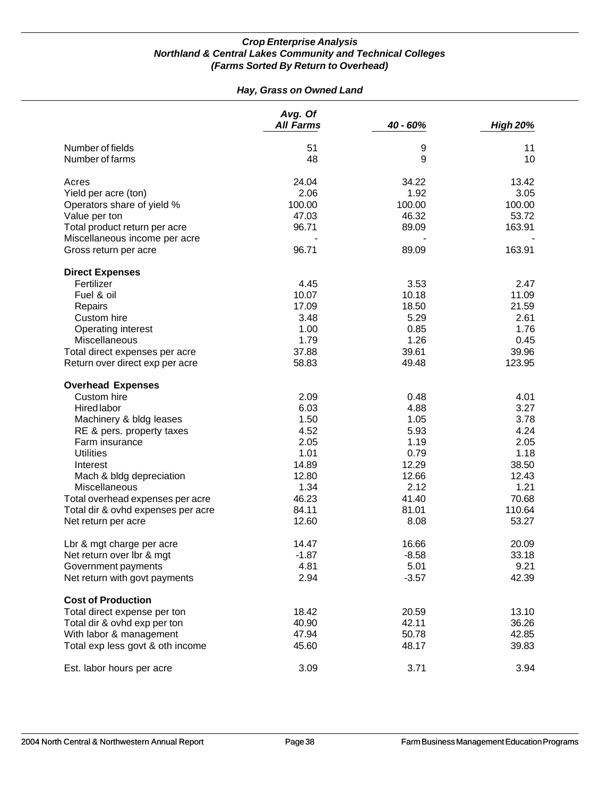#### *Hay, Grass on Owned Land*

|                                    | Avg. Of<br><b>All Farms</b> | 40 - 60% | <b>High 20%</b> |
|------------------------------------|-----------------------------|----------|-----------------|
| Number of fields                   | 51                          | 9        | 11              |
| Number of farms                    | 48                          | 9        | 10              |
| Acres                              | 24.04                       | 34.22    | 13.42           |
| Yield per acre (ton)               | 2.06                        | 1.92     | 3.05            |
| Operators share of yield %         | 100.00                      | 100.00   | 100.00          |
| Value per ton                      | 47.03                       | 46.32    | 53.72           |
| Total product return per acre      | 96.71                       | 89.09    | 163.91          |
| Miscellaneous income per acre      |                             |          |                 |
| Gross return per acre              | 96.71                       | 89.09    | 163.91          |
| <b>Direct Expenses</b>             |                             |          |                 |
| Fertilizer                         | 4.45                        | 3.53     | 2.47            |
| Fuel & oil                         | 10.07                       | 10.18    | 11.09           |
| Repairs                            | 17.09                       | 18.50    | 21.59           |
| Custom hire                        | 3.48                        | 5.29     | 2.61            |
| Operating interest                 | 1.00                        | 0.85     | 1.76            |
| Miscellaneous                      | 1.79                        | 1.26     | 0.45            |
| Total direct expenses per acre     | 37.88                       | 39.61    | 39.96           |
| Return over direct exp per acre    | 58.83                       | 49.48    | 123.95          |
| <b>Overhead Expenses</b>           |                             |          |                 |
| Custom hire                        | 2.09                        | 0.48     | 4.01            |
| <b>Hired labor</b>                 | 6.03                        | 4.88     | 3.27            |
| Machinery & bldg leases            | 1.50                        | 1.05     | 3.78            |
| RE & pers. property taxes          | 4.52                        | 5.93     | 4.24            |
| Farm insurance                     | 2.05                        | 1.19     | 2.05            |
| <b>Utilities</b>                   | 1.01                        | 0.79     | 1.18            |
| Interest                           | 14.89                       | 12.29    | 38.50           |
| Mach & bldg depreciation           | 12.80                       | 12.66    | 12.43           |
| Miscellaneous                      | 1.34                        | 2.12     | 1.21            |
| Total overhead expenses per acre   | 46.23                       | 41.40    | 70.68           |
| Total dir & ovhd expenses per acre | 84.11                       | 81.01    | 110.64          |
| Net return per acre                | 12.60                       | 8.08     | 53.27           |
| Lbr & mgt charge per acre          | 14.47                       | 16.66    | 20.09           |
| Net return over Ibr & mgt          | $-1.87$                     | $-8.58$  | 33.18           |
| Government payments                | 4.81                        | 5.01     | 9.21            |
| Net return with govt payments      | 2.94                        | $-3.57$  | 42.39           |
| <b>Cost of Production</b>          |                             |          |                 |
| Total direct expense per ton       | 18.42                       | 20.59    | 13.10           |
| Total dir & ovhd exp per ton       | 40.90                       | 42.11    | 36.26           |
| With labor & management            | 47.94                       | 50.78    | 42.85           |
| Total exp less govt & oth income   | 45.60                       | 48.17    | 39.83           |
| Est. labor hours per acre          | 3.09                        | 3.71     | 3.94            |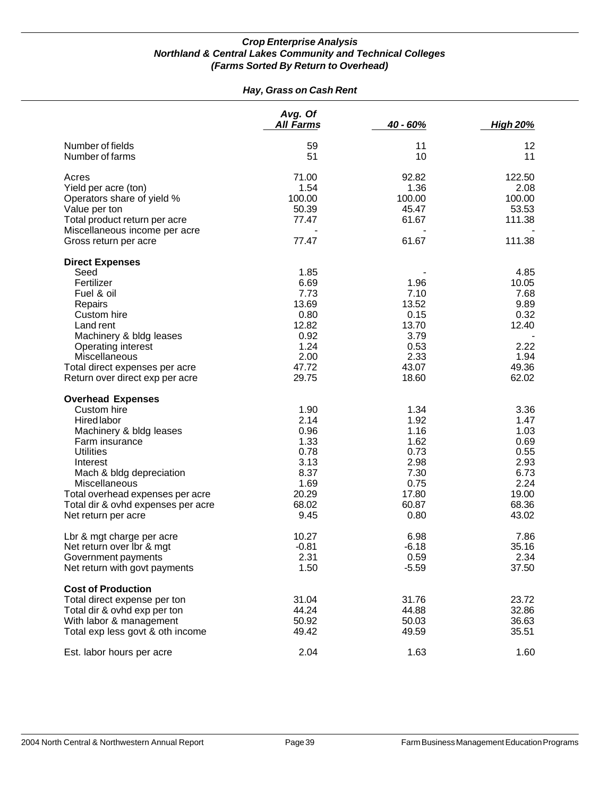#### *Hay, Grass on Cash Rent*

|                                                                   | Avg. Of<br>All Farms | 40 - 60%       | <b>High 20%</b> |
|-------------------------------------------------------------------|----------------------|----------------|-----------------|
| Number of fields                                                  | 59                   | 11             | 12              |
| Number of farms                                                   | 51                   | 10             | 11              |
| Acres                                                             | 71.00                | 92.82          | 122.50          |
| Yield per acre (ton)                                              | 1.54                 | 1.36           | 2.08            |
| Operators share of yield %                                        | 100.00               | 100.00         | 100.00          |
| Value per ton                                                     | 50.39                | 45.47          | 53.53           |
| Total product return per acre                                     | 77.47                | 61.67          | 111.38          |
| Miscellaneous income per acre                                     |                      |                |                 |
| Gross return per acre                                             | 77.47                | 61.67          | 111.38          |
| <b>Direct Expenses</b>                                            |                      |                |                 |
| Seed                                                              | 1.85                 |                | 4.85            |
| Fertilizer                                                        | 6.69                 | 1.96           | 10.05           |
| Fuel & oil                                                        | 7.73                 | 7.10           | 7.68            |
| Repairs                                                           | 13.69                | 13.52          | 9.89            |
| Custom hire                                                       | 0.80                 | 0.15           | 0.32            |
| Land rent                                                         | 12.82                | 13.70          | 12.40           |
| Machinery & bldg leases                                           | 0.92                 | 3.79           |                 |
| Operating interest                                                | 1.24                 | 0.53           | 2.22            |
| <b>Miscellaneous</b>                                              | 2.00                 | 2.33           | 1.94            |
|                                                                   | 47.72                |                |                 |
| Total direct expenses per acre<br>Return over direct exp per acre | 29.75                | 43.07<br>18.60 | 49.36<br>62.02  |
| <b>Overhead Expenses</b>                                          |                      |                |                 |
| Custom hire                                                       | 1.90                 | 1.34           | 3.36            |
|                                                                   | 2.14                 | 1.92           | 1.47            |
| <b>Hired labor</b>                                                |                      |                |                 |
| Machinery & bldg leases                                           | 0.96                 | 1.16           | 1.03            |
| Farm insurance                                                    | 1.33                 | 1.62           | 0.69            |
| <b>Utilities</b>                                                  | 0.78                 | 0.73           | 0.55            |
| Interest                                                          | 3.13                 | 2.98           | 2.93            |
| Mach & bldg depreciation                                          | 8.37                 | 7.30           | 6.73            |
| Miscellaneous                                                     | 1.69                 | 0.75           | 2.24            |
| Total overhead expenses per acre                                  | 20.29                | 17.80          | 19.00           |
| Total dir & ovhd expenses per acre                                | 68.02                | 60.87          | 68.36           |
| Net return per acre                                               | 9.45                 | 0.80           | 43.02           |
| Lbr & mgt charge per acre                                         | 10.27                | 6.98           | 7.86            |
| Net return over Ibr & mgt                                         | $-0.81$              | $-6.18$        | 35.16           |
| Government payments                                               | 2.31                 | 0.59           | 2.34            |
| Net return with govt payments                                     | 1.50                 | $-5.59$        | 37.50           |
| <b>Cost of Production</b>                                         |                      |                |                 |
| Total direct expense per ton                                      | 31.04                | 31.76          | 23.72           |
| Total dir & ovhd exp per ton                                      | 44.24                | 44.88          | 32.86           |
| With labor & management                                           | 50.92                | 50.03          | 36.63           |
| Total exp less govt & oth income                                  | 49.42                | 49.59          | 35.51           |
| Est. labor hours per acre                                         | 2.04                 | 1.63           | 1.60            |
|                                                                   |                      |                |                 |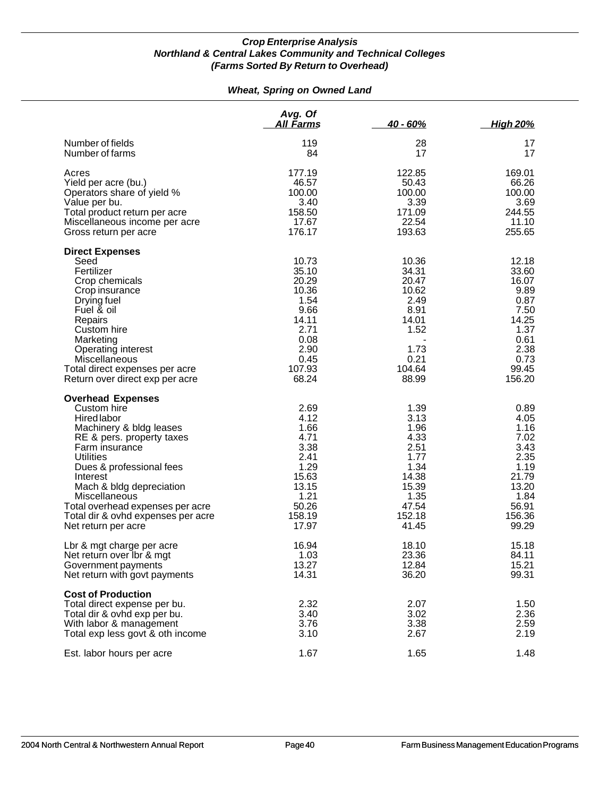#### *Wheat, Spring on Owned Land*

|                                                                                                                                                                                                                                                                                                                                                   | Avg. Of<br><u>All Farms</u>                                                                                  | $40 - 60%$                                                                                                 | <u>High 20%</u>                                                                                             |
|---------------------------------------------------------------------------------------------------------------------------------------------------------------------------------------------------------------------------------------------------------------------------------------------------------------------------------------------------|--------------------------------------------------------------------------------------------------------------|------------------------------------------------------------------------------------------------------------|-------------------------------------------------------------------------------------------------------------|
| Number of fields<br>Number of farms                                                                                                                                                                                                                                                                                                               | 119<br>84                                                                                                    | 28<br>17                                                                                                   | 17<br>17                                                                                                    |
| Acres<br>Yield per acre (bu.)<br>Operators share of yield %<br>Value per bu.<br>Total product return per acre<br>Miscellaneous income per acre<br>Gross return per acre                                                                                                                                                                           | 177.19<br>46.57<br>100.00<br>3.40<br>158.50<br>17.67<br>176.17                                               | 122.85<br>50.43<br>100.00<br>3.39<br>171.09<br>22.54<br>193.63                                             | 169.01<br>66.26<br>100.00<br>3.69<br>244.55<br>11.10<br>255.65                                              |
| <b>Direct Expenses</b><br>Seed<br>Fertilizer<br>Crop chemicals<br>Crop insurance<br>Drying fuel<br>Fuel & oil<br>Repairs<br>Custom hire<br>Marketing<br>Operating interest<br>Miscellaneous<br>Total direct expenses per acre<br>Return over direct exp per acre                                                                                  | 10.73<br>35.10<br>20.29<br>10.36<br>1.54<br>9.66<br>14.11<br>2.71<br>0.08<br>2.90<br>0.45<br>107.93<br>68.24 | 10.36<br>34.31<br>20.47<br>10.62<br>2.49<br>8.91<br>14.01<br>1.52<br>1.73<br>0.21<br>104.64<br>88.99       | 12.18<br>33.60<br>16.07<br>9.89<br>0.87<br>7.50<br>14.25<br>1.37<br>0.61<br>2.38<br>0.73<br>99.45<br>156.20 |
| <b>Overhead Expenses</b><br>Custom hire<br><b>Hired labor</b><br>Machinery & bldg leases<br>RE & pers. property taxes<br>Farm insurance<br><b>Utilities</b><br>Dues & professional fees<br>Interest<br>Mach & bldg depreciation<br>Miscellaneous<br>Total overhead expenses per acre<br>Total dir & ovhd expenses per acre<br>Net return per acre | 2.69<br>4.12<br>1.66<br>4.71<br>3.38<br>2.41<br>1.29<br>15.63<br>13.15<br>1.21<br>50.26<br>158.19<br>17.97   | 1.39<br>3.13<br>1.96<br>4.33<br>2.51<br>1.77<br>1.34<br>14.38<br>15.39<br>1.35<br>47.54<br>152.18<br>41.45 | 0.89<br>4.05<br>1.16<br>7.02<br>3.43<br>2.35<br>1.19<br>21.79<br>13.20<br>1.84<br>56.91<br>156.36<br>99.29  |
| Lbr & mgt charge per acre<br>Net return over Ibr & mgt<br>Government payments<br>Net return with govt payments                                                                                                                                                                                                                                    | 16.94<br>1.03<br>13.27<br>14.31                                                                              | 18.10<br>23.36<br>12.84<br>36.20                                                                           | 15.18<br>84.11<br>15.21<br>99.31                                                                            |
| <b>Cost of Production</b><br>Total direct expense per bu.<br>Total dir & ovhd exp per bu.<br>With labor & management<br>Total exp less govt & oth income                                                                                                                                                                                          | 2.32<br>3.40<br>3.76<br>3.10                                                                                 | 2.07<br>3.02<br>3.38<br>2.67                                                                               | 1.50<br>2.36<br>2.59<br>2.19                                                                                |
| Est. labor hours per acre                                                                                                                                                                                                                                                                                                                         | 1.67                                                                                                         | 1.65                                                                                                       | 1.48                                                                                                        |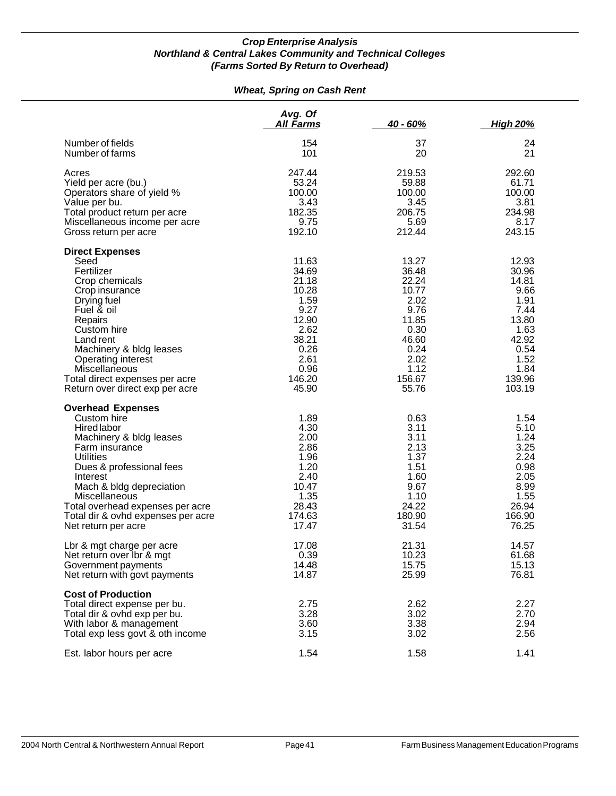#### *Wheat, Spring on Cash Rent*

|                                                                                                                                                                                                                                                                                                               | Avg. Of<br>All Farms                                                                                                  | $40 - 60%$                                                                                                            | <u>High 20%</u>                                                                                                       |
|---------------------------------------------------------------------------------------------------------------------------------------------------------------------------------------------------------------------------------------------------------------------------------------------------------------|-----------------------------------------------------------------------------------------------------------------------|-----------------------------------------------------------------------------------------------------------------------|-----------------------------------------------------------------------------------------------------------------------|
| Number of fields<br>Number of farms                                                                                                                                                                                                                                                                           | 154<br>101                                                                                                            | 37<br>20                                                                                                              | 24<br>21                                                                                                              |
| Acres<br>Yield per acre (bu.)<br>Operators share of yield %<br>Value per bu.<br>Total product return per acre<br>Miscellaneous income per acre<br>Gross return per acre                                                                                                                                       | 247.44<br>53.24<br>100.00<br>3.43<br>182.35<br>9.75<br>192.10                                                         | 219.53<br>59.88<br>100.00<br>3.45<br>206.75<br>5.69<br>212.44                                                         | 292.60<br>61.71<br>100.00<br>3.81<br>234.98<br>8.17<br>243.15                                                         |
| <b>Direct Expenses</b><br>Seed<br>Fertilizer<br>Crop chemicals<br>Crop insurance<br>Drying fuel<br>Fuel & oil<br>Repairs<br>Custom hire<br>Land rent<br>Machinery & bldg leases<br>Operating interest<br>Miscellaneous<br>Total direct expenses per acre<br>Return over direct exp per acre                   | 11.63<br>34.69<br>21.18<br>10.28<br>1.59<br>9.27<br>12.90<br>2.62<br>38.21<br>0.26<br>2.61<br>0.96<br>146.20<br>45.90 | 13.27<br>36.48<br>22.24<br>10.77<br>2.02<br>9.76<br>11.85<br>0.30<br>46.60<br>0.24<br>2.02<br>1.12<br>156.67<br>55.76 | 12.93<br>30.96<br>14.81<br>9.66<br>1.91<br>7.44<br>13.80<br>1.63<br>42.92<br>0.54<br>1.52<br>1.84<br>139.96<br>103.19 |
| <b>Overhead Expenses</b><br>Custom hire<br>Hired labor<br>Machinery & bldg leases<br>Farm insurance<br><b>Utilities</b><br>Dues & professional fees<br>Interest<br>Mach & bldg depreciation<br>Miscellaneous<br>Total overhead expenses per acre<br>Total dir & ovhd expenses per acre<br>Net return per acre | 1.89<br>4.30<br>2.00<br>2.86<br>1.96<br>1.20<br>2.40<br>10.47<br>1.35<br>28.43<br>174.63<br>17.47                     | 0.63<br>3.11<br>3.11<br>2.13<br>1.37<br>1.51<br>1.60<br>9.67<br>1.10<br>24.22<br>180.90<br>31.54                      | 1.54<br>5.10<br>1.24<br>3.25<br>2.24<br>0.98<br>2.05<br>8.99<br>1.55<br>26.94<br>166.90<br>76.25                      |
| Lbr & mgt charge per acre<br>Net return over Ibr & mgt<br>Government payments<br>Net return with govt payments                                                                                                                                                                                                | 17.08<br>0.39<br>14.48<br>14.87                                                                                       | 21.31<br>10.23<br>15.75<br>25.99                                                                                      | 14.57<br>61.68<br>15.13<br>76.81                                                                                      |
| <b>Cost of Production</b><br>Total direct expense per bu.<br>Total dir & ovhd exp per bu.<br>With labor & management<br>Total exp less govt & oth income                                                                                                                                                      | 2.75<br>3.28<br>3.60<br>3.15                                                                                          | 2.62<br>3.02<br>3.38<br>3.02                                                                                          | 2.27<br>2.70<br>2.94<br>2.56                                                                                          |
| Est. labor hours per acre                                                                                                                                                                                                                                                                                     | 1.54                                                                                                                  | 1.58                                                                                                                  | 1.41                                                                                                                  |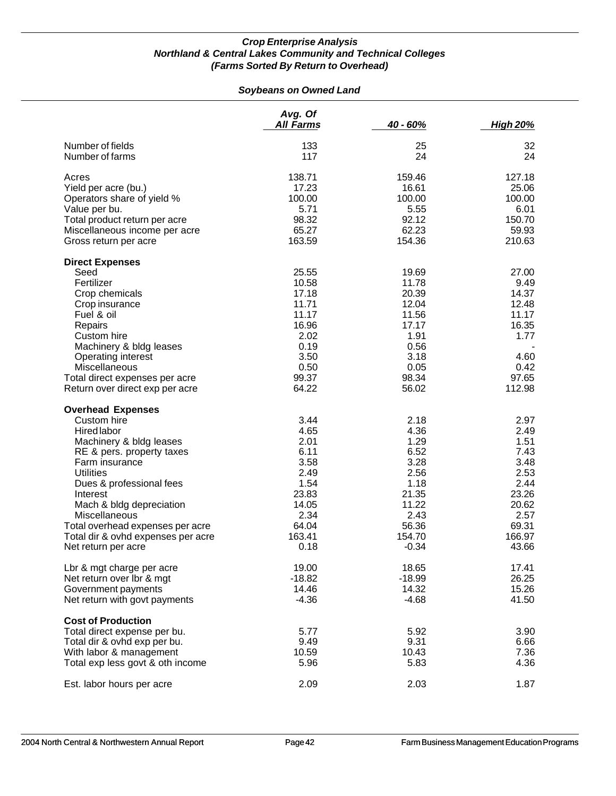#### *Soybeans on Owned Land*

|                                    | Avg. Of<br><b>All Farms</b> | 40 - 60% | <b>High 20%</b> |
|------------------------------------|-----------------------------|----------|-----------------|
| Number of fields                   | 133                         | 25       | 32              |
| Number of farms                    | 117                         | 24       | 24              |
| Acres                              | 138.71                      | 159.46   | 127.18          |
| Yield per acre (bu.)               | 17.23                       | 16.61    | 25.06           |
| Operators share of yield %         | 100.00                      | 100.00   | 100.00          |
| Value per bu.                      | 5.71                        | 5.55     | 6.01            |
| Total product return per acre      | 98.32                       | 92.12    | 150.70          |
| Miscellaneous income per acre      | 65.27                       | 62.23    | 59.93           |
| Gross return per acre              | 163.59                      | 154.36   | 210.63          |
| <b>Direct Expenses</b>             |                             |          |                 |
| Seed                               | 25.55                       | 19.69    | 27.00           |
| Fertilizer                         | 10.58                       | 11.78    | 9.49            |
| Crop chemicals                     | 17.18                       | 20.39    | 14.37           |
| Crop insurance                     | 11.71                       | 12.04    | 12.48           |
| Fuel & oil                         | 11.17                       | 11.56    | 11.17           |
| Repairs                            | 16.96                       | 17.17    | 16.35           |
| Custom hire                        | 2.02                        | 1.91     | 1.77            |
| Machinery & bldg leases            | 0.19                        | 0.56     |                 |
| Operating interest                 | 3.50                        | 3.18     | 4.60            |
| Miscellaneous                      | 0.50                        | 0.05     | 0.42            |
| Total direct expenses per acre     | 99.37                       | 98.34    | 97.65           |
| Return over direct exp per acre    | 64.22                       | 56.02    | 112.98          |
| <b>Overhead Expenses</b>           |                             |          |                 |
| Custom hire                        | 3.44                        | 2.18     | 2.97            |
| <b>Hired labor</b>                 | 4.65                        | 4.36     | 2.49            |
| Machinery & bldg leases            | 2.01                        | 1.29     | 1.51            |
| RE & pers. property taxes          | 6.11                        | 6.52     | 7.43            |
| Farm insurance                     | 3.58                        | 3.28     | 3.48            |
| <b>Utilities</b>                   | 2.49                        | 2.56     | 2.53            |
| Dues & professional fees           | 1.54                        | 1.18     | 2.44            |
| Interest                           | 23.83                       | 21.35    | 23.26           |
| Mach & bldg depreciation           | 14.05                       | 11.22    | 20.62           |
| Miscellaneous                      | 2.34                        | 2.43     | 2.57            |
| Total overhead expenses per acre   | 64.04                       | 56.36    | 69.31           |
| Total dir & ovhd expenses per acre | 163.41                      | 154.70   | 166.97          |
| Net return per acre                | 0.18                        | $-0.34$  | 43.66           |
| Lbr & mgt charge per acre          | 19.00                       | 18.65    | 17.41           |
| Net return over lbr & mgt          | $-18.82$                    | $-18.99$ | 26.25           |
| Government payments                | 14.46                       | 14.32    | 15.26           |
| Net return with govt payments      | $-4.36$                     | $-4.68$  | 41.50           |
| <b>Cost of Production</b>          |                             |          |                 |
| Total direct expense per bu.       | 5.77                        | 5.92     | 3.90            |
| Total dir & ovhd exp per bu.       | 9.49                        | 9.31     | 6.66            |
| With labor & management            | 10.59                       | 10.43    | 7.36            |
| Total exp less govt & oth income   | 5.96                        | 5.83     | 4.36            |
| Est. labor hours per acre          | 2.09                        | 2.03     | 1.87            |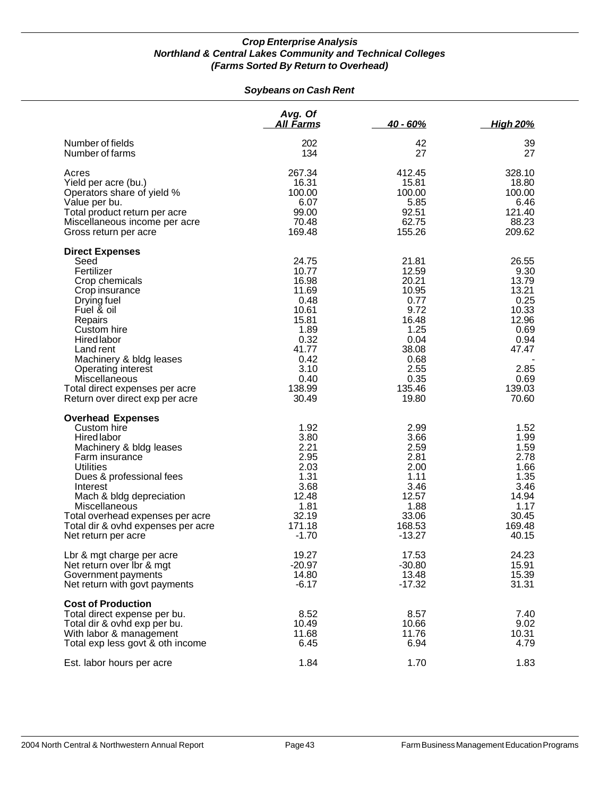#### *Soybeans on Cash Rent*

|                                                                                                                                                                                                                                                                                                                   | Avg. Of<br>All Farms                                                                                                           | $40 - 60%$                                                                                                                    | <u>High 20%</u>                                                                                                       |
|-------------------------------------------------------------------------------------------------------------------------------------------------------------------------------------------------------------------------------------------------------------------------------------------------------------------|--------------------------------------------------------------------------------------------------------------------------------|-------------------------------------------------------------------------------------------------------------------------------|-----------------------------------------------------------------------------------------------------------------------|
| Number of fields<br>Number of farms                                                                                                                                                                                                                                                                               | 202<br>134                                                                                                                     | 42<br>27                                                                                                                      | 39<br>27                                                                                                              |
| Acres<br>Yield per acre (bu.)<br>Operators share of yield %<br>Value per bu.<br>Total product return per acre<br>Miscellaneous income per acre<br>Gross return per acre                                                                                                                                           | 267.34<br>16.31<br>100.00<br>6.07<br>99.00<br>70.48<br>169.48                                                                  | 412.45<br>15.81<br>100.00<br>5.85<br>92.51<br>62.75<br>155.26                                                                 | 328.10<br>18.80<br>100.00<br>6.46<br>121.40<br>88.23<br>209.62                                                        |
| <b>Direct Expenses</b><br>Seed<br>Fertilizer<br>Crop chemicals<br>Crop insurance<br>Drying fuel<br>Fuel & oil<br>Repairs<br>Custom hire<br>Hired labor<br>Land rent<br>Machinery & bldg leases<br>Operating interest<br><b>Miscellaneous</b><br>Total direct expenses per acre<br>Return over direct exp per acre | 24.75<br>10.77<br>16.98<br>11.69<br>0.48<br>10.61<br>15.81<br>1.89<br>0.32<br>41.77<br>0.42<br>3.10<br>0.40<br>138.99<br>30.49 | 21.81<br>12.59<br>20.21<br>10.95<br>0.77<br>9.72<br>16.48<br>1.25<br>0.04<br>38.08<br>0.68<br>2.55<br>0.35<br>135.46<br>19.80 | 26.55<br>9.30<br>13.79<br>13.21<br>0.25<br>10.33<br>12.96<br>0.69<br>0.94<br>47.47<br>2.85<br>0.69<br>139.03<br>70.60 |
| <b>Overhead Expenses</b><br>Custom hire<br>Hired labor<br>Machinery & bldg leases<br>Farm insurance<br><b>Utilities</b><br>Dues & professional fees<br>Interest<br>Mach & bldg depreciation<br>Miscellaneous<br>Total overhead expenses per acre<br>Total dir & ovhd expenses per acre<br>Net return per acre     | 1.92<br>3.80<br>2.21<br>2.95<br>2.03<br>1.31<br>3.68<br>12.48<br>1.81<br>32.19<br>171.18<br>$-1.70$                            | 2.99<br>3.66<br>2.59<br>2.81<br>2.00<br>1.11<br>3.46<br>12.57<br>1.88<br>33.06<br>168.53<br>$-13.27$                          | 1.52<br>1.99<br>1.59<br>2.78<br>1.66<br>1.35<br>3.46<br>14.94<br>1.17<br>30.45<br>169.48<br>40.15                     |
| Lbr & mgt charge per acre<br>Net return over lbr & mgt<br>Government payments<br>Net return with govt payments                                                                                                                                                                                                    | 19.27<br>$-20.97$<br>14.80<br>$-6.17$                                                                                          | 17.53<br>$-30.80$<br>13.48<br>$-17.32$                                                                                        | 24.23<br>15.91<br>15.39<br>31.31                                                                                      |
| <b>Cost of Production</b><br>Total direct expense per bu.<br>Total dir & ovhd exp per bu.<br>With labor & management<br>Total exp less govt & oth income                                                                                                                                                          | 8.52<br>10.49<br>11.68<br>6.45                                                                                                 | 8.57<br>10.66<br>11.76<br>6.94                                                                                                | 7.40<br>9.02<br>10.31<br>4.79                                                                                         |
| Est. labor hours per acre                                                                                                                                                                                                                                                                                         | 1.84                                                                                                                           | 1.70                                                                                                                          | 1.83                                                                                                                  |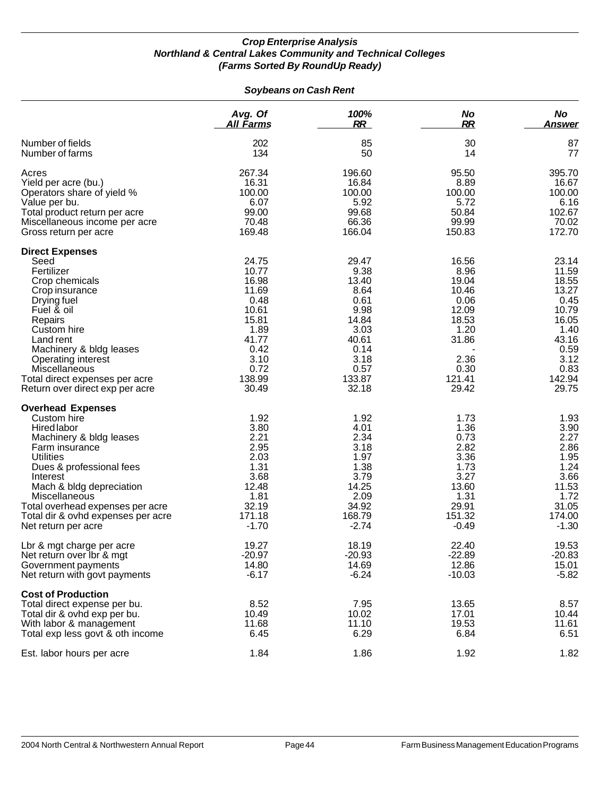#### *Soybeans on Cash Rent*

|                                                                                                                                                                                                                                                                                                               | Avg. Of                                                                                                                | 100%                                                                                                                | No                                                                                                            | <b>No</b>                                                                                                              |
|---------------------------------------------------------------------------------------------------------------------------------------------------------------------------------------------------------------------------------------------------------------------------------------------------------------|------------------------------------------------------------------------------------------------------------------------|---------------------------------------------------------------------------------------------------------------------|---------------------------------------------------------------------------------------------------------------|------------------------------------------------------------------------------------------------------------------------|
|                                                                                                                                                                                                                                                                                                               | <u>All Farms</u>                                                                                                       | <b>RR</b>                                                                                                           | <b>RR</b>                                                                                                     | Answer                                                                                                                 |
| Number of fields                                                                                                                                                                                                                                                                                              | 202                                                                                                                    | 85                                                                                                                  | 30                                                                                                            | 87                                                                                                                     |
| Number of farms                                                                                                                                                                                                                                                                                               | 134                                                                                                                    | 50                                                                                                                  | 14                                                                                                            | 77                                                                                                                     |
| Acres                                                                                                                                                                                                                                                                                                         | 267.34                                                                                                                 | 196.60                                                                                                              | 95.50                                                                                                         | 395.70                                                                                                                 |
| Yield per acre (bu.)                                                                                                                                                                                                                                                                                          | 16.31                                                                                                                  | 16.84                                                                                                               | 8.89                                                                                                          | 16.67                                                                                                                  |
| Operators share of yield %                                                                                                                                                                                                                                                                                    | 100.00                                                                                                                 | 100.00                                                                                                              | 100.00                                                                                                        | 100.00                                                                                                                 |
| Value per bu.                                                                                                                                                                                                                                                                                                 | 6.07                                                                                                                   | 5.92                                                                                                                | 5.72                                                                                                          | 6.16                                                                                                                   |
| Total product return per acre                                                                                                                                                                                                                                                                                 | 99.00                                                                                                                  | 99.68                                                                                                               | 50.84                                                                                                         | 102.67                                                                                                                 |
| Miscellaneous income per acre                                                                                                                                                                                                                                                                                 | 70.48                                                                                                                  | 66.36                                                                                                               | 99.99                                                                                                         | 70.02                                                                                                                  |
| Gross return per acre                                                                                                                                                                                                                                                                                         | 169.48                                                                                                                 | 166.04                                                                                                              | 150.83                                                                                                        | 172.70                                                                                                                 |
| <b>Direct Expenses</b><br>Seed<br>Fertilizer<br>Crop chemicals<br>Crop insurance<br>Drying fuel<br>Fuel & oil<br>Repairs<br>Custom hire<br>Land rent<br>Machinery & bldg leases<br><b>Operating interest</b><br>Miscellaneous<br>Total direct expenses per acre<br>Return over direct exp per acre            | 24.75<br>10.77<br>16.98<br>11.69<br>0.48<br>10.61<br>15.81<br>1.89<br>41.77<br>0.42<br>3.10<br>0.72<br>138.99<br>30.49 | 29.47<br>9.38<br>13.40<br>8.64<br>0.61<br>9.98<br>14.84<br>3.03<br>40.61<br>0.14<br>3.18<br>0.57<br>133.87<br>32.18 | 16.56<br>8.96<br>19.04<br>10.46<br>0.06<br>12.09<br>18.53<br>1.20<br>31.86<br>2.36<br>0.30<br>121.41<br>29.42 | 23.14<br>11.59<br>18.55<br>13.27<br>0.45<br>10.79<br>16.05<br>1.40<br>43.16<br>0.59<br>3.12<br>0.83<br>142.94<br>29.75 |
| <b>Overhead Expenses</b><br>Custom hire<br>Hired labor<br>Machinery & bldg leases<br>Farm insurance<br><b>Utilities</b><br>Dues & professional fees<br>Interest<br>Mach & bldg depreciation<br>Miscellaneous<br>Total overhead expenses per acre<br>Total dir & ovhd expenses per acre<br>Net return per acre | 1.92<br>3.80<br>2.21<br>2.95<br>2.03<br>1.31<br>3.68<br>12.48<br>1.81<br>32.19<br>171.18<br>$-1.70$                    | 1.92<br>4.01<br>2.34<br>3.18<br>1.97<br>1.38<br>3.79<br>14.25<br>2.09<br>34.92<br>168.79<br>$-2.74$                 | 1.73<br>1.36<br>0.73<br>2.82<br>3.36<br>1.73<br>3.27<br>13.60<br>1.31<br>29.91<br>151.32<br>$-0.49$           | 1.93<br>3.90<br>2.27<br>2.86<br>1.95<br>1.24<br>3.66<br>11.53<br>1.72<br>31.05<br>174.00<br>$-1.30$                    |
| Lbr & mgt charge per acre                                                                                                                                                                                                                                                                                     | 19.27                                                                                                                  | 18.19                                                                                                               | 22.40                                                                                                         | 19.53                                                                                                                  |
| Net return over lbr & mgt                                                                                                                                                                                                                                                                                     | -20.97                                                                                                                 | $-20.93$                                                                                                            | $-22.89$                                                                                                      | $-20.83$                                                                                                               |
| Government payments                                                                                                                                                                                                                                                                                           | 14.80                                                                                                                  | 14.69                                                                                                               | 12.86                                                                                                         | 15.01                                                                                                                  |
| Net return with govt payments                                                                                                                                                                                                                                                                                 | $-6.17$                                                                                                                | $-6.24$                                                                                                             | $-10.03$                                                                                                      | $-5.82$                                                                                                                |
| <b>Cost of Production</b><br>Total direct expense per bu.<br>Total dir & ovhd exp per bu.<br>With labor & management<br>Total exp less govt & oth income                                                                                                                                                      | 8.52<br>10.49<br>11.68<br>6.45                                                                                         | 7.95<br>10.02<br>11.10<br>6.29                                                                                      | 13.65<br>17.01<br>19.53<br>6.84                                                                               | 8.57<br>10.44<br>11.61<br>6.51                                                                                         |
| Est. labor hours per acre                                                                                                                                                                                                                                                                                     | 1.84                                                                                                                   | 1.86                                                                                                                | 1.92                                                                                                          | 1.82                                                                                                                   |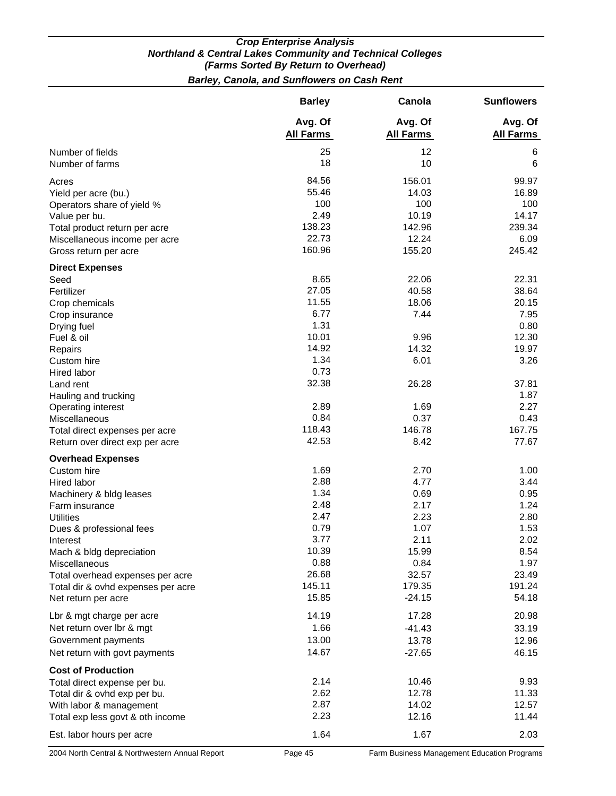*Barley, Canola, and Sunflowers on Cash Rent*

|                                    | <b>Barley</b>               | Canola                      | <b>Sunflowers</b>           |
|------------------------------------|-----------------------------|-----------------------------|-----------------------------|
|                                    | Avg. Of<br><b>All Farms</b> | Avg. Of<br><b>All Farms</b> | Avg. Of<br><b>All Farms</b> |
| Number of fields                   | 25                          | 12                          | 6                           |
| Number of farms                    | 18                          | 10                          | 6                           |
| Acres                              | 84.56                       | 156.01                      | 99.97                       |
| Yield per acre (bu.)               | 55.46                       | 14.03                       | 16.89                       |
| Operators share of yield %         | 100                         | 100                         | 100                         |
| Value per bu.                      | 2.49                        | 10.19                       | 14.17                       |
| Total product return per acre      | 138.23                      | 142.96                      | 239.34                      |
| Miscellaneous income per acre      | 22.73                       | 12.24                       | 6.09                        |
| Gross return per acre              | 160.96                      | 155.20                      | 245.42                      |
| <b>Direct Expenses</b>             |                             |                             |                             |
| Seed                               | 8.65                        | 22.06                       | 22.31                       |
| Fertilizer                         | 27.05                       | 40.58                       | 38.64                       |
| Crop chemicals                     | 11.55                       | 18.06                       | 20.15                       |
| Crop insurance                     | 6.77                        | 7.44                        | 7.95                        |
| Drying fuel                        | 1.31                        |                             | 0.80                        |
| Fuel & oil                         | 10.01                       | 9.96                        | 12.30                       |
| Repairs                            | 14.92                       | 14.32                       | 19.97                       |
| Custom hire                        | 1.34                        | 6.01                        | 3.26                        |
| Hired labor                        | 0.73                        |                             |                             |
| Land rent                          | 32.38                       | 26.28                       | 37.81                       |
| Hauling and trucking               |                             |                             | 1.87                        |
| Operating interest                 | 2.89                        | 1.69                        | 2.27                        |
| Miscellaneous                      | 0.84                        | 0.37                        | 0.43                        |
| Total direct expenses per acre     | 118.43                      | 146.78                      | 167.75                      |
| Return over direct exp per acre    | 42.53                       | 8.42                        | 77.67                       |
| <b>Overhead Expenses</b>           |                             |                             |                             |
| Custom hire                        | 1.69                        | 2.70                        | 1.00                        |
| Hired labor                        | 2.88                        | 4.77                        | 3.44                        |
| Machinery & bldg leases            | 1.34                        | 0.69                        | 0.95                        |
| Farm insurance                     | 2.48                        | 2.17                        | 1.24                        |
| <b>Utilities</b>                   | 2.47                        | 2.23                        | 2.80                        |
| Dues & professional fees           | 0.79                        | 1.07                        | 1.53                        |
| Interest                           | 3.77                        | 2.11                        | 2.02                        |
| Mach & bldg depreciation           | 10.39                       | 15.99                       | 8.54                        |
| Miscellaneous                      | 0.88                        | 0.84                        | 1.97                        |
| Total overhead expenses per acre   | 26.68                       | 32.57                       | 23.49                       |
| Total dir & ovhd expenses per acre | 145.11                      | 179.35                      | 191.24                      |
| Net return per acre                | 15.85                       | $-24.15$                    | 54.18                       |
| Lbr & mgt charge per acre          | 14.19                       | 17.28                       | 20.98                       |
| Net return over Ibr & mgt          | 1.66                        | $-41.43$                    | 33.19                       |
| Government payments                | 13.00                       | 13.78                       | 12.96                       |
| Net return with govt payments      | 14.67                       | $-27.65$                    | 46.15                       |
| <b>Cost of Production</b>          |                             |                             |                             |
| Total direct expense per bu.       | 2.14                        | 10.46                       | 9.93                        |
| Total dir & ovhd exp per bu.       | 2.62                        | 12.78                       | 11.33                       |
| With labor & management            | 2.87                        | 14.02                       | 12.57                       |
| Total exp less govt & oth income   | 2.23                        | 12.16                       | 11.44                       |
| Est. labor hours per acre          | 1.64                        | 1.67                        | 2.03                        |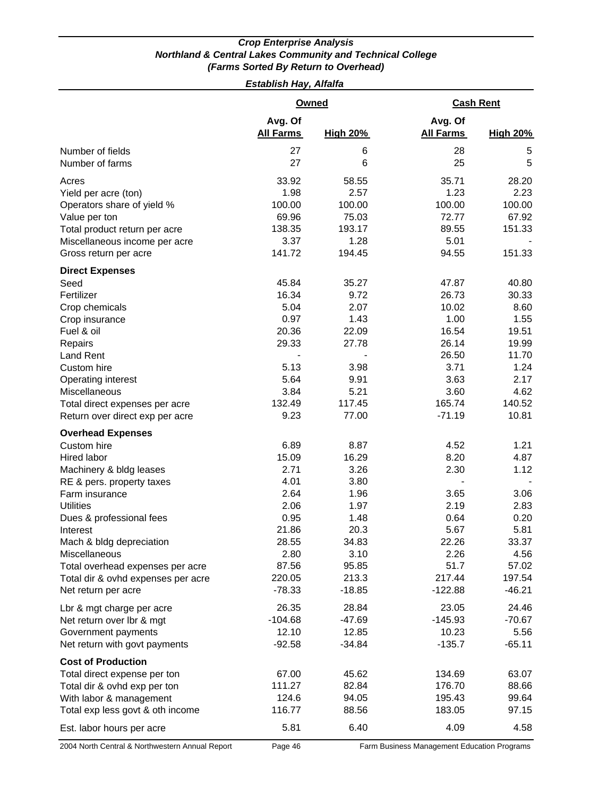*Establish Hay, Alfalfa* 

|                                                                                                                                                                                                                                                                                                                                                                         | <b>Owned</b>                                                                                                            |                                                                                                                       | <b>Cash Rent</b>                                                                                                                          |                                                                                                               |
|-------------------------------------------------------------------------------------------------------------------------------------------------------------------------------------------------------------------------------------------------------------------------------------------------------------------------------------------------------------------------|-------------------------------------------------------------------------------------------------------------------------|-----------------------------------------------------------------------------------------------------------------------|-------------------------------------------------------------------------------------------------------------------------------------------|---------------------------------------------------------------------------------------------------------------|
|                                                                                                                                                                                                                                                                                                                                                                         | Avg. Of<br><b>All Farms</b>                                                                                             | <b>High 20%</b>                                                                                                       | Avg. Of<br><b>All Farms</b>                                                                                                               | <b>High 20%</b>                                                                                               |
| Number of fields<br>Number of farms                                                                                                                                                                                                                                                                                                                                     | 27<br>27                                                                                                                | 6<br>6                                                                                                                | 28<br>25                                                                                                                                  | 5<br>5                                                                                                        |
| Acres<br>Yield per acre (ton)<br>Operators share of yield %<br>Value per ton<br>Total product return per acre<br>Miscellaneous income per acre<br>Gross return per acre                                                                                                                                                                                                 | 33.92<br>1.98<br>100.00<br>69.96<br>138.35<br>3.37<br>141.72                                                            | 58.55<br>2.57<br>100.00<br>75.03<br>193.17<br>1.28<br>194.45                                                          | 35.71<br>1.23<br>100.00<br>72.77<br>89.55<br>5.01<br>94.55                                                                                | 28.20<br>2.23<br>100.00<br>67.92<br>151.33<br>151.33                                                          |
| <b>Direct Expenses</b><br>Seed<br>Fertilizer<br>Crop chemicals<br>Crop insurance<br>Fuel & oil<br>Repairs<br><b>Land Rent</b><br>Custom hire<br>Operating interest<br>Miscellaneous                                                                                                                                                                                     | 45.84<br>16.34<br>5.04<br>0.97<br>20.36<br>29.33<br>5.13<br>5.64<br>3.84                                                | 35.27<br>9.72<br>2.07<br>1.43<br>22.09<br>27.78<br>3.98<br>9.91<br>5.21                                               | 47.87<br>26.73<br>10.02<br>1.00<br>16.54<br>26.14<br>26.50<br>3.71<br>3.63<br>3.60                                                        | 40.80<br>30.33<br>8.60<br>1.55<br>19.51<br>19.99<br>11.70<br>1.24<br>2.17<br>4.62                             |
| Total direct expenses per acre<br>Return over direct exp per acre                                                                                                                                                                                                                                                                                                       | 132.49<br>9.23                                                                                                          | 117.45<br>77.00                                                                                                       | 165.74<br>$-71.19$                                                                                                                        | 140.52<br>10.81                                                                                               |
| <b>Overhead Expenses</b><br>Custom hire<br>Hired labor<br>Machinery & bldg leases<br>RE & pers. property taxes<br>Farm insurance<br><b>Utilities</b><br>Dues & professional fees<br>Interest<br>Mach & bldg depreciation<br>Miscellaneous<br>Total overhead expenses per acre<br>Total dir & ovhd expenses per acre<br>Net return per acre<br>Lbr & mgt charge per acre | 6.89<br>15.09<br>2.71<br>4.01<br>2.64<br>2.06<br>0.95<br>21.86<br>28.55<br>2.80<br>87.56<br>220.05<br>$-78.33$<br>26.35 | 8.87<br>16.29<br>3.26<br>3.80<br>1.96<br>1.97<br>1.48<br>20.3<br>34.83<br>3.10<br>95.85<br>213.3<br>$-18.85$<br>28.84 | 4.52<br>8.20<br>2.30<br>$\overline{\phantom{a}}$<br>3.65<br>2.19<br>0.64<br>5.67<br>22.26<br>2.26<br>51.7<br>217.44<br>$-122.88$<br>23.05 | 1.21<br>4.87<br>1.12<br>3.06<br>2.83<br>0.20<br>5.81<br>33.37<br>4.56<br>57.02<br>197.54<br>$-46.21$<br>24.46 |
| Net return over Ibr & mgt<br>Government payments<br>Net return with govt payments                                                                                                                                                                                                                                                                                       | $-104.68$<br>12.10<br>$-92.58$                                                                                          | $-47.69$<br>12.85<br>$-34.84$                                                                                         | $-145.93$<br>10.23<br>$-135.7$                                                                                                            | $-70.67$<br>5.56<br>$-65.11$                                                                                  |
| <b>Cost of Production</b><br>Total direct expense per ton<br>Total dir & ovhd exp per ton<br>With labor & management<br>Total exp less govt & oth income<br>Est. labor hours per acre                                                                                                                                                                                   | 67.00<br>111.27<br>124.6<br>116.77<br>5.81                                                                              | 45.62<br>82.84<br>94.05<br>88.56<br>6.40                                                                              | 134.69<br>176.70<br>195.43<br>183.05<br>4.09                                                                                              | 63.07<br>88.66<br>99.64<br>97.15<br>4.58                                                                      |
| 2004 North Central & Northwestern Annual Report                                                                                                                                                                                                                                                                                                                         | Page 46                                                                                                                 |                                                                                                                       | Farm Business Management Education Programs                                                                                               |                                                                                                               |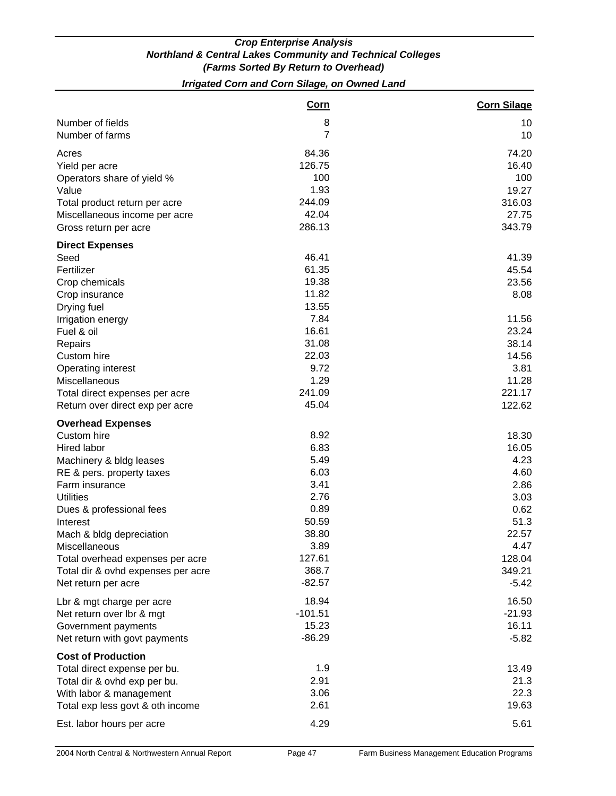## *Irrigated Corn and Corn Silage, on Owned Land*

|                                    | <b>Corn</b> | <b>Corn Silage</b> |
|------------------------------------|-------------|--------------------|
| Number of fields                   | 8           | 10                 |
| Number of farms                    | 7           | 10                 |
| Acres                              | 84.36       | 74.20              |
| Yield per acre                     | 126.75      | 16.40              |
| Operators share of yield %         | 100         | 100                |
| Value                              | 1.93        | 19.27              |
| Total product return per acre      | 244.09      | 316.03             |
| Miscellaneous income per acre      | 42.04       | 27.75              |
| Gross return per acre              | 286.13      | 343.79             |
| <b>Direct Expenses</b>             |             |                    |
| Seed                               | 46.41       | 41.39              |
| Fertilizer                         | 61.35       | 45.54              |
| Crop chemicals                     | 19.38       | 23.56              |
| Crop insurance                     | 11.82       | 8.08               |
| Drying fuel                        | 13.55       |                    |
| Irrigation energy                  | 7.84        | 11.56              |
| Fuel & oil                         | 16.61       | 23.24              |
| Repairs                            | 31.08       | 38.14              |
| Custom hire                        | 22.03       | 14.56              |
| <b>Operating interest</b>          | 9.72        | 3.81               |
| Miscellaneous                      | 1.29        | 11.28              |
| Total direct expenses per acre     | 241.09      | 221.17             |
| Return over direct exp per acre    | 45.04       | 122.62             |
| <b>Overhead Expenses</b>           |             |                    |
| Custom hire                        | 8.92        | 18.30              |
| Hired labor                        | 6.83        | 16.05              |
| Machinery & bldg leases            | 5.49        | 4.23               |
| RE & pers. property taxes          | 6.03        | 4.60               |
| Farm insurance                     | 3.41        | 2.86               |
| <b>Utilities</b>                   | 2.76        | 3.03               |
| Dues & professional fees           | 0.89        | 0.62               |
| Interest                           | 50.59       | 51.3               |
| Mach & bldg depreciation           | 38.80       | 22.57              |
| Miscellaneous                      | 3.89        | 4.47               |
| Total overhead expenses per acre   | 127.61      | 128.04             |
| Total dir & ovhd expenses per acre | 368.7       | 349.21             |
| Net return per acre                | $-82.57$    | $-5.42$            |
| Lbr & mgt charge per acre          | 18.94       | 16.50              |
| Net return over lbr & mgt          | $-101.51$   | $-21.93$           |
| Government payments                | 15.23       | 16.11              |
| Net return with govt payments      | $-86.29$    | $-5.82$            |
| <b>Cost of Production</b>          |             |                    |
| Total direct expense per bu.       | 1.9         | 13.49              |
| Total dir & ovhd exp per bu.       | 2.91        | 21.3               |
| With labor & management            | 3.06        | 22.3               |
| Total exp less govt & oth income   | 2.61        | 19.63              |
| Est. labor hours per acre          | 4.29        | 5.61               |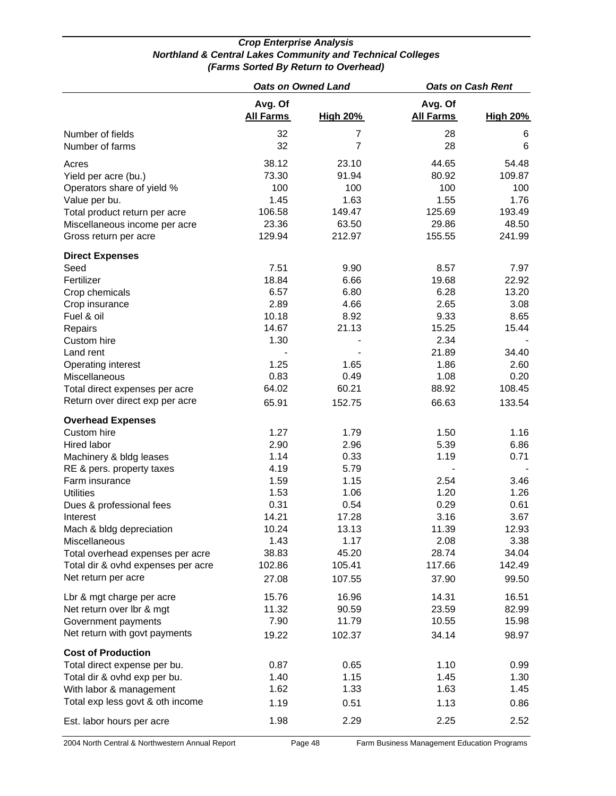|                                                                                                                                                                                                                                                                                                                |                                                                                                                     | <b>Oats on Owned Land</b>                                                                                            | <b>Oats on Cash Rent</b>                                                                                   |                                                                                                            |  |
|----------------------------------------------------------------------------------------------------------------------------------------------------------------------------------------------------------------------------------------------------------------------------------------------------------------|---------------------------------------------------------------------------------------------------------------------|----------------------------------------------------------------------------------------------------------------------|------------------------------------------------------------------------------------------------------------|------------------------------------------------------------------------------------------------------------|--|
|                                                                                                                                                                                                                                                                                                                | Avg. Of<br><b>All Farms</b>                                                                                         | <b>High 20%</b>                                                                                                      | Avg. Of<br><b>All Farms</b>                                                                                | <b>High 20%</b>                                                                                            |  |
| Number of fields<br>Number of farms                                                                                                                                                                                                                                                                            | 32<br>32                                                                                                            | 7<br>$\overline{7}$                                                                                                  | 28<br>28                                                                                                   | 6<br>6                                                                                                     |  |
| Acres<br>Yield per acre (bu.)<br>Operators share of yield %<br>Value per bu.<br>Total product return per acre<br>Miscellaneous income per acre<br>Gross return per acre                                                                                                                                        | 38.12<br>73.30<br>100<br>1.45<br>106.58<br>23.36<br>129.94                                                          | 23.10<br>91.94<br>100<br>1.63<br>149.47<br>63.50<br>212.97                                                           | 44.65<br>80.92<br>100<br>1.55<br>125.69<br>29.86<br>155.55                                                 | 54.48<br>109.87<br>100<br>1.76<br>193.49<br>48.50<br>241.99                                                |  |
|                                                                                                                                                                                                                                                                                                                |                                                                                                                     |                                                                                                                      |                                                                                                            |                                                                                                            |  |
| <b>Direct Expenses</b><br>Seed<br>Fertilizer<br>Crop chemicals<br>Crop insurance<br>Fuel & oil<br>Repairs<br>Custom hire<br>Land rent<br>Operating interest<br>Miscellaneous<br>Total direct expenses per acre<br>Return over direct exp per acre                                                              | 7.51<br>18.84<br>6.57<br>2.89<br>10.18<br>14.67<br>1.30<br>1.25<br>0.83<br>64.02<br>65.91                           | 9.90<br>6.66<br>6.80<br>4.66<br>8.92<br>21.13<br>1.65<br>0.49<br>60.21<br>152.75                                     | 8.57<br>19.68<br>6.28<br>2.65<br>9.33<br>15.25<br>2.34<br>21.89<br>1.86<br>1.08<br>88.92<br>66.63          | 7.97<br>22.92<br>13.20<br>3.08<br>8.65<br>15.44<br>34.40<br>2.60<br>0.20<br>108.45<br>133.54               |  |
| <b>Overhead Expenses</b>                                                                                                                                                                                                                                                                                       |                                                                                                                     |                                                                                                                      |                                                                                                            |                                                                                                            |  |
| Custom hire<br>Hired labor<br>Machinery & bldg leases<br>RE & pers. property taxes<br>Farm insurance<br><b>Utilities</b><br>Dues & professional fees<br>Interest<br>Mach & bldg depreciation<br>Miscellaneous<br>Total overhead expenses per acre<br>Total dir & ovhd expenses per acre<br>Net return per acre | 1.27<br>2.90<br>1.14<br>4.19<br>1.59<br>1.53<br>0.31<br>14.21<br>10.24<br>1.43<br>38.83<br>102.86<br>27.08<br>15.76 | 1.79<br>2.96<br>0.33<br>5.79<br>1.15<br>1.06<br>0.54<br>17.28<br>13.13<br>1.17<br>45.20<br>105.41<br>107.55<br>16.96 | 1.50<br>5.39<br>1.19<br>2.54<br>1.20<br>0.29<br>3.16<br>11.39<br>2.08<br>28.74<br>117.66<br>37.90<br>14.31 | 1.16<br>6.86<br>0.71<br>3.46<br>1.26<br>0.61<br>3.67<br>12.93<br>3.38<br>34.04<br>142.49<br>99.50<br>16.51 |  |
| Lbr & mgt charge per acre<br>Net return over lbr & mgt<br>Government payments<br>Net return with govt payments                                                                                                                                                                                                 | 11.32<br>7.90<br>19.22                                                                                              | 90.59<br>11.79<br>102.37                                                                                             | 23.59<br>10.55<br>34.14                                                                                    | 82.99<br>15.98<br>98.97                                                                                    |  |
| <b>Cost of Production</b><br>Total direct expense per bu.<br>Total dir & ovhd exp per bu.<br>With labor & management<br>Total exp less govt & oth income                                                                                                                                                       | 0.87<br>1.40<br>1.62<br>1.19                                                                                        | 0.65<br>1.15<br>1.33<br>0.51                                                                                         | 1.10<br>1.45<br>1.63<br>1.13                                                                               | 0.99<br>1.30<br>1.45<br>0.86                                                                               |  |
| Est. labor hours per acre                                                                                                                                                                                                                                                                                      | 1.98                                                                                                                | 2.29                                                                                                                 | 2.25                                                                                                       | 2.52                                                                                                       |  |

2004 North Central & Northwestern Annual Report Page 48 Farm Business Management Education Programs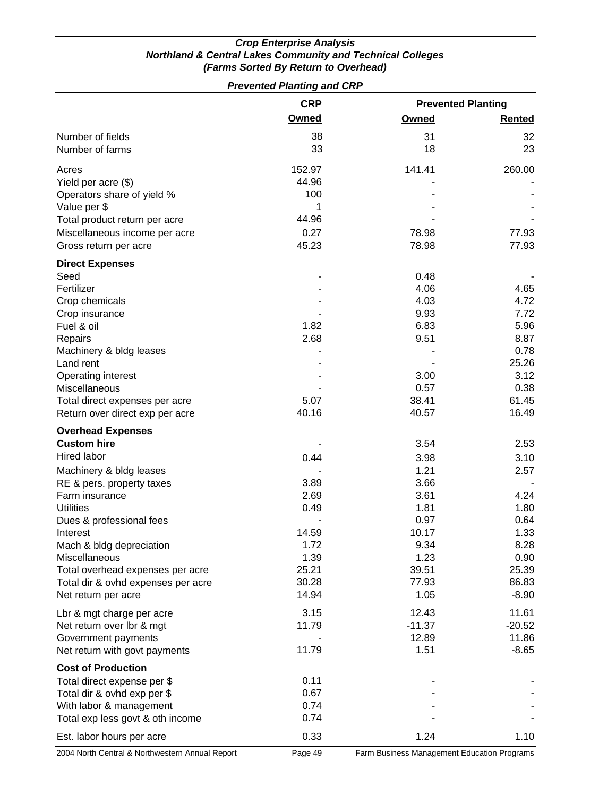| <b>Prevented Planting and CRP</b>    |            |                           |               |  |  |
|--------------------------------------|------------|---------------------------|---------------|--|--|
|                                      | <b>CRP</b> | <b>Prevented Planting</b> |               |  |  |
|                                      | Owned      | Owned                     | <b>Rented</b> |  |  |
| Number of fields                     | 38         | 31                        | 32            |  |  |
| Number of farms                      | 33         | 18                        | 23            |  |  |
| Acres                                | 152.97     | 141.41                    | 260.00        |  |  |
| Yield per acre (\$)                  | 44.96      |                           |               |  |  |
| Operators share of yield %           | 100        |                           |               |  |  |
| Value per \$                         | 1          |                           |               |  |  |
| Total product return per acre        | 44.96      |                           |               |  |  |
| Miscellaneous income per acre        | 0.27       | 78.98                     | 77.93         |  |  |
| Gross return per acre                | 45.23      | 78.98                     | 77.93         |  |  |
| <b>Direct Expenses</b>               |            |                           |               |  |  |
| Seed                                 |            | 0.48                      |               |  |  |
| Fertilizer                           |            | 4.06                      | 4.65          |  |  |
| Crop chemicals                       |            | 4.03                      | 4.72          |  |  |
| Crop insurance                       |            | 9.93                      | 7.72          |  |  |
| Fuel & oil                           | 1.82       | 6.83                      | 5.96          |  |  |
| Repairs                              | 2.68       | 9.51                      | 8.87<br>0.78  |  |  |
| Machinery & bldg leases<br>Land rent |            |                           | 25.26         |  |  |
| Operating interest                   |            | 3.00                      | 3.12          |  |  |
| Miscellaneous                        |            | 0.57                      | 0.38          |  |  |
| Total direct expenses per acre       | 5.07       | 38.41                     | 61.45         |  |  |
| Return over direct exp per acre      | 40.16      | 40.57                     | 16.49         |  |  |
| <b>Overhead Expenses</b>             |            |                           |               |  |  |
| <b>Custom hire</b>                   |            | 3.54                      | 2.53          |  |  |
| Hired labor                          | 0.44       | 3.98                      | 3.10          |  |  |
| Machinery & bldg leases              |            | 1.21                      | 2.57          |  |  |
| RE & pers. property taxes            | 3.89       | 3.66                      |               |  |  |
| Farm insurance                       | 2.69       | 3.61                      | 4.24          |  |  |
| <b>Utilities</b>                     | 0.49       | 1.81                      | 1.80          |  |  |
| Dues & professional fees             |            | 0.97                      | 0.64          |  |  |
| Interest                             | 14.59      | 10.17                     | 1.33          |  |  |
| Mach & bldg depreciation             | 1.72       | 9.34                      | 8.28          |  |  |
| Miscellaneous                        | 1.39       | 1.23                      | 0.90          |  |  |
| Total overhead expenses per acre     | 25.21      | 39.51                     | 25.39         |  |  |
| Total dir & ovhd expenses per acre   | 30.28      | 77.93                     | 86.83         |  |  |
| Net return per acre                  | 14.94      | 1.05                      | $-8.90$       |  |  |
| Lbr & mgt charge per acre            | 3.15       | 12.43                     | 11.61         |  |  |
| Net return over Ibr & mgt            | 11.79      | $-11.37$                  | $-20.52$      |  |  |
| Government payments                  |            | 12.89                     | 11.86         |  |  |
| Net return with govt payments        | 11.79      | 1.51                      | $-8.65$       |  |  |
| <b>Cost of Production</b>            |            |                           |               |  |  |
| Total direct expense per \$          | 0.11       |                           |               |  |  |
| Total dir & ovhd exp per \$          | 0.67       |                           |               |  |  |
| With labor & management              | 0.74       |                           |               |  |  |
| Total exp less govt & oth income     | 0.74       |                           |               |  |  |
| Est. labor hours per acre            | 0.33       | 1.24                      | 1.10          |  |  |

2004 North Central & Northwestern Annual Report Page 49 Farm Business Management Education Programs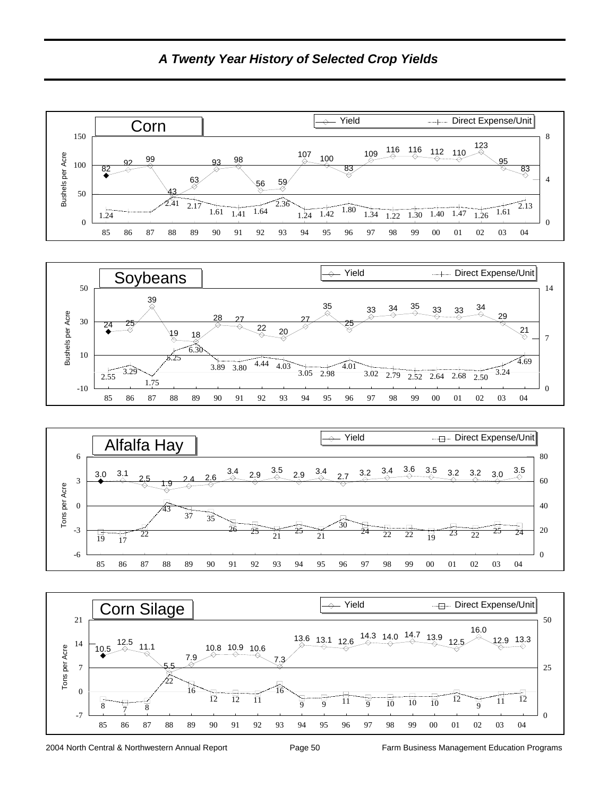

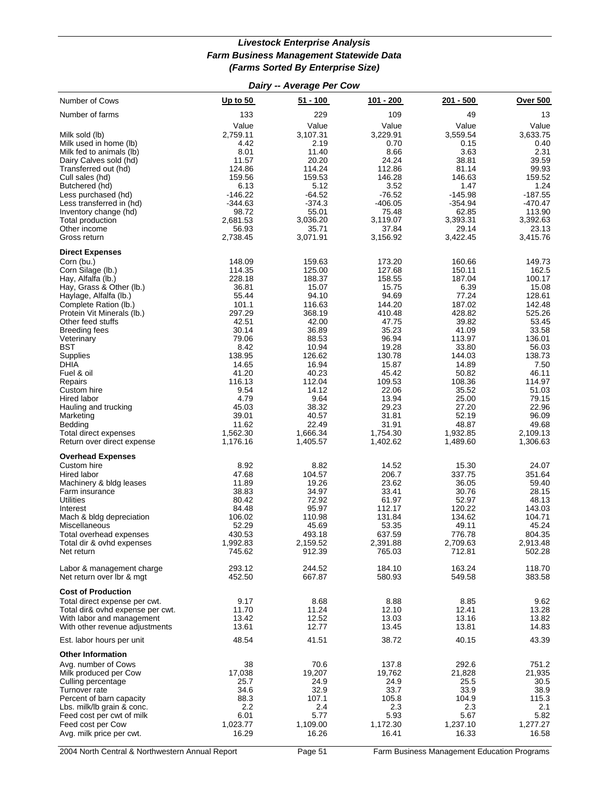#### *Livestock Enterprise Analysis Farm Business Management Statewide Data (Farms Sorted By Enterprise Size)*

|                                                         |                    | Dairy -- Average Per Cow |                    |                    |                    |
|---------------------------------------------------------|--------------------|--------------------------|--------------------|--------------------|--------------------|
| Number of Cows                                          | Up to $50$         | $51 - 100$               | 101 - 200          | 201 - 500          | <b>Over 500</b>    |
| Number of farms                                         | 133                | 229                      | 109                | 49                 | 13                 |
|                                                         | Value              | Value                    | Value              | Value              | Value              |
| Milk sold (lb)                                          | 2,759.11           | 3,107.31                 | 3,229.91           | 3,559.54           | 3,633.75           |
| Milk used in home (lb)<br>Milk fed to animals (lb)      | 4.42<br>8.01       | 2.19<br>11.40            | 0.70<br>8.66       | 0.15<br>3.63       | 0.40<br>2.31       |
| Dairy Calves sold (hd)                                  | 11.57              | 20.20                    | 24.24              | 38.81              | 39.59              |
| Transferred out (hd)                                    | 124.86             | 114.24                   | 112.86             | 81.14              | 99.93              |
| Cull sales (hd)                                         | 159.56             | 159.53                   | 146.28             | 146.63             | 159.52             |
| Butchered (hd)                                          | 6.13<br>$-146.22$  | 5.12<br>$-64.52$         | 3.52<br>$-76.52$   | 1.47<br>$-145.98$  | 1.24<br>$-187.55$  |
| Less purchased (hd)<br>Less transferred in (hd)         | $-344.63$          | $-374.3$                 | $-406.05$          | $-354.94$          | $-470.47$          |
| Inventory change (hd)                                   | 98.72              | 55.01                    | 75.48              | 62.85              | 113.90             |
| Total production                                        | 2,681.53           | 3,036.20                 | 3,119.07           | 3,393.31           | 3,392.63           |
| Other income                                            | 56.93              | 35.71                    | 37.84              | 29.14              | 23.13              |
| Gross return                                            | 2,738.45           | 3,071.91                 | 3,156.92           | 3,422.45           | 3,415.76           |
| <b>Direct Expenses</b>                                  |                    |                          |                    |                    |                    |
| Corn (bu.)<br>Corn Silage (lb.)                         | 148.09<br>114.35   | 159.63<br>125.00         | 173.20<br>127.68   | 160.66<br>150.11   | 149.73<br>162.5    |
| Hay, Alfalfa (lb.)                                      | 228.18             | 188.37                   | 158.55             | 187.04             | 100.17             |
| Hay, Grass & Other (lb.)                                | 36.81              | 15.07                    | 15.75              | 6.39               | 15.08              |
| Haylage, Alfalfa (lb.)                                  | 55.44              | 94.10                    | 94.69              | 77.24              | 128.61             |
| Complete Ration (lb.)                                   | 101.1              | 116.63                   | 144.20             | 187.02             | 142.48             |
| Protein Vit Minerals (lb.)                              | 297.29<br>42.51    | 368.19                   | 410.48             | 428.82             | 525.26<br>53.45    |
| Other feed stuffs<br><b>Breeding fees</b>               | 30.14              | 42.00<br>36.89           | 47.75<br>35.23     | 39.82<br>41.09     | 33.58              |
| Veterinary                                              | 79.06              | 88.53                    | 96.94              | 113.97             | 136.01             |
| BST                                                     | 8.42               | 10.94                    | 19.28              | 33.80              | 56.03              |
| Supplies                                                | 138.95             | 126.62                   | 130.78             | 144.03             | 138.73             |
| <b>DHIA</b>                                             | 14.65              | 16.94                    | 15.87              | 14.89              | 7.50               |
| Fuel & oil<br>Repairs                                   | 41.20<br>116.13    | 40.23<br>112.04          | 45.42<br>109.53    | 50.82<br>108.36    | 46.11<br>114.97    |
| Custom hire                                             | 9.54               | 14.12                    | 22.06              | 35.52              | 51.03              |
| Hired labor                                             | 4.79               | 9.64                     | 13.94              | 25.00              | 79.15              |
| Hauling and trucking                                    | 45.03              | 38.32                    | 29.23              | 27.20              | 22.96              |
| Marketing                                               | 39.01              | 40.57<br>22.49           | 31.81              | 52.19              | 96.09              |
| Bedding<br>Total direct expenses                        | 11.62<br>1,562.30  | 1,666.34                 | 31.91<br>1,754.30  | 48.87<br>1,932.85  | 49.68<br>2,109.13  |
| Return over direct expense                              | 1,176.16           | 1,405.57                 | 1,402.62           | 1,489.60           | 1,306.63           |
| <b>Overhead Expenses</b>                                |                    |                          |                    |                    |                    |
| Custom hire                                             | 8.92               | 8.82                     | 14.52              | 15.30              | 24.07              |
| Hired labor                                             | 47.68              | 104.57                   | 206.7              | 337.75             | 351.64             |
| Machinery & bldg leases                                 | 11.89              | 19.26                    | 23.62              | 36.05              | 59.40              |
| Farm insurance<br><b>Utilities</b>                      | 38.83<br>80.42     | 34.97<br>72.92           | 33.41<br>61.97     | 30.76<br>52.97     | 28.15<br>48.13     |
| Interest                                                | 84.48              | 95.97                    | 112.17             | 120.22             | 143.03             |
| Mach & bldg depreciation                                | 106.02             | 110.98                   | 131.84             | 134.62             | 104.71             |
| Miscellaneous                                           | 52.29              | 45.69                    | 53.35              | 49.11              | 45.24              |
| Total overhead expenses                                 | 430.53<br>1,992.83 | 493.18                   | 637.59             | 776.78             | 804.35             |
| Total dir & ovhd expenses<br>Net return                 | 745.62             | 2,159.52<br>912.39       | 2,391.88<br>765.03 | 2,709.63<br>712.81 | 2,913.48<br>502.28 |
| Labor & management charge                               | 293.12             | 244.52                   | 184.10             | 163.24             | 118.70             |
| Net return over Ibr & mgt                               | 452.50             | 667.87                   | 580.93             | 549.58             | 383.58             |
| <b>Cost of Production</b>                               |                    |                          |                    |                    |                    |
| Total direct expense per cwt.                           | 9.17               | 8.68                     | 8.88               | 8.85               | 9.62               |
| Total dir& ovhd expense per cwt.                        | 11.70              | 11.24                    | 12.10              | 12.41              | 13.28              |
| With labor and management                               | 13.42              | 12.52                    | 13.03              | 13.16              | 13.82              |
| With other revenue adjustments                          | 13.61              | 12.77                    | 13.45              | 13.81              | 14.83              |
| Est. labor hours per unit                               | 48.54              | 41.51                    | 38.72              | 40.15              | 43.39              |
| <b>Other Information</b>                                |                    |                          |                    |                    |                    |
| Avg. number of Cows<br>Milk produced per Cow            | 38<br>17,038       | 70.6<br>19,207           | 137.8<br>19,762    | 292.6<br>21,828    | 751.2<br>21,935    |
| Culling percentage                                      | 25.7               | 24.9                     | 24.9               | 25.5               | 30.5               |
| Turnover rate                                           | 34.6               | 32.9                     | 33.7               | 33.9               | 38.9               |
| Percent of barn capacity                                | 88.3               | 107.1                    | 105.8              | 104.9              | 115.3              |
| Lbs. milk/lb grain & conc.<br>Feed cost per cwt of milk | 2.2<br>6.01        | 2.4<br>5.77              | 2.3<br>5.93        | 2.3<br>5.67        | 2.1<br>5.82        |
| Feed cost per Cow                                       | 1,023.77           | 1,109.00                 | 1,172.30           | 1,237.10           | 1,277.27           |
| Avg. milk price per cwt.                                | 16.29              | 16.26                    | 16.41              | 16.33              | 16.58              |
|                                                         |                    |                          |                    |                    |                    |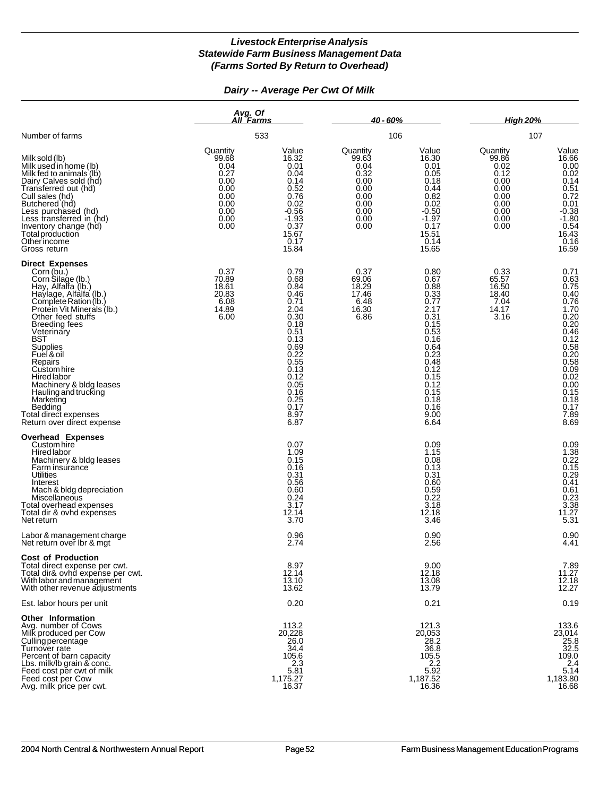*Dairy -- Average Per Cwt Of Milk*

|                                                                                                                                                                                                                                                                                                                                                                                                                                                 | Avg. Of<br>All Farms                                                                      |                                                                                                                                                                      | $40 - 60%$                                                                                |                                                                                                                                                                                | <b>High 20%</b>                                                                           |                                                                                                                                          |
|-------------------------------------------------------------------------------------------------------------------------------------------------------------------------------------------------------------------------------------------------------------------------------------------------------------------------------------------------------------------------------------------------------------------------------------------------|-------------------------------------------------------------------------------------------|----------------------------------------------------------------------------------------------------------------------------------------------------------------------|-------------------------------------------------------------------------------------------|--------------------------------------------------------------------------------------------------------------------------------------------------------------------------------|-------------------------------------------------------------------------------------------|------------------------------------------------------------------------------------------------------------------------------------------|
| Number of farms                                                                                                                                                                                                                                                                                                                                                                                                                                 |                                                                                           | 533                                                                                                                                                                  |                                                                                           | 106                                                                                                                                                                            | 107                                                                                       |                                                                                                                                          |
| Milk sold (lb)<br>Milk used in home (lb)<br>Milk fed to animals (lb)<br>Dairy Calves sold (hd)<br>Transferred out (hd)<br>Cull sales (hd)<br>Butchered (hd)<br>Less purchased (hd)<br>Less transferred in (hd)<br>Inventory change (hd)<br>Total production<br>Otherincome<br>Gross return                                                                                                                                                      | Quantity<br>99.68<br>0.04<br>0.27<br>0.00<br>0.00<br>0.00<br>0.00<br>0.00<br>0.00<br>0.00 | Value<br>16.32<br>0.01<br>0.04<br>0.14<br>0.52<br>0.76<br>0.02<br>$-0.56$<br>$-1.93$<br>0.37<br>15.67<br>0.17<br>15.84                                               | Quantity<br>99.63<br>0.04<br>0.32<br>0.00<br>0.00<br>0.00<br>0.00<br>0.00<br>0.00<br>0.00 | Value<br>16.30<br>0.01<br>0.05<br>0.18<br>0.44<br>0.82<br>0.02<br>$-0.50$<br>$-1.97$<br>0.17<br>15.51<br>0.14<br>15.65                                                         | Quantity<br>99.86<br>0.02<br>0.12<br>0.00<br>0.00<br>0.00<br>0.00<br>0.00<br>0.00<br>0.00 | Value<br>16.66<br>$0.00$<br>$0.02$<br>0.14<br>$0.51$<br>$0.72$<br>$0.01$<br>$-0.38$<br>$-1.80$<br>$0.54$<br>$16.43$<br>$0.16$<br>$16.59$ |
| <b>Direct Expenses</b><br>Corn (bu.)<br>Corn Silage (lb.)<br>Hay, Alfalfa (lb.)<br>Haylage, Alfalfa (lb.)<br>Complete Ration (lb.)<br>Protein Vit Minierals (lb.)<br>Other feed stuffs<br><b>Breeding fees</b><br>Veterinary<br>BST<br>Supplies<br>Fuel & oil<br>Repairs<br>Custom hire<br><b>Hired</b> labor<br>Machinery & bldg leases<br>Hauling and trucking<br>Marketing<br>Bedding<br>Total direct expenses<br>Return over direct expense | 0.37<br>70.89<br>18.61<br>20.83<br>6.08<br>14.89<br>6.00                                  | 0.79<br>0.68<br>0.84<br>0.46<br>0.71<br>2.04<br>0.30<br>0.18<br>0.51<br>0.13<br>0.69<br>0.22<br>0.55<br>0.13<br>0.12<br>0.05<br>0.16<br>0.25<br>0.17<br>8.97<br>6.87 | 0.37<br>69.06<br>18.29<br>17.46<br>6.48<br>16.30<br>6.86                                  | 0.80<br>0.67<br>0.88<br>0.33<br>$0.77$<br>$2.17$<br>0.31<br>0.15<br>0.53<br>0.16<br>0.64<br>0.23<br>0.48<br>$0.12$<br>0.15<br>$0.12$<br>$0.15$<br>0.18<br>0.16<br>9.00<br>6.64 | 0.33<br>65.57<br>16.50<br>18.40<br>7.04<br>14.17<br>3.16                                  | 0.71<br>$7.89$<br>$8.69$                                                                                                                 |
| <b>Overhead Expenses</b><br>Custom hire<br>Hired labor<br>Machinery & bldg leases<br>Farm insurance<br>Utilities<br>Interest<br>Mach & bldg depreciation<br>Miscellaneous<br>Total overhead expenses<br>Total dir & ovhd expenses<br>Net return                                                                                                                                                                                                 |                                                                                           | 0.07<br>1.09<br>0.15<br>0.16<br>0.31<br>0.56<br>0.60<br>0.24<br>3.17<br>12.14<br>3.70                                                                                |                                                                                           | 0.09<br>1.15<br>0.08<br>0.13<br>0.31<br>0.60<br>0.59<br>0.22<br>3.18<br>12.18<br>3.46                                                                                          |                                                                                           | $0.09$<br>$1.38$<br>$0.22$<br>$0.15$<br>$0.29$<br>$0.41$<br>$0.61$<br>$0.23$<br>$3.38$<br>$11.27$<br>$5.31$                              |
| Labor & management charge<br>Net return over Ibr & mgt                                                                                                                                                                                                                                                                                                                                                                                          |                                                                                           | 0.96<br>2.74                                                                                                                                                         |                                                                                           | 0.90<br>2.56                                                                                                                                                                   |                                                                                           | $0.90$<br>4.41                                                                                                                           |
| <b>Cost of Production</b><br>Total direct expense per cwt.<br>Total dir& ovhd expense per cwt.<br>With labor and management<br>With other revenue adjustments                                                                                                                                                                                                                                                                                   |                                                                                           | 8.97<br>12.14<br>13.10<br>13.62                                                                                                                                      |                                                                                           | 9.00<br>12.18<br>13.08<br>13.79                                                                                                                                                |                                                                                           | 7.89<br>11.27<br>12.18<br>12.27                                                                                                          |
| Est. labor hours per unit                                                                                                                                                                                                                                                                                                                                                                                                                       |                                                                                           | 0.20                                                                                                                                                                 |                                                                                           | 0.21                                                                                                                                                                           |                                                                                           | 0.19                                                                                                                                     |
| Other Information<br>Avg. number of Cows<br>Milk produced per Cow<br>Culling percentage<br>Turnover rate<br>Percent of barn capacity<br>Lbs. milk/lb grain & conc.<br>Feed cost per cwt of milk<br>Feed cost per Cow<br>Avg. milk price per cwt.                                                                                                                                                                                                |                                                                                           | 113.2<br>20,228<br>26.0<br>34.4<br>105.6<br>2.3<br>5.81<br>1,175.27<br>16.37                                                                                         |                                                                                           | 121.3<br>20,053<br>28.2<br>36.8<br>105.5<br>$2.2$<br>5.92<br>1,187.52<br>16.36                                                                                                 |                                                                                           | 133.6<br>23,014<br>$25.8$<br>32.5<br>109.0<br>2.4<br>5.14<br>1,183.80<br>16.68                                                           |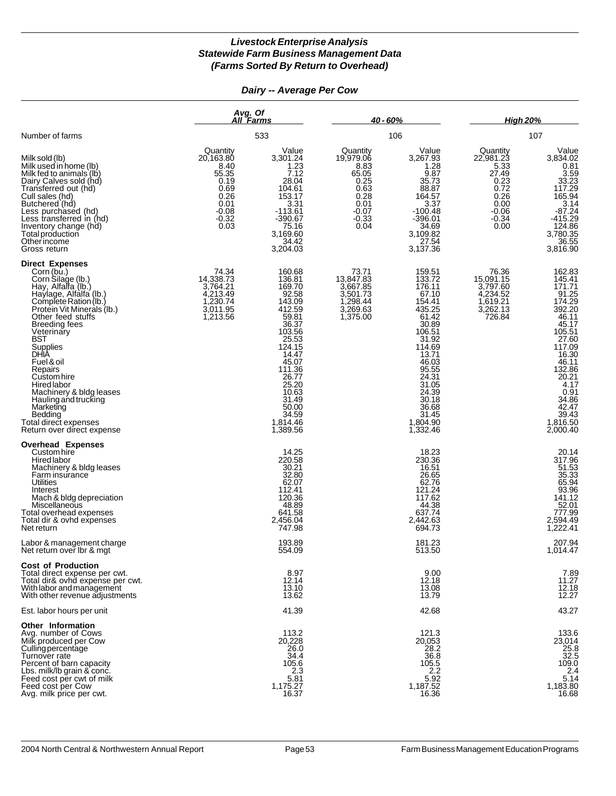*Dairy -- Average Per Cow*

|                                                                                                                                                                                                                                                                                                                                                                                                                                                        |                                                                                                        | Avg. Of<br>All Farms                                                                                                                                                                                             |                                                                                                      | $40 - 60%$                                                                                                                                                                                                      |                                                                                                      | <b>High 20%</b>                                                                                                                                                                                    |  |
|--------------------------------------------------------------------------------------------------------------------------------------------------------------------------------------------------------------------------------------------------------------------------------------------------------------------------------------------------------------------------------------------------------------------------------------------------------|--------------------------------------------------------------------------------------------------------|------------------------------------------------------------------------------------------------------------------------------------------------------------------------------------------------------------------|------------------------------------------------------------------------------------------------------|-----------------------------------------------------------------------------------------------------------------------------------------------------------------------------------------------------------------|------------------------------------------------------------------------------------------------------|----------------------------------------------------------------------------------------------------------------------------------------------------------------------------------------------------|--|
| Number of farms                                                                                                                                                                                                                                                                                                                                                                                                                                        |                                                                                                        | 533                                                                                                                                                                                                              |                                                                                                      | 106                                                                                                                                                                                                             |                                                                                                      | 107                                                                                                                                                                                                |  |
| Milk sold (lb)<br>Milk used in home (lb)<br>Milk fed to animals (lb)<br>Dairy Calves sold (hd)<br>Transferred out (hd)<br>Cull sales (hd)<br>Butchered (hd)<br>Less purchased (hd)<br>Less transferred in (hd)<br>Inventory change (hd)<br>Total production<br>Otherincome<br>Gross return                                                                                                                                                             | Quantity<br>20,163.80<br>8.40<br>55.35<br>0.19<br>0.69<br>0.26<br>0.01<br>$-0.08$<br>$-0.32$<br>$0.03$ | Value<br>3,301.24<br>1.23<br>7.12<br>28.04<br>104.61<br>153.17<br>3.31<br>$-113.61$<br>$-390.67$<br>75.16<br>3,169.60<br>34.42<br>3,204.03                                                                       | Quantity<br>19,979.06<br>8.83<br>65.05<br>0.25<br>0.63<br>0.28<br>0.01<br>$-0.07$<br>$-0.33$<br>0.04 | Value<br>3,267.93<br>1.28<br>9.87<br>35.73<br>88.87<br>164.57<br>3.37<br>$-100.48$<br>$-396.01$<br>34.69<br>3,109.82<br>27.54<br>3,137.36                                                                       | Quantity<br>22,981.23<br>5.33<br>27.49<br>0.23<br>0.72<br>0.26<br>0.00<br>$-0.06$<br>$-0.34$<br>0.00 | Value<br>3,834.02<br>$0.81$<br>$3.59$<br>$33.23$<br>$117.29$<br>$165.94$<br>3.14<br>$-87.24$<br>$-415.29$<br>$124.86$<br>$3,780.35$<br>$36.55$<br>3,816.90                                         |  |
| <b>Direct Expenses</b><br>Corn (bu.)<br>Corn Silage (lb.)<br>Hay, Alfalfa (lb.)<br>Haylage, Alfalfa (lb.)<br>Complete Ration (lb.)<br>Protein Vit Minerals (lb.)<br>Other feed stuffs<br><b>Breeding fees</b><br>Veterinary<br>BST<br>Supplies<br>DHIA<br>Fuel & oil<br>Repairs<br>Custom hire<br><b>Hired labor</b><br>Machinery & bldg leases<br>Hauling and trucking<br>Marketing<br>Bedding<br>Total direct expenses<br>Return over direct expense | 74.34<br>14,338.73<br>3,764.21<br>4,213.49<br>1,230.74<br>3,011.95<br>1,213.56                         | 160.68<br>136.81<br>169.70<br>92.58<br>143.09<br>412.59<br>59.81<br>36.37<br>103.56<br>25.53<br>124.15<br>14.47<br>45.07<br>111.36<br>26.77<br>25.20<br>10.63<br>31.49<br>50.00<br>34.59<br>1,814.46<br>1,389.56 | 73.71<br>13,847.83<br>3,667.85<br>3,501.73<br>1,298.44<br>3,269.63<br>1,375.00                       | 159.51<br>133.72<br>176.11<br>67.10<br>154.41<br>435.25<br>61.42<br>30.89<br>106.51<br>31.92<br>114.69<br>13.71<br>46.03<br>95.55<br>24.31<br>31.05<br>24.39<br>30.18<br>36.68<br>31.45<br>1,804.90<br>1,332.46 | 76.36<br>15,091.15<br>3,797.60<br>4,234.52<br>1,619.21<br>3,262.13<br>726.84                         | 162.83<br>145.41<br>171.71<br>91.25<br>392.20<br>46.11<br>45.17<br>105.51<br>27.60<br>117.09<br>16.30<br>$46.11132.8620.214.17$<br>$0.91$<br>$34.86$<br>$42.47$<br>$39.43$<br>1,816.50<br>2,000.40 |  |
| <b>Overhead Expenses</b><br>Custom hire<br>Hired labor<br>Machinery & bldg leases<br>Farm insurance<br>Utilities<br>Interest<br>Mach & bldg depreciation<br>Miscellaneous<br>Total overhead expenses<br>Total dir & ovhd expenses<br>Net return                                                                                                                                                                                                        |                                                                                                        | 14.25<br>220.58<br>30.21<br>32.80<br>62.07<br>112.41<br>120.36<br>48.89<br>641.58<br>2,456.04<br>747.98                                                                                                          |                                                                                                      | 18.23<br>230.36<br>16.51<br>26.65<br>62.76<br>121.24<br>117.62<br>44.38<br>637.74<br>2,442.63<br>694.73                                                                                                         |                                                                                                      | 20.14<br>317.96<br>51.53<br>35.33<br>65.94<br>65.94<br>93.96<br>141.12<br>52.01<br>777.99<br>2,594.49<br>1,222.41                                                                                  |  |
| Labor & management charge<br>Net return over Ibr & mgt                                                                                                                                                                                                                                                                                                                                                                                                 |                                                                                                        | 193.89<br>554.09                                                                                                                                                                                                 |                                                                                                      | 181.23<br>513.50                                                                                                                                                                                                |                                                                                                      | 207.94<br>1,014.47                                                                                                                                                                                 |  |
| <b>Cost of Production</b><br>Total direct expense per cwt.<br>Total dir& ovhd expense per cwt.<br>With labor and management<br>With other revenue adjustments                                                                                                                                                                                                                                                                                          |                                                                                                        | 8.97<br>12.14<br>13.10<br>13.62                                                                                                                                                                                  |                                                                                                      | 9.00<br>12.18<br>13.08<br>13.79                                                                                                                                                                                 |                                                                                                      | 7.89<br>$11.27$<br>12.18<br>12.27                                                                                                                                                                  |  |
| Est. labor hours per unit                                                                                                                                                                                                                                                                                                                                                                                                                              |                                                                                                        | 41.39                                                                                                                                                                                                            |                                                                                                      | 42.68                                                                                                                                                                                                           |                                                                                                      | 43.27                                                                                                                                                                                              |  |
| <b>Other Information</b><br>Ava. number of Cows<br>Milk produced per Cow<br>Culling percentage<br>Turnover rate<br>Percent of barn capacity<br>Lbs. milk/lb grain & conc.<br>Feed cost per cwt of milk<br>Feed cost per Cow<br>Avg. milk price per cwt.                                                                                                                                                                                                |                                                                                                        | 113.2<br>20.228<br>26.0<br>34.4<br>105.6<br>2.3<br>5.81<br>1,175.27<br>16.37                                                                                                                                     |                                                                                                      | 121.3<br>20,053<br>28.2<br>36.8<br>105.5<br>$2.2$<br>5.92<br>1,187.52<br>16.36                                                                                                                                  |                                                                                                      | 133.6<br>23,014<br>25.8<br>22.5<br>109.0<br>2.4<br>5.14<br>1,183.80<br>16.68                                                                                                                       |  |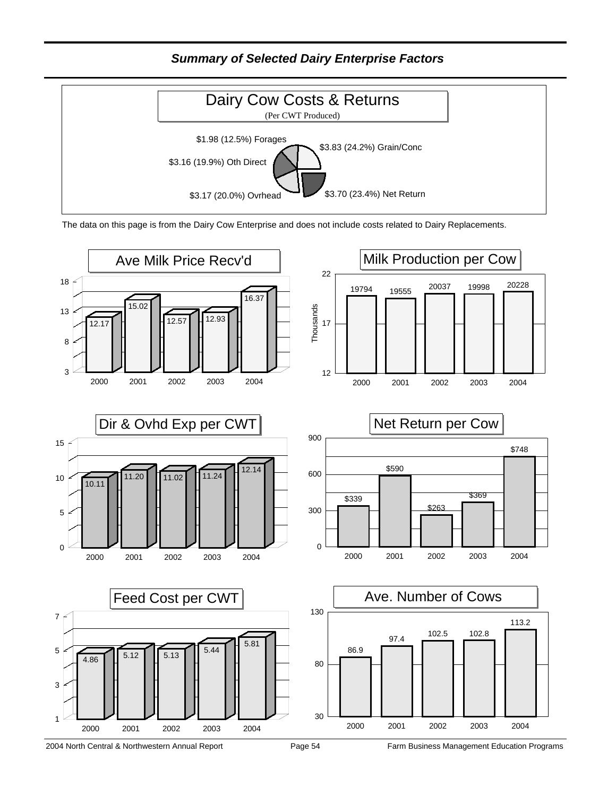*Summary of Selected Dairy Enterprise Factors*



The data on this page is from the Dairy Cow Enterprise and does not include costs related to Dairy Replacements.

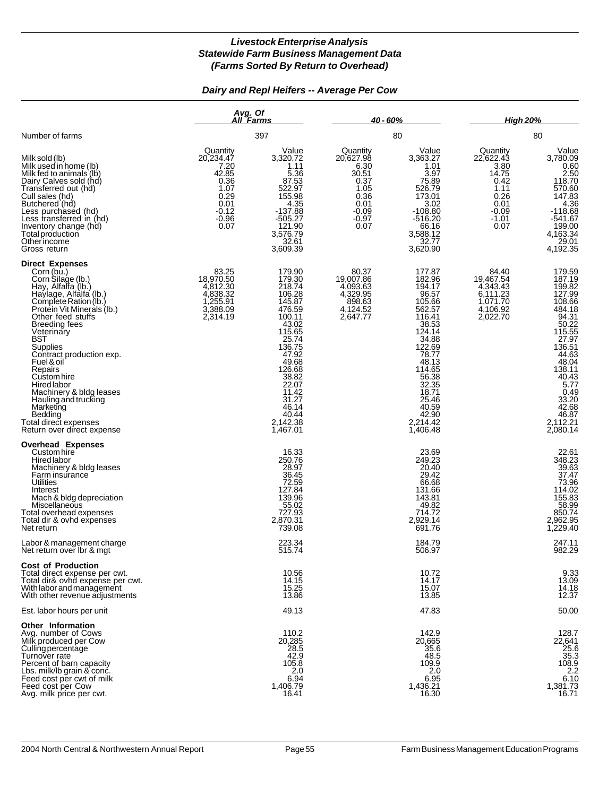### *Dairy and Repl Heifers -- Average Per Cow*

|                                                                                                                                                                                                                                                                                                                                                                                                                                                               |                                                                                                      | Avg. Of<br>All Farms                                                                                                                                                                                               |                                                                                                        | <u>40 - 60% </u>                                                                                                                                                                                                  |                                                                                                      | <b>High 20%</b>                                                                                                                                                                                                                                   |  |
|---------------------------------------------------------------------------------------------------------------------------------------------------------------------------------------------------------------------------------------------------------------------------------------------------------------------------------------------------------------------------------------------------------------------------------------------------------------|------------------------------------------------------------------------------------------------------|--------------------------------------------------------------------------------------------------------------------------------------------------------------------------------------------------------------------|--------------------------------------------------------------------------------------------------------|-------------------------------------------------------------------------------------------------------------------------------------------------------------------------------------------------------------------|------------------------------------------------------------------------------------------------------|---------------------------------------------------------------------------------------------------------------------------------------------------------------------------------------------------------------------------------------------------|--|
| Number of farms                                                                                                                                                                                                                                                                                                                                                                                                                                               |                                                                                                      | 397                                                                                                                                                                                                                | 80                                                                                                     |                                                                                                                                                                                                                   |                                                                                                      | 80                                                                                                                                                                                                                                                |  |
| Milk sold (lb)<br>Milk used in home (lb)<br>Milk fed to animals (lb)<br>Dairy Calves sold (hd)<br>Transferred out (hd)<br>Cull sales (hd)<br>Butchered (hd)<br>Less purchased (hd)<br>Less transferred in (hd)<br>Inventory change (hd)<br>Total production<br>Other income<br>Gross return                                                                                                                                                                   | Quantity<br>20,234.47<br>7.20<br>42.85<br>0.36<br>1.07<br>0.29<br>0.01<br>$-0.12$<br>$-0.96$<br>0.07 | Value<br>3,320.72<br>1.11<br>5.36<br>87.53<br>522.97<br>155.98<br>4.35<br>$-137.88$<br>$-505.27$<br>121.90<br>3,576.79<br>32.61<br>3,609.39                                                                        | Quantity<br>20,627.98<br>6.30<br>30.51<br>0.37<br>1.05<br>0.36<br>0.01<br>$-0.09$<br>$-0.97$<br>$0.07$ | Value<br>3,363.27<br>1.01<br>3.97<br>75.89<br>526.79<br>173.01<br>3.02<br>$-108.80$<br>$-516.20$<br>66.16<br>3,588.12<br>32.77<br>3,620.90                                                                        | Quantity<br>22,622.43<br>3.80<br>14.75<br>0.42<br>1.11<br>0.26<br>0.01<br>$-0.09$<br>$-1.01$<br>0.07 | Value<br>3,780.09<br>0.60<br>2.50<br>118.70<br>$\begin{array}{r}\n 110.76 \\  570.60 \\  147.83 \\  4.36 \\  -118.68 \\  \end{array}$<br>$-541.67$<br>$\begin{array}{r} 199.00 \\ 199.00 \\ 4,163.34 \\ 29.01 \\ 1499.05 \end{array}$<br>4,192.35 |  |
| <b>Direct Expenses</b><br>Corn (bu.)<br>Corn Silage (lb.)<br>Hay, Alfalfa (lb.)<br>Haylage, Alfalfa (lb.)<br>Complete Ration (lb.)<br>Protein Vit Minierals (lb.)<br>Other feed stuffs<br>Breeding fees<br>Veterinary<br>BST<br>Supplies<br>Contract production exp.<br>Fuel & oil<br>Repairs<br>Custom hire<br>Hired labor<br>Machinery & bldg leases<br>Hauling and trucking<br>Marketing<br>Bedding<br>Total direct expenses<br>Return over direct expense | 83.25<br>18,970.50<br>4,812.30<br>4,838.32<br>1,255.91<br>3,388.09<br>2,314.19                       | 179.90<br>179.30<br>218.74<br>106.28<br>145.87<br>476.59<br>100.11<br>43.02<br>115.65<br>25.74<br>136.75<br>47.92<br>49.68<br>126.68<br>38.82<br>22.07<br>11.42<br>31.27<br>46.14<br>40.44<br>2,142.38<br>1,467.01 | 80.37<br>19,007.86<br>4,093.63<br>4,329.95<br>$898.63$<br>4,124.52<br>2,647.77                         | 177.87<br>182.96<br>194.17<br>96.57<br>105.66<br>562.57<br>116.41<br>38.53<br>124.14<br>34.88<br>122.69<br>78.77<br>48.13<br>114.65<br>56.38<br>32.35<br>18.71<br>25.46<br>40.59<br>42.90<br>2,214.42<br>1,406.48 | 84.40<br>19,467.54<br>4,343.43<br>6,111.23<br>1,071.70<br>4,106.92<br>2,022.70                       | 179.59<br>187.19<br>199.82<br>127.99<br>108.66<br>484.18<br>94.31<br>94.31<br>50.22<br>115.55<br>27.97<br>136.51<br>$44.63$<br>$48.04$<br>$138.11$<br>$40.43$<br>$5.77$<br>$0.49$<br>$33.20$<br>$42.68$<br>$46.87$<br>2,112.21<br>2,080.14        |  |
| <b>Overhead Expenses</b><br>Custom hire<br><b>Hired labor</b><br>Machinery & bldg leases<br>Farm insurance<br>Utilities<br>Interest<br>Mach & bldg depreciation<br>Miscellaneous<br>Total overhead expenses<br>Total dir & ovhd expenses<br>Net return                                                                                                                                                                                                        |                                                                                                      | 16.33<br>250.76<br>28.97<br>36.45<br>72.59<br>127.84<br>139.96<br>55.02<br>727.93<br>2,870.31<br>739.08                                                                                                            |                                                                                                        | 23.69<br>249.23<br>20.40<br>29.42<br>66.68<br>131.66<br>143.81<br>49.82<br>714.72<br>2,929.14<br>691.76                                                                                                           |                                                                                                      | 22.61<br>348.23<br>39.63<br>37.47<br>73.96<br>114.02<br>155.83<br>58.99<br>860.74<br>850.74<br>2,962.95<br>1,229.40                                                                                                                               |  |
| Labor & management charge<br>Net return over Ibr & mat                                                                                                                                                                                                                                                                                                                                                                                                        |                                                                                                      | 223.34<br>515.74                                                                                                                                                                                                   |                                                                                                        | 184.79<br>506.97                                                                                                                                                                                                  |                                                                                                      | 247.11<br>982.29                                                                                                                                                                                                                                  |  |
| <b>Cost of Production</b><br>Total direct expense per cwt.<br>Total dir& ovhd expense per cwt.<br>With labor and management<br>With other revenue adjustments                                                                                                                                                                                                                                                                                                 |                                                                                                      | 10.56<br>14.15<br>15.25<br>13.86                                                                                                                                                                                   |                                                                                                        | 10.72<br>14.17<br>15.07<br>13.85                                                                                                                                                                                  |                                                                                                      | $9.33$<br>13.09<br>14.18<br>12.37                                                                                                                                                                                                                 |  |
| Est. labor hours per unit                                                                                                                                                                                                                                                                                                                                                                                                                                     |                                                                                                      | 49.13                                                                                                                                                                                                              |                                                                                                        | 47.83                                                                                                                                                                                                             |                                                                                                      | 50.00                                                                                                                                                                                                                                             |  |
| <b>Other Information</b><br>Avg. number of Cows<br>Milk produced per Cow<br>Culling percentage<br>Turnover rate<br>Percent of barn capacity<br>Lbs. milk/lb grain & conc.<br>Feed cost per cwt of milk<br>Feed cost per Cow<br>Avg. milk price per cwt.                                                                                                                                                                                                       |                                                                                                      | 110.2<br>20,285<br>28.5<br>42.9<br>105.8<br>2.0<br>6.94<br>1,406.79<br>16.41                                                                                                                                       |                                                                                                        | 142.9<br>20,665<br>35.6<br>48.5<br>109.9<br>2.0<br>6.95<br>1,436.21<br>16.30                                                                                                                                      |                                                                                                      | 128.7<br>22,641<br>25.6<br>$\frac{35.3}{108.9}$<br>6.10<br>1,381.73<br>16.71                                                                                                                                                                      |  |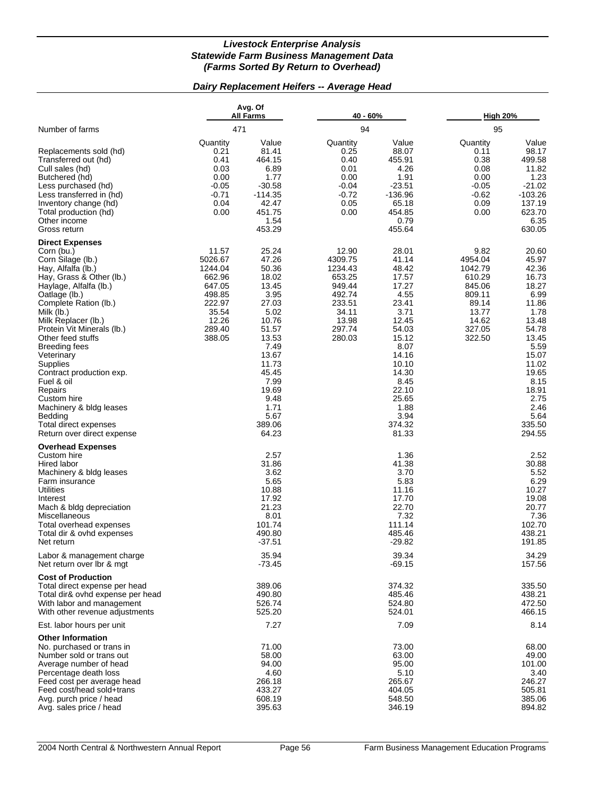#### *Dairy Replacement Heifers -- Average Head*

|                                                                                                                                                                                                                                                                                                                                                                                                                                                                                     | Avg. Of<br>All Farms<br>471                                                                               |                                                                                                                                                                                              | 40 - 60%                                                                                                  |                                                                                                                                                                                               | <b>High 20%</b>                                                                                         |                                                                                                                                                                                               |
|-------------------------------------------------------------------------------------------------------------------------------------------------------------------------------------------------------------------------------------------------------------------------------------------------------------------------------------------------------------------------------------------------------------------------------------------------------------------------------------|-----------------------------------------------------------------------------------------------------------|----------------------------------------------------------------------------------------------------------------------------------------------------------------------------------------------|-----------------------------------------------------------------------------------------------------------|-----------------------------------------------------------------------------------------------------------------------------------------------------------------------------------------------|---------------------------------------------------------------------------------------------------------|-----------------------------------------------------------------------------------------------------------------------------------------------------------------------------------------------|
| Number of farms                                                                                                                                                                                                                                                                                                                                                                                                                                                                     |                                                                                                           |                                                                                                                                                                                              | 94                                                                                                        |                                                                                                                                                                                               | 95                                                                                                      |                                                                                                                                                                                               |
| Replacements sold (hd)<br>Transferred out (hd)<br>Cull sales (hd)<br>Butchered (hd)<br>Less purchased (hd)<br>Less transferred in (hd)<br>Inventory change (hd)<br>Total production (hd)<br>Other income<br>Gross return                                                                                                                                                                                                                                                            | Quantity<br>0.21<br>0.41<br>0.03<br>0.00<br>$-0.05$<br>$-0.71$<br>0.04<br>0.00                            | Value<br>81.41<br>464.15<br>6.89<br>1.77<br>$-30.58$<br>$-114.35$<br>42.47<br>451.75<br>1.54<br>453.29                                                                                       | Quantity<br>0.25<br>0.40<br>0.01<br>0.00<br>$-0.04$<br>$-0.72$<br>0.05<br>0.00                            | Value<br>88.07<br>455.91<br>4.26<br>1.91<br>$-23.51$<br>$-136.96$<br>65.18<br>454.85<br>0.79<br>455.64                                                                                        | Quantity<br>0.11<br>0.38<br>0.08<br>0.00<br>$-0.05$<br>$-0.62$<br>0.09<br>0.00                          | Value<br>98.17<br>499.58<br>11.82<br>1.23<br>$-21.02$<br>$-103.26$<br>137.19<br>623.70<br>6.35<br>630.05                                                                                      |
| <b>Direct Expenses</b><br>Corn (bu.)<br>Corn Silage (lb.)<br>Hay, Alfalfa (lb.)<br>Hay, Grass & Other (lb.)<br>Haylage, Alfalfa (lb.)<br>Oatlage (lb.)<br>Complete Ration (lb.)<br>Milk (lb.)<br>Milk Replacer (lb.)<br>Protein Vit Minerals (lb.)<br>Other feed stuffs<br>Breeding fees<br>Veterinary<br>Supplies<br>Contract production exp.<br>Fuel & oil<br>Repairs<br>Custom hire<br>Machinery & bldg leases<br>Bedding<br>Total direct expenses<br>Return over direct expense | 11.57<br>5026.67<br>1244.04<br>662.96<br>647.05<br>498.85<br>222.97<br>35.54<br>12.26<br>289.40<br>388.05 | 25.24<br>47.26<br>50.36<br>18.02<br>13.45<br>3.95<br>27.03<br>5.02<br>10.76<br>51.57<br>13.53<br>7.49<br>13.67<br>11.73<br>45.45<br>7.99<br>19.69<br>9.48<br>1.71<br>5.67<br>389.06<br>64.23 | 12.90<br>4309.75<br>1234.43<br>653.25<br>949.44<br>492.74<br>233.51<br>34.11<br>13.98<br>297.74<br>280.03 | 28.01<br>41.14<br>48.42<br>17.57<br>17.27<br>4.55<br>23.41<br>3.71<br>12.45<br>54.03<br>15.12<br>8.07<br>14.16<br>10.10<br>14.30<br>8.45<br>22.10<br>25.65<br>1.88<br>3.94<br>374.32<br>81.33 | 9.82<br>4954.04<br>1042.79<br>610.29<br>845.06<br>809.11<br>89.14<br>13.77<br>14.62<br>327.05<br>322.50 | 20.60<br>45.97<br>42.36<br>16.73<br>18.27<br>6.99<br>11.86<br>1.78<br>13.48<br>54.78<br>13.45<br>5.59<br>15.07<br>11.02<br>19.65<br>8.15<br>18.91<br>2.75<br>2.46<br>5.64<br>335.50<br>294.55 |
| <b>Overhead Expenses</b><br>Custom hire<br>Hired labor<br>Machinery & bldg leases<br>Farm insurance<br>Utilities<br>Interest<br>Mach & bldg depreciation<br>Miscellaneous<br>Total overhead expenses<br>Total dir & ovhd expenses<br>Net return                                                                                                                                                                                                                                     |                                                                                                           | 2.57<br>31.86<br>3.62<br>5.65<br>10.88<br>17.92<br>21.23<br>8.01<br>101.74<br>490.80<br>$-37.51$                                                                                             |                                                                                                           | 1.36<br>41.38<br>3.70<br>5.83<br>11.16<br>17.70<br>22.70<br>7.32<br>111.14<br>485.46<br>$-29.82$                                                                                              |                                                                                                         | 2.52<br>30.88<br>5.52<br>6.29<br>10.27<br>19.08<br>20.77<br>7.36<br>102.70<br>438.21<br>191.85                                                                                                |
| Labor & management charge<br>Net return over Ibr & mgt                                                                                                                                                                                                                                                                                                                                                                                                                              |                                                                                                           | 35.94<br>$-73.45$                                                                                                                                                                            |                                                                                                           | 39.34<br>$-69.15$                                                                                                                                                                             |                                                                                                         | 34.29<br>157.56                                                                                                                                                                               |
| <b>Cost of Production</b><br>Total direct expense per head<br>Total dir& ovhd expense per head<br>With labor and management<br>With other revenue adjustments                                                                                                                                                                                                                                                                                                                       |                                                                                                           | 389.06<br>490.80<br>526.74<br>525.20                                                                                                                                                         |                                                                                                           | 374.32<br>485.46<br>524.80<br>524.01                                                                                                                                                          |                                                                                                         | 335.50<br>438.21<br>472.50<br>466.15                                                                                                                                                          |
| Est. labor hours per unit                                                                                                                                                                                                                                                                                                                                                                                                                                                           |                                                                                                           | 7.27                                                                                                                                                                                         |                                                                                                           | 7.09                                                                                                                                                                                          |                                                                                                         | 8.14                                                                                                                                                                                          |
| <b>Other Information</b><br>No. purchased or trans in<br>Number sold or trans out<br>Average number of head<br>Percentage death loss<br>Feed cost per average head<br>Feed cost/head sold+trans<br>Avg. purch price / head<br>Avg. sales price / head                                                                                                                                                                                                                               |                                                                                                           | 71.00<br>58.00<br>94.00<br>4.60<br>266.18<br>433.27<br>608.19<br>395.63                                                                                                                      |                                                                                                           | 73.00<br>63.00<br>95.00<br>5.10<br>265.67<br>404.05<br>548.50<br>346.19                                                                                                                       |                                                                                                         | 68.00<br>49.00<br>101.00<br>3.40<br>246.27<br>505.81<br>385.06<br>894.82                                                                                                                      |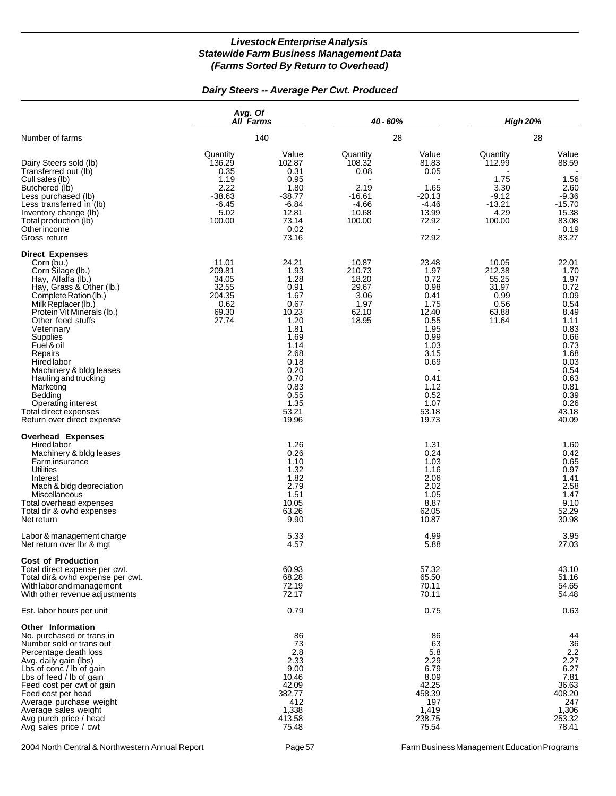#### *Dairy Steers -- Average Per Cwt. Produced*

|                                                                                                                                                                                                                                                                                                                                                                                                                                                 | Avg. Of<br>All Farms                                                                |                                                                                                                                                                  | 40 - 60%                                                                     |                                                                                                                                                          | <b>High 20%</b>                                                             |                                                                                                                                                                 |  |
|-------------------------------------------------------------------------------------------------------------------------------------------------------------------------------------------------------------------------------------------------------------------------------------------------------------------------------------------------------------------------------------------------------------------------------------------------|-------------------------------------------------------------------------------------|------------------------------------------------------------------------------------------------------------------------------------------------------------------|------------------------------------------------------------------------------|----------------------------------------------------------------------------------------------------------------------------------------------------------|-----------------------------------------------------------------------------|-----------------------------------------------------------------------------------------------------------------------------------------------------------------|--|
| Number of farms                                                                                                                                                                                                                                                                                                                                                                                                                                 |                                                                                     | 140                                                                                                                                                              |                                                                              | 28                                                                                                                                                       |                                                                             | 28                                                                                                                                                              |  |
| Dairy Steers sold (lb)<br>Transferred out (lb)<br>Cull sales (lb)<br>Butchered (lb)<br>Less purchased (lb)<br>Less transferred in (lb)<br>Inventory change (lb)<br>Total production (lb)<br>Other income<br>Gross return                                                                                                                                                                                                                        | Quantity<br>136.29<br>0.35<br>1.19<br>2.22<br>$-38.63$<br>$-6.45$<br>5.02<br>100.00 | Value<br>102.87<br>0.31<br>0.95<br>1.80<br>$-38.77$<br>$-6.84$<br>12.81<br>73.14<br>0.02<br>73.16                                                                | Quantity<br>108.32<br>0.08<br>2.19<br>$-16.61$<br>$-4.66$<br>10.68<br>100.00 | Value<br>81.83<br>0.05<br>1.65<br>$-20.13$<br>$-4.46$<br>13.99<br>72.92<br>72.92                                                                         | Quantity<br>112.99<br>1.75<br>3.30<br>$-9.12$<br>$-13.21$<br>4.29<br>100.00 | Value<br>88.59<br>1.56<br>2.60<br>$-9.36$<br>$-15.70$<br>15.38<br>83.08<br>0.19<br>83.27                                                                        |  |
| <b>Direct Expenses</b><br>Corn (bu.)<br>Corn Silage (lb.)<br>Hay, Alfalfa (lb.)<br>Hay, Grass & Other (lb.)<br>Complete Ration (lb.)<br>Milk Replacer (lb.)<br>Protein Vit Minerals (lb.)<br>Other feed stuffs<br>Veterinary<br>Supplies<br>Fuel & oil<br>Repairs<br><b>Hired labor</b><br>Machinery & bldg leases<br>Hauling and trucking<br>Marketing<br>Bedding<br>Operating interest<br>Total direct expenses<br>Return over direct expense | 11.01<br>209.81<br>34.05<br>32.55<br>204.35<br>0.62<br>69.30<br>27.74               | 24.21<br>1.93<br>1.28<br>0.91<br>1.67<br>0.67<br>10.23<br>1.20<br>1.81<br>1.69<br>1.14<br>2.68<br>0.18<br>0.20<br>0.70<br>0.83<br>0.55<br>1.35<br>53.21<br>19.96 | 10.87<br>210.73<br>18.20<br>29.67<br>3.06<br>1.97<br>62.10<br>18.95          | 23.48<br>1.97<br>0.72<br>0.98<br>0.41<br>1.75<br>12.40<br>0.55<br>1.95<br>0.99<br>1.03<br>3.15<br>0.69<br>0.41<br>1.12<br>0.52<br>1.07<br>53.18<br>19.73 | 10.05<br>212.38<br>55.25<br>31.97<br>0.99<br>0.56<br>63.88<br>11.64         | 22.01<br>1.70<br>1.97<br>0.72<br>0.09<br>0.54<br>8.49<br>1.11<br>0.83<br>0.66<br>0.73<br>1.68<br>0.03<br>0.54<br>0.63<br>0.81<br>0.39<br>0.26<br>43.18<br>40.09 |  |
| <b>Overhead Expenses</b><br>Hired labor<br>Machinery & bldg leases<br>Farm insurance<br><b>Utilities</b><br>Interest<br>Mach & bldg depreciation<br>Miscellaneous<br>Total overhead expenses<br>Total dir & ovhd expenses<br>Net return                                                                                                                                                                                                         |                                                                                     | 1.26<br>0.26<br>1.10<br>1.32<br>1.82<br>2.79<br>1.51<br>10.05<br>63.26<br>9.90                                                                                   |                                                                              | 1.31<br>0.24<br>1.03<br>1.16<br>2.06<br>2.02<br>1.05<br>8.87<br>62.05<br>10.87                                                                           |                                                                             | 1.60<br>0.42<br>0.65<br>0.97<br>1.41<br>2.58<br>1.47<br>9.10<br>52.29<br>30.98                                                                                  |  |
| Labor & management charge<br>Net return over lbr & mgt                                                                                                                                                                                                                                                                                                                                                                                          |                                                                                     | 5.33<br>4.57                                                                                                                                                     |                                                                              | 4.99<br>5.88                                                                                                                                             |                                                                             | 3.95<br>27.03                                                                                                                                                   |  |
| <b>Cost of Production</b><br>Total direct expense per cwt.<br>Total dir& ovhd expense per cwt.<br>With labor and management<br>With other revenue adjustments                                                                                                                                                                                                                                                                                   |                                                                                     | 60.93<br>68.28<br>72.19<br>72.17                                                                                                                                 |                                                                              | 57.32<br>65.50<br>70.11<br>70.11                                                                                                                         |                                                                             | 43.10<br>51.16<br>54.65<br>54.48                                                                                                                                |  |
| Est. labor hours per unit                                                                                                                                                                                                                                                                                                                                                                                                                       |                                                                                     | 0.79                                                                                                                                                             |                                                                              | 0.75                                                                                                                                                     |                                                                             | 0.63                                                                                                                                                            |  |
| <b>Other Information</b><br>No. purchased or trans in<br>Number sold or trans out<br>Percentage death loss<br>Avg. daily gain (lbs)<br>Lbs of conc / lb of gain<br>Lbs of feed / lb of gain<br>Feed cost per cwt of gain<br>Feed cost per head<br>Average purchase weight<br>Average sales weight<br>Avg purch price / head<br>Avg sales price / cwt                                                                                            |                                                                                     | 86<br>73<br>2.8<br>2.33<br>9.00<br>10.46<br>42.09<br>382.77<br>412<br>1,338<br>413.58<br>75.48                                                                   |                                                                              | 86<br>63<br>5.8<br>2.29<br>6.79<br>8.09<br>42.25<br>458.39<br>197<br>1,419<br>238.75<br>75.54                                                            |                                                                             | 44<br>36<br>2.2<br>2.27<br>6.27<br>7.81<br>36.63<br>408.20<br>247<br>1,306<br>253.32<br>78.41                                                                   |  |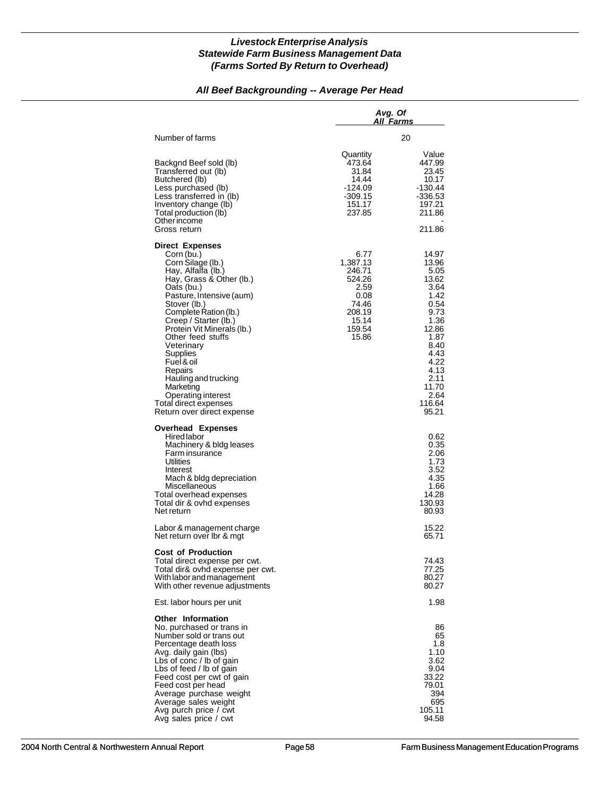#### *All Beef Backgrounding -- Average Per Head*

|                                                                                                                                                                                                                                                                                                                                                                                                                                                 | Avg. Of<br>All Farms                                                                                |                                                                                                                                                                      |  |
|-------------------------------------------------------------------------------------------------------------------------------------------------------------------------------------------------------------------------------------------------------------------------------------------------------------------------------------------------------------------------------------------------------------------------------------------------|-----------------------------------------------------------------------------------------------------|----------------------------------------------------------------------------------------------------------------------------------------------------------------------|--|
| Number of farms                                                                                                                                                                                                                                                                                                                                                                                                                                 |                                                                                                     | 20                                                                                                                                                                   |  |
| Backgnd Beef sold (lb)<br>Transferred out (lb)<br>Butchered (lb)<br>Less purchased (lb)<br>Less transferred in (lb)<br>Inventory change (lb)<br>Total production (lb)<br>Otherincome<br>Gross return                                                                                                                                                                                                                                            | Quantity<br>473.64<br>31.84<br>14.44<br>-124.09<br>$-309.15$<br>151.17<br>237.85                    | Value<br>447.99<br>23.45<br>10.17<br>$-130.44$<br>-336.53<br>197.21<br>211.86<br>211.86                                                                              |  |
| <b>Direct Expenses</b><br>Corn (bu.)<br>Corn Silage (lb.)<br>Hay, Alfalfa (lb.)<br>Hay, Grass & Other (lb.)<br>Oats (bu.)<br>Pasture, Intensive (aum)<br>Stover (lb.)<br>Complete Ration (lb.)<br>Creep / Starter (lb.)<br>Protein Vit Minerals (lb.)<br>Other feed stuffs<br>Veterinary<br>Supplies<br>Fuel & oil<br>Repairs<br>Hauling and trucking<br>Marketing<br>Operating interest<br>Total direct expenses<br>Return over direct expense | 6.77<br>1,387.13<br>246.71<br>524.26<br>2.59<br>0.08<br>74.46<br>208.19<br>15.14<br>159.54<br>15.86 | 14.97<br>13.96<br>5.05<br>13.62<br>3.64<br>1.42<br>0.54<br>9.73<br>1.36<br>12.86<br>1.87<br>8.40<br>4.43<br>4.22<br>4.13<br>2.11<br>11.70<br>2.64<br>116.64<br>95.21 |  |
| <b>Overhead Expenses</b><br>Hired labor<br>Machinery & bldg leases<br>Farm insurance<br>Utilities<br>Interest<br>Mach & bldg depreciation<br>Miscellaneous<br>Total overhead expenses<br>Total dir & ovhd expenses<br>Net return<br>Labor & management charge                                                                                                                                                                                   |                                                                                                     | 0.62<br>0.35<br>2.06<br>1.73<br>3.52<br>4.35<br>1.66<br>14.28<br>130.93<br>80.93<br>15.22                                                                            |  |
| Net return over lbr & mgt                                                                                                                                                                                                                                                                                                                                                                                                                       |                                                                                                     | 65.71                                                                                                                                                                |  |
| <b>Cost of Production</b><br>Total direct expense per cwt.<br>Total dir& ovhd expense per cwt.<br>With labor and management<br>With other revenue adjustments                                                                                                                                                                                                                                                                                   |                                                                                                     | 74.43<br>77.25<br>80.27<br>80.27                                                                                                                                     |  |
| Est. labor hours per unit                                                                                                                                                                                                                                                                                                                                                                                                                       |                                                                                                     | 1.98                                                                                                                                                                 |  |
| <b>Other Information</b><br>No. purchased or trans in<br>Number sold or trans out<br>Percentage death loss<br>Avg. daily gain (lbs)<br>Lbs of conc / lb of gain<br>Lbs of feed / lb of gain<br>Feed cost per cwt of gain<br>Feed cost per head<br>Average purchase weight<br>Average sales weight<br>Avg purch price / cwt<br>Avg sales price / cwt                                                                                             |                                                                                                     | 86<br>65<br>1.8<br>1.10<br>3.62<br>9.04<br>33.22<br>79.01<br>394<br>695<br>105.11<br>94.58                                                                           |  |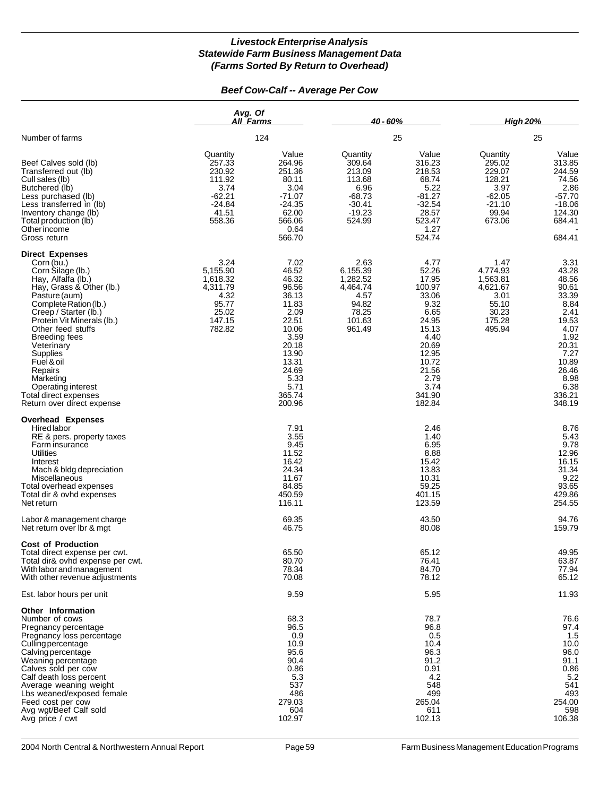#### *Beef Cow-Calf -- Average Per Cow*

|                                                                                                                                                                                                                                                                                                                                                                                                        | Avg. Of<br>All Farms                                                                      |                                                                                                                                                             | 40 - 60%                                                                                     |                                                                                                                                                             | <b>Hiah 20%</b>                                                                           |                                                                                                                                                          |
|--------------------------------------------------------------------------------------------------------------------------------------------------------------------------------------------------------------------------------------------------------------------------------------------------------------------------------------------------------------------------------------------------------|-------------------------------------------------------------------------------------------|-------------------------------------------------------------------------------------------------------------------------------------------------------------|----------------------------------------------------------------------------------------------|-------------------------------------------------------------------------------------------------------------------------------------------------------------|-------------------------------------------------------------------------------------------|----------------------------------------------------------------------------------------------------------------------------------------------------------|
| Number of farms                                                                                                                                                                                                                                                                                                                                                                                        |                                                                                           | 124                                                                                                                                                         |                                                                                              | 25                                                                                                                                                          | 25                                                                                        |                                                                                                                                                          |
| Beef Calves sold (lb)<br>Transferred out (lb)<br>Cull sales (lb)<br>Butchered (lb)<br>Less purchased (lb)<br>Less transferred in (lb)<br>Inventory change (lb)<br>Total production (lb)<br>Other income<br>Gross return                                                                                                                                                                                | Quantity<br>257.33<br>230.92<br>111.92<br>3.74<br>$-62.21$<br>$-24.84$<br>41.51<br>558.36 | Value<br>264.96<br>251.36<br>80.11<br>3.04<br>$-71.07$<br>$-24.35$<br>62.00<br>566.06<br>0.64<br>566.70                                                     | Quantity<br>309.64<br>213.09<br>113.68<br>6.96<br>$-68.73$<br>$-30.41$<br>$-19.23$<br>524.99 | Value<br>316.23<br>218.53<br>68.74<br>5.22<br>-81.27<br>$-32.54$<br>28.57<br>523.47<br>1.27<br>524.74                                                       | Quantity<br>295.02<br>229.07<br>128.21<br>3.97<br>$-62.05$<br>$-21.10$<br>99.94<br>673.06 | Value<br>313.85<br>244.59<br>74.56<br>2.86<br>$-57.70$<br>$-18.06$<br>124.30<br>684.41<br>684.41                                                         |
| <b>Direct Expenses</b><br>Corn (bu.)<br>Corn Silage (lb.)<br>Hay, Alfalfa (lb.)<br>Hay, Grass & Other (lb.)<br>Pasture (aum)<br>Complete Ration (lb.)<br>Creep / Starter (lb.)<br>Protein Vit Minerals (lb.)<br>Other feed stuffs<br><b>Breeding fees</b><br>Veterinary<br>Supplies<br>Fuel & oil<br>Repairs<br>Marketing<br>Operating interest<br>Total direct expenses<br>Return over direct expense | 3.24<br>5,155.90<br>1,618.32<br>4,311.79<br>4.32<br>95.77<br>25.02<br>147.15<br>782.82    | 7.02<br>46.52<br>46.32<br>96.56<br>36.13<br>11.83<br>2.09<br>22.51<br>10.06<br>3.59<br>20.18<br>13.90<br>13.31<br>24.69<br>5.33<br>5.71<br>365.74<br>200.96 | 2.63<br>6,155.39<br>1,282.52<br>4,464.74<br>4.57<br>94.82<br>78.25<br>101.63<br>961.49       | 4.77<br>52.26<br>17.95<br>100.97<br>33.06<br>9.32<br>6.65<br>24.95<br>15.13<br>4.40<br>20.69<br>12.95<br>10.72<br>21.56<br>2.79<br>3.74<br>341.90<br>182.84 | 1.47<br>4,774.93<br>1,563.81<br>4,621.67<br>3.01<br>55.10<br>30.23<br>175.28<br>495.94    | 3.31<br>43.28<br>48.56<br>90.61<br>33.39<br>8.84<br>2.41<br>19.53<br>4.07<br>1.92<br>20.31<br>7.27<br>10.89<br>26.46<br>8.98<br>6.38<br>336.21<br>348.19 |
| <b>Overhead Expenses</b><br>Hired labor<br>RE & pers. property taxes<br>Farm insurance<br><b>Utilities</b><br>Interest<br>Mach & bldg depreciation<br>Miscellaneous<br>Total overhead expenses<br>Total dir & ovhd expenses<br>Net return                                                                                                                                                              |                                                                                           | 7.91<br>3.55<br>9.45<br>11.52<br>16.42<br>24.34<br>11.67<br>84.85<br>450.59<br>116.11                                                                       |                                                                                              | 2.46<br>1.40<br>6.95<br>8.88<br>15.42<br>13.83<br>10.31<br>59.25<br>401.15<br>123.59                                                                        |                                                                                           | 8.76<br>5.43<br>9.78<br>12.96<br>16.15<br>31.34<br>9.22<br>93.65<br>429.86<br>254.55                                                                     |
| Labor & management charge<br>Net return over Ibr & mgt                                                                                                                                                                                                                                                                                                                                                 |                                                                                           | 69.35<br>46.75                                                                                                                                              |                                                                                              | 43.50<br>80.08                                                                                                                                              |                                                                                           | 94.76<br>159.79                                                                                                                                          |
| <b>Cost of Production</b><br>Total direct expense per cwt.<br>Total dir& ovhd expense per cwt.<br>With labor and management<br>With other revenue adjustments                                                                                                                                                                                                                                          |                                                                                           | 65.50<br>80.70<br>78.34<br>70.08                                                                                                                            |                                                                                              | 65.12<br>76.41<br>84.70<br>78.12                                                                                                                            |                                                                                           | 49.95<br>63.87<br>77.94<br>65.12                                                                                                                         |
| Est. labor hours per unit                                                                                                                                                                                                                                                                                                                                                                              |                                                                                           | 9.59                                                                                                                                                        |                                                                                              | 5.95                                                                                                                                                        |                                                                                           | 11.93                                                                                                                                                    |
| Other Information<br>Number of cows<br>Pregnancy percentage<br>Pregnancy loss percentage<br>Culling percentage<br>Calving percentage<br>Weaning percentage<br>Calves sold per cow<br>Calf death loss percent<br>Average weaning weight<br>Lbs weaned/exposed female<br>Feed cost per cow<br>Avg wgt/Beef Calf sold<br>Avg price / cwt                                                                  |                                                                                           | 68.3<br>96.5<br>0.9<br>10.9<br>95.6<br>90.4<br>0.86<br>5.3<br>537<br>486<br>279.03<br>604<br>102.97                                                         |                                                                                              | 78.7<br>96.8<br>0.5<br>10.4<br>96.3<br>91.2<br>0.91<br>4.2<br>548<br>499<br>265.04<br>611<br>102.13                                                         |                                                                                           | 76.6<br>97.4<br>1.5<br>10.0<br>96.0<br>91.1<br>0.86<br>5.2<br>541<br>493<br>254.00<br>598<br>106.38                                                      |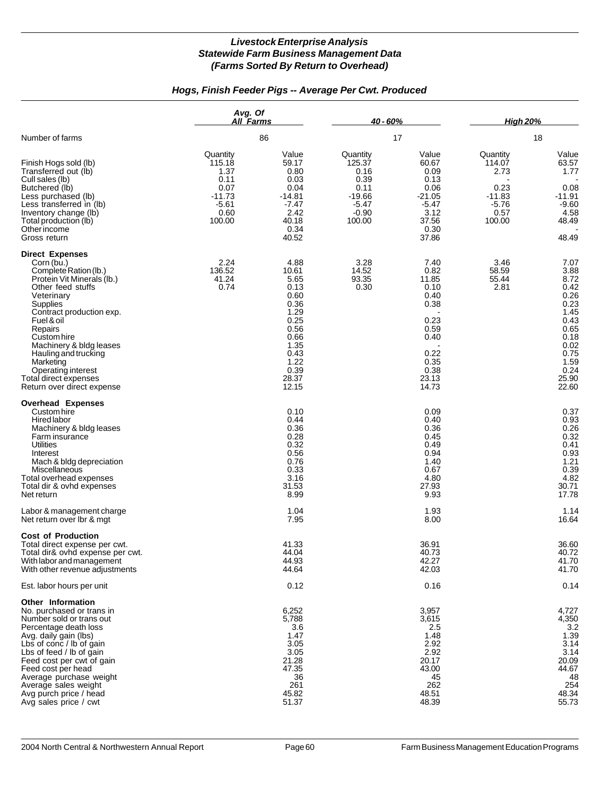#### *Hogs, Finish Feeder Pigs -- Average Per Cwt. Produced*

|                                                                                                                                                                                                                                                                                                                                                             | Avg. Of<br>All Farms                                                                |                                                                                                                                 | 40 - 60%                                                                               |                                                                                                                 | <b>High 20%</b>                                                             |                                                                                                                                |
|-------------------------------------------------------------------------------------------------------------------------------------------------------------------------------------------------------------------------------------------------------------------------------------------------------------------------------------------------------------|-------------------------------------------------------------------------------------|---------------------------------------------------------------------------------------------------------------------------------|----------------------------------------------------------------------------------------|-----------------------------------------------------------------------------------------------------------------|-----------------------------------------------------------------------------|--------------------------------------------------------------------------------------------------------------------------------|
| Number of farms                                                                                                                                                                                                                                                                                                                                             | 86                                                                                  |                                                                                                                                 | 17                                                                                     |                                                                                                                 | 18                                                                          |                                                                                                                                |
| Finish Hogs sold (lb)<br>Transferred out (lb)<br>Cull sales (lb)<br>Butchered (lb)<br>Less purchased (lb)<br>Less transferred in (lb)<br>Inventory change (lb)<br>Total production (lb)<br>Other income<br>Gross return                                                                                                                                     | Quantity<br>115.18<br>1.37<br>0.11<br>0.07<br>$-11.73$<br>$-5.61$<br>0.60<br>100.00 | Value<br>59.17<br>0.80<br>0.03<br>0.04<br>$-14.81$<br>$-7.47$<br>2.42<br>40.18<br>0.34<br>40.52                                 | Quantity<br>125.37<br>0.16<br>0.39<br>0.11<br>$-19.66$<br>$-5.47$<br>$-0.90$<br>100.00 | Value<br>60.67<br>0.09<br>0.13<br>0.06<br>$-21.05$<br>$-5.47$<br>3.12<br>37.56<br>0.30<br>37.86                 | Quantity<br>114.07<br>2.73<br>0.23<br>$-11.83$<br>$-5.76$<br>0.57<br>100.00 | Value<br>63.57<br>1.77<br>0.08<br>$-11.91$<br>$-9.60$<br>4.58<br>48.49<br>48.49                                                |
| <b>Direct Expenses</b><br>Corn (bu.)<br>Complete Ration (lb.)<br>Protein Vit Minerals (lb.)<br>Other feed stuffs<br>Veterinary<br>Supplies<br>Contract production exp.<br>Fuel & oil<br>Repairs<br>Custom hire<br>Machinery & bldg leases<br>Hauling and trucking<br>Marketing<br>Operating interest<br>Total direct expenses<br>Return over direct expense | 2.24<br>136.52<br>41.24<br>0.74                                                     | 4.88<br>10.61<br>5.65<br>0.13<br>0.60<br>0.36<br>1.29<br>0.25<br>0.56<br>0.66<br>1.35<br>0.43<br>1.22<br>0.39<br>28.37<br>12.15 | 3.28<br>14.52<br>93.35<br>0.30                                                         | 7.40<br>0.82<br>11.85<br>0.10<br>0.40<br>0.38<br>0.23<br>0.59<br>0.40<br>0.22<br>0.35<br>0.38<br>23.13<br>14.73 | 3.46<br>58.59<br>55.44<br>2.81                                              | 7.07<br>3.88<br>8.72<br>0.42<br>0.26<br>0.23<br>1.45<br>0.43<br>0.65<br>0.18<br>0.02<br>0.75<br>1.59<br>0.24<br>25.90<br>22.60 |
| <b>Overhead Expenses</b><br>Custom hire<br>Hired labor<br>Machinery & bldg leases<br>Farm insurance<br>Utilities<br>Interest<br>Mach & bldg depreciation<br>Miscellaneous<br>Total overhead expenses<br>Total dir & ovhd expenses<br>Net return                                                                                                             |                                                                                     | 0.10<br>0.44<br>0.36<br>0.28<br>0.32<br>0.56<br>0.76<br>0.33<br>3.16<br>31.53<br>8.99                                           |                                                                                        | 0.09<br>0.40<br>0.36<br>0.45<br>0.49<br>0.94<br>1.40<br>0.67<br>4.80<br>27.93<br>9.93                           |                                                                             | 0.37<br>0.93<br>0.26<br>0.32<br>0.41<br>0.93<br>1.21<br>0.39<br>4.82<br>30.71<br>17.78                                         |
| Labor & management charge<br>Net return over Ibr & mgt                                                                                                                                                                                                                                                                                                      |                                                                                     | 1.04<br>7.95                                                                                                                    |                                                                                        | 1.93<br>8.00                                                                                                    |                                                                             | 1.14<br>16.64                                                                                                                  |
| <b>Cost of Production</b><br>Total direct expense per cwt.<br>Total dir& ovhd expense per cwt.<br>With labor and management<br>With other revenue adjustments                                                                                                                                                                                               |                                                                                     | 41.33<br>44.04<br>44.93<br>44.64                                                                                                |                                                                                        | 36.91<br>40.73<br>42.27<br>42.03                                                                                |                                                                             | 36.60<br>40.72<br>41.70<br>41.70                                                                                               |
| Est. labor hours per unit                                                                                                                                                                                                                                                                                                                                   |                                                                                     | 0.12                                                                                                                            |                                                                                        | 0.16                                                                                                            |                                                                             | 0.14                                                                                                                           |
| <b>Other Information</b><br>No. purchased or trans in<br>Number sold or trans out<br>Percentage death loss<br>Avg. daily gain (lbs)<br>Lbs of conc / lb of gain<br>Lbs of feed / lb of gain<br>Feed cost per cwt of gain<br>Feed cost per head<br>Average purchase weight<br>Average sales weight<br>Avg purch price / head<br>Avg sales price / cwt        |                                                                                     | 6,252<br>5,788<br>3.6<br>1.47<br>3.05<br>3.05<br>21.28<br>47.35<br>36<br>261<br>45.82<br>51.37                                  |                                                                                        | 3,957<br>3,615<br>2.5<br>1.48<br>2.92<br>2.92<br>20.17<br>43.00<br>45<br>262<br>48.51<br>48.39                  |                                                                             | 4,727<br>4,350<br>3.2<br>1.39<br>3.14<br>3.14<br>20.09<br>44.67<br>48<br>254<br>48.34<br>55.73                                 |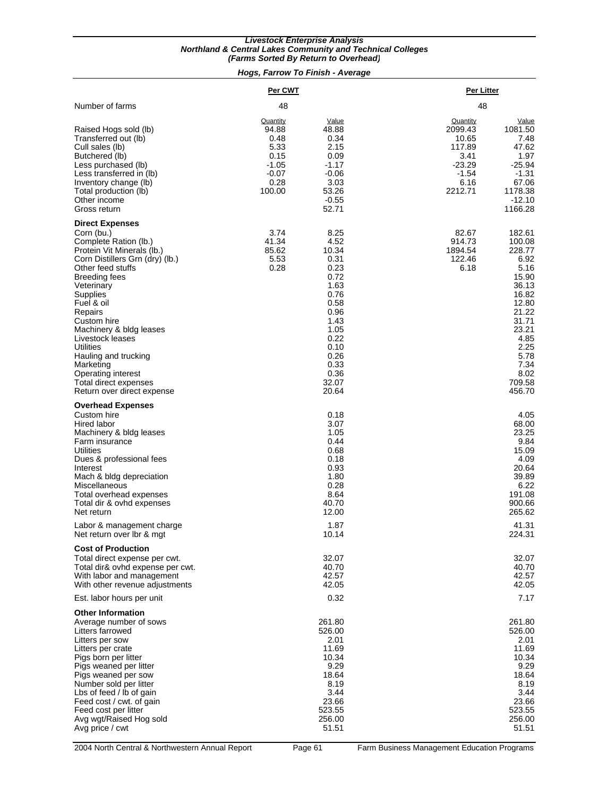#### *(Farms Sorted By Return to Overhead) Livestock Enterprise Analysis Northland & Central Lakes Community and Technical Colleges*

#### *Hogs, Farrow To Finish - Average*

|                                                                                                                                                                                                                                                                                                                                                                                                                      | Per CWT                                                                           |                                                                                                                                                         | Per Litter                                                                               |                                                                                                                                                                       |
|----------------------------------------------------------------------------------------------------------------------------------------------------------------------------------------------------------------------------------------------------------------------------------------------------------------------------------------------------------------------------------------------------------------------|-----------------------------------------------------------------------------------|---------------------------------------------------------------------------------------------------------------------------------------------------------|------------------------------------------------------------------------------------------|-----------------------------------------------------------------------------------------------------------------------------------------------------------------------|
| Number of farms                                                                                                                                                                                                                                                                                                                                                                                                      | 48                                                                                |                                                                                                                                                         | 48                                                                                       |                                                                                                                                                                       |
| Raised Hogs sold (lb)<br>Transferred out (lb)<br>Cull sales (lb)<br>Butchered (lb)<br>Less purchased (lb)<br>Less transferred in (lb)<br>Inventory change (lb)<br>Total production (lb)<br>Other income<br>Gross return                                                                                                                                                                                              | Quantity<br>94.88<br>0.48<br>5.33<br>0.15<br>$-1.05$<br>$-0.07$<br>0.28<br>100.00 | Value<br>48.88<br>0.34<br>2.15<br>0.09<br>$-1.17$<br>$-0.06$<br>3.03<br>53.26<br>$-0.55$<br>52.71                                                       | Quantity<br>2099.43<br>10.65<br>117.89<br>3.41<br>$-23.29$<br>$-1.54$<br>6.16<br>2212.71 | Value<br>1081.50<br>7.48<br>47.62<br>1.97<br>$-25.94$<br>$-1.31$<br>67.06<br>1178.38<br>$-12.10$<br>1166.28                                                           |
| <b>Direct Expenses</b><br>Corn (bu.)<br>Complete Ration (lb.)<br>Protein Vit Minerals (lb.)<br>Corn Distillers Grn (dry) (lb.)<br>Other feed stuffs<br>Breeding fees<br>Veterinary<br>Supplies<br>Fuel & oil<br>Repairs<br>Custom hire<br>Machinery & bldg leases<br>Livestock leases<br>Utilities<br>Hauling and trucking<br>Marketing<br>Operating interest<br>Total direct expenses<br>Return over direct expense | 3.74<br>41.34<br>85.62<br>5.53<br>0.28                                            | 8.25<br>4.52<br>10.34<br>0.31<br>0.23<br>0.72<br>1.63<br>0.76<br>0.58<br>0.96<br>1.43<br>1.05<br>0.22<br>0.10<br>0.26<br>0.33<br>0.36<br>32.07<br>20.64 | 82.67<br>914.73<br>1894.54<br>122.46<br>6.18                                             | 182.61<br>100.08<br>228.77<br>6.92<br>5.16<br>15.90<br>36.13<br>16.82<br>12.80<br>21.22<br>31.71<br>23.21<br>4.85<br>2.25<br>5.78<br>7.34<br>8.02<br>709.58<br>456.70 |
| <b>Overhead Expenses</b><br>Custom hire<br>Hired labor<br>Machinery & bldg leases<br>Farm insurance<br><b>Utilities</b><br>Dues & professional fees<br>Interest<br>Mach & bldg depreciation<br>Miscellaneous<br>Total overhead expenses<br>Total dir & ovhd expenses<br>Net return                                                                                                                                   |                                                                                   | 0.18<br>3.07<br>1.05<br>0.44<br>0.68<br>0.18<br>0.93<br>1.80<br>0.28<br>8.64<br>40.70<br>12.00                                                          |                                                                                          | 4.05<br>68.00<br>23.25<br>9.84<br>15.09<br>4.09<br>20.64<br>39.89<br>6.22<br>191.08<br>900.66<br>265.62                                                               |
| Labor & management charge<br>Net return over Ibr & mgt                                                                                                                                                                                                                                                                                                                                                               |                                                                                   | 1.87<br>10.14                                                                                                                                           |                                                                                          | 41.31<br>224.31                                                                                                                                                       |
| <b>Cost of Production</b><br>Total direct expense per cwt.<br>Total dir& ovhd expense per cwt.<br>With labor and management<br>With other revenue adjustments<br>Est. labor hours per unit                                                                                                                                                                                                                           |                                                                                   | 32.07<br>40.70<br>42.57<br>42.05<br>0.32                                                                                                                |                                                                                          | 32.07<br>40.70<br>42.57<br>42.05<br>7.17                                                                                                                              |
| <b>Other Information</b><br>Average number of sows<br>Litters farrowed<br>Litters per sow<br>Litters per crate<br>Pigs born per litter<br>Pigs weaned per litter<br>Pigs weaned per sow<br>Number sold per litter<br>Lbs of feed / lb of gain<br>Feed cost / cwt. of gain<br>Feed cost per litter<br>Avg wgt/Raised Hog sold<br>Avg price / cwt                                                                      |                                                                                   | 261.80<br>526.00<br>2.01<br>11.69<br>10.34<br>9.29<br>18.64<br>8.19<br>3.44<br>23.66<br>523.55<br>256.00<br>51.51                                       |                                                                                          | 261.80<br>526.00<br>2.01<br>11.69<br>10.34<br>9.29<br>18.64<br>8.19<br>3.44<br>23.66<br>523.55<br>256.00<br>51.51                                                     |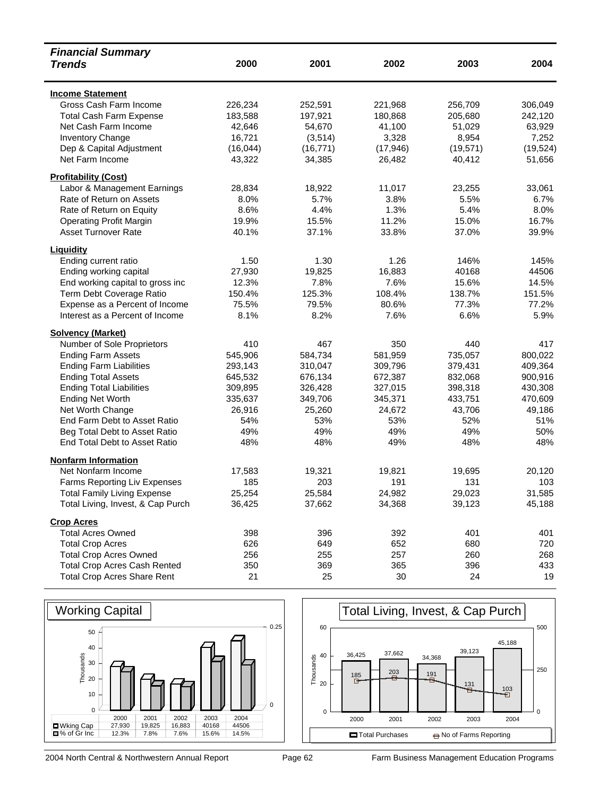| <b>Financial Summary</b>            |           |           |           |           |           |
|-------------------------------------|-----------|-----------|-----------|-----------|-----------|
| <b>Trends</b>                       | 2000      | 2001      | 2002      | 2003      | 2004      |
| <b>Income Statement</b>             |           |           |           |           |           |
| Gross Cash Farm Income              | 226,234   | 252,591   | 221,968   | 256,709   | 306,049   |
| <b>Total Cash Farm Expense</b>      | 183,588   | 197,921   | 180,868   | 205,680   | 242,120   |
| Net Cash Farm Income                | 42,646    | 54,670    | 41,100    | 51,029    | 63,929    |
| Inventory Change                    | 16,721    | (3,514)   | 3,328     | 8,954     | 7,252     |
| Dep & Capital Adjustment            | (16, 044) | (16, 771) | (17, 946) | (19, 571) | (19, 524) |
| Net Farm Income                     | 43,322    | 34,385    | 26,482    | 40,412    | 51,656    |
| <b>Profitability (Cost)</b>         |           |           |           |           |           |
| Labor & Management Earnings         | 28,834    | 18,922    | 11,017    | 23,255    | 33,061    |
| Rate of Return on Assets            | 8.0%      | 5.7%      | 3.8%      | 5.5%      | 6.7%      |
| Rate of Return on Equity            | 8.6%      | 4.4%      | 1.3%      | 5.4%      | 8.0%      |
| <b>Operating Profit Margin</b>      | 19.9%     | 15.5%     | 11.2%     | 15.0%     | 16.7%     |
| <b>Asset Turnover Rate</b>          | 40.1%     | 37.1%     | 33.8%     | 37.0%     | 39.9%     |
| Liquidity                           |           |           |           |           |           |
| Ending current ratio                | 1.50      | 1.30      | 1.26      | 146%      | 145%      |
| Ending working capital              | 27,930    | 19,825    | 16,883    | 40168     | 44506     |
| End working capital to gross inc    | 12.3%     | 7.8%      | 7.6%      | 15.6%     | 14.5%     |
| Term Debt Coverage Ratio            | 150.4%    | 125.3%    | 108.4%    | 138.7%    | 151.5%    |
| Expense as a Percent of Income      | 75.5%     | 79.5%     | 80.6%     | 77.3%     | 77.2%     |
| Interest as a Percent of Income     | 8.1%      | 8.2%      | 7.6%      | 6.6%      | 5.9%      |
| <b>Solvency (Market)</b>            |           |           |           |           |           |
| Number of Sole Proprietors          | 410       | 467       | 350       | 440       | 417       |
| <b>Ending Farm Assets</b>           | 545,906   | 584,734   | 581,959   | 735,057   | 800,022   |
| <b>Ending Farm Liabilities</b>      | 293,143   | 310,047   | 309,796   | 379,431   | 409,364   |
| <b>Ending Total Assets</b>          | 645,532   | 676,134   | 672,387   | 832,068   | 900,916   |
| <b>Ending Total Liabilities</b>     | 309,895   | 326,428   | 327,015   | 398,318   | 430,308   |
| <b>Ending Net Worth</b>             | 335,637   | 349,706   | 345,371   | 433,751   | 470,609   |
| Net Worth Change                    | 26,916    | 25,260    | 24,672    | 43,706    | 49,186    |
| End Farm Debt to Asset Ratio        | 54%       | 53%       | 53%       | 52%       | 51%       |
| Beg Total Debt to Asset Ratio       | 49%       | 49%       | 49%       | 49%       | 50%       |
| End Total Debt to Asset Ratio       | 48%       | 48%       | 49%       | 48%       | 48%       |
| <b>Nonfarm Information</b>          |           |           |           |           |           |
| Net Nonfarm Income                  | 17,583    | 19,321    | 19,821    | 19,695    | 20,120    |
| Farms Reporting Liv Expenses        | 185       | 203       | 191       | 131       | 103       |
| <b>Total Family Living Expense</b>  | 25,254    | 25,584    | 24,982    | 29,023    | 31,585    |
| Total Living, Invest, & Cap Purch   | 36,425    | 37,662    | 34,368    | 39,123    | 45,188    |
| <b>Crop Acres</b>                   |           |           |           |           |           |
| <b>Total Acres Owned</b>            | 398       | 396       | 392       | 401       | 401       |
| <b>Total Crop Acres</b>             | 626       | 649       | 652       | 680       | 720       |
| <b>Total Crop Acres Owned</b>       | 256       | 255       | 257       | 260       | 268       |
| <b>Total Crop Acres Cash Rented</b> | 350       | 369       | 365       | 396       | 433       |
| <b>Total Crop Acres Share Rent</b>  | 21        | 25        | 30        | 24        | 19        |



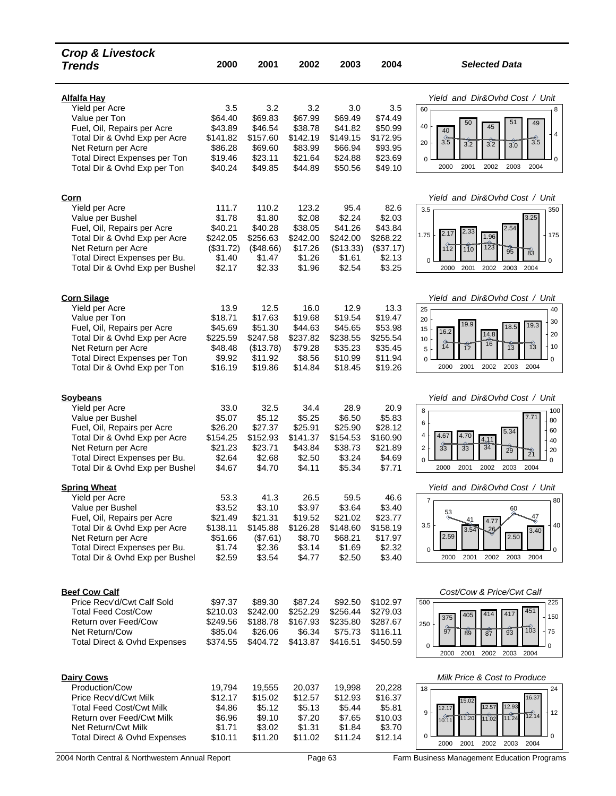| <b>Crop &amp; Livestock</b><br><b>Trends</b>                                                                                                                                                                         | 2000                                                                    | 2001                                                                      | 2002                                                                   | 2003                                                                    | 2004                                                                    | <b>Selected Data</b>                                                                                                                                                                                                                                                                          |
|----------------------------------------------------------------------------------------------------------------------------------------------------------------------------------------------------------------------|-------------------------------------------------------------------------|---------------------------------------------------------------------------|------------------------------------------------------------------------|-------------------------------------------------------------------------|-------------------------------------------------------------------------|-----------------------------------------------------------------------------------------------------------------------------------------------------------------------------------------------------------------------------------------------------------------------------------------------|
| <b>Alfalfa Hay</b><br>Yield per Acre<br>Value per Ton<br>Fuel, Oil, Repairs per Acre<br>Total Dir & Ovhd Exp per Acre<br>Net Return per Acre<br><b>Total Direct Expenses per Ton</b><br>Total Dir & Ovhd Exp per Ton | 3.5<br>\$64.40<br>\$43.89<br>\$141.82<br>\$86.28<br>\$19.46<br>\$40.24  | 3.2<br>\$69.83<br>\$46.54<br>\$157.60<br>\$69.60<br>\$23.11<br>\$49.85    | 3.2<br>\$67.99<br>\$38.78<br>\$142.19<br>\$83.99<br>\$21.64<br>\$44.89 | 3.0<br>\$69.49<br>\$41.82<br>\$149.15<br>\$66.94<br>\$24.88<br>\$50.56  | 3.5<br>\$74.49<br>\$50.99<br>\$172.95<br>\$93.95<br>\$23.69<br>\$49.10  | Yield and Dir&Ovhd Cost / Unit<br>60<br>8<br>51<br>49<br>50<br>40<br>45<br>40<br>$\sqrt{4}$<br>3.5<br>3.5<br>$\overline{3.2}$<br>$\overline{3.2}$<br>20<br>$\overline{3.0}$<br>$\Omega$<br>0<br>2000<br>2001<br>2002<br>2003<br>2004                                                          |
| <u>Corn</u><br>Yield per Acre<br>Value per Bushel<br>Fuel, Oil, Repairs per Acre<br>Total Dir & Ovhd Exp per Acre<br>Net Return per Acre<br>Total Direct Expenses per Bu.<br>Total Dir & Ovhd Exp per Bushel         | 111.7<br>\$1.78<br>\$40.21<br>\$242.05<br>(\$31.72)<br>\$1.40<br>\$2.17 | 110.2<br>\$1.80<br>\$40.28<br>\$256.63<br>(\$48.66)<br>\$1.47<br>\$2.33   | 123.2<br>\$2.08<br>\$38.05<br>\$242.00<br>\$17.26<br>\$1.26<br>\$1.96  | 95.4<br>\$2.24<br>\$41.26<br>\$242.00<br>(\$13.33)<br>\$1.61<br>\$2.54  | 82.6<br>\$2.03<br>\$43.84<br>\$268.22<br>(\$37.17)<br>\$2.13<br>\$3.25  | Yield and Dir&Ovhd Cost / Unit<br>3.5<br>350<br>3.25<br>2.54<br>2.33<br>1.75<br>175<br>1.96<br>123<br>112<br>$\overline{110}$<br>$\overline{95}$<br>$\overline{83}$<br>$\Omega$<br>$\Omega$<br>2000<br>2001<br>2002<br>2003<br>2004                                                           |
| <b>Corn Silage</b><br>Yield per Acre<br>Value per Ton<br>Fuel, Oil, Repairs per Acre<br>Total Dir & Ovhd Exp per Acre<br>Net Return per Acre<br><b>Total Direct Expenses per Ton</b><br>Total Dir & Ovhd Exp per Ton | 13.9<br>\$18.71<br>\$45.69<br>\$225.59<br>\$48.48<br>\$9.92<br>\$16.19  | 12.5<br>\$17.63<br>\$51.30<br>\$247.58<br>(\$13.78)<br>\$11.92<br>\$19.86 | 16.0<br>\$19.68<br>\$44.63<br>\$237.82<br>\$79.28<br>\$8.56<br>\$14.84 | 12.9<br>\$19.54<br>\$45.65<br>\$238.55<br>\$35.23<br>\$10.99<br>\$18.45 | 13.3<br>\$19.47<br>\$53.98<br>\$255.54<br>\$35.45<br>\$11.94<br>\$19.26 | Yield and Dir&Ovhd Cost / Unit<br>25<br>40<br>20<br>30<br>19.9<br>19.3<br>18.5<br>15<br>16.2<br>14.8<br>20<br>10<br>$\frac{1}{14}$<br>$\overrightarrow{13}$<br>16<br>$\overline{12}$<br>10<br>13<br>5<br>0<br>$\Omega$<br>2001<br>2002<br>2003<br>2004<br>2000                                |
| <b>Soybeans</b><br>Yield per Acre<br>Value per Bushel<br>Fuel, Oil, Repairs per Acre<br>Total Dir & Ovhd Exp per Acre<br>Net Return per Acre<br>Total Direct Expenses per Bu.<br>Total Dir & Ovhd Exp per Bushel     | 33.0<br>\$5.07<br>\$26.20<br>\$154.25<br>\$21.23<br>\$2.64<br>\$4.67    | 32.5<br>\$5.12<br>\$27.37<br>\$152.93<br>\$23.71<br>\$2.68<br>\$4.70      | 34.4<br>\$5.25<br>\$25.91<br>\$141.37<br>\$43.84<br>\$2.50<br>\$4.11   | 28.9<br>\$6.50<br>\$25.90<br>\$154.53<br>\$38.73<br>\$3.24<br>\$5.34    | 20.9<br>\$5.83<br>\$28.12<br>\$160.90<br>\$21.89<br>\$4.69<br>\$7.71    | Yield and Dir&Ovhd Cost / Unit<br>8<br>100<br>7.71<br>80<br>$\,6$<br>60<br>5.34<br>4<br>4.70<br>4.67<br>4.11<br>40<br>$\frac{6}{33}$<br>34<br>$\overline{c}$<br>$\frac{35}{3}$<br>$\overline{29}$<br>20<br>$\overline{21}$<br>$\Omega$<br>$\mathbf 0$<br>2000<br>2001<br>2002<br>2003<br>2004 |
| <b>Spring Wheat</b><br>Yield per Acre<br>Value per Bushel<br>Fuel, Oil, Repairs per Acre<br>Total Dir & Ovhd Exp per Acre<br>Net Return per Acre<br>Total Direct Expenses per Bu.<br>Total Dir & Ovhd Exp per Bushel | 53.3<br>\$3.52<br>\$21.49<br>\$138.11<br>\$51.66<br>\$1.74<br>\$2.59    | 41.3<br>\$3.10<br>\$21.31<br>\$145.88<br>(\$7.61)<br>\$2.36<br>\$3.54     | 26.5<br>\$3.97<br>\$19.52<br>\$126.28<br>\$8.70<br>\$3.14<br>\$4.77    | 59.5<br>\$3.64<br>\$21.02<br>\$148.60<br>\$68.21<br>\$1.69<br>\$2.50    | 46.6<br>\$3.40<br>\$23.77<br>\$158.19<br>\$17.97<br>\$2.32<br>\$3.40    | Yield and Dir&Ovhd Cost / Unit<br>7<br>80<br>60<br>53<br>$\frac{47}{5}$<br>4.77<br>40<br>3.5<br>26<br>3.40<br>2.59<br>2.50<br>$\Omega$<br>$\mathbf 0$<br>2000<br>2001<br>2002<br>2003<br>2004                                                                                                 |
| <b>Beef Cow Calf</b><br>Price Recv'd/Cwt Calf Sold<br><b>Total Feed Cost/Cow</b><br>Return over Feed/Cow<br>Net Return/Cow<br>Total Direct & Ovhd Expenses                                                           | \$97.37<br>\$210.03<br>\$249.56<br>\$85.04<br>\$374.55                  | \$89.30<br>\$242.00<br>\$188.78<br>\$26.06<br>\$404.72                    | \$87.24<br>\$252.29<br>\$167.93<br>\$6.34<br>\$413.87                  | \$92.50<br>\$256.44<br>\$235.80<br>\$75.73<br>\$416.51                  | \$102.97<br>\$279.03<br>\$287.67<br>\$116.11<br>\$450.59                | Cost/Cow & Price/Cwt Calf<br>500<br>225<br>451<br>417<br>405<br>375<br>150<br>250<br>$\frac{6}{97}$<br>103<br>$\overline{89}$<br>$\overline{93}$<br>75<br>र्छ<br>$\mathbf 0$<br>$\mathbf 0$<br>2001<br>2002<br>2003<br>2000<br>2004                                                           |
| <b>Dairy Cows</b><br>Production/Cow<br>Price Recv'd/Cwt Milk<br><b>Total Feed Cost/Cwt Milk</b><br>Return over Feed/Cwt Milk<br>Net Return/Cwt Milk<br>Total Direct & Ovhd Expenses                                  | 19,794<br>\$12.17<br>\$4.86<br>\$6.96<br>\$1.71<br>\$10.11              | 19,555<br>\$15.02<br>\$5.12<br>\$9.10<br>\$3.02<br>\$11.20                | 20,037<br>\$12.57<br>\$5.13<br>\$7.20<br>\$1.31<br>\$11.02             | 19,998<br>\$12.93<br>\$5.44<br>\$7.65<br>\$1.84<br>\$11.24              | 20,228<br>\$16.37<br>\$5.81<br>\$10.03<br>\$3.70<br>\$12.14             | Milk Price & Cost to Produce<br>18<br>24<br>16.37<br>15.02<br>12.93<br>12.57<br>12.17<br>9<br>12<br>$\overline{12.14}$<br>11.02<br>11.24<br>11.20<br>$\frac{10.77}{10.11}$<br>0<br>O<br>2001<br>2002<br>2003<br>2004<br>2000                                                                  |

<sup>2004</sup> North Central & Northwestern Annual Report Page 63 Farm Business Management Education Programs